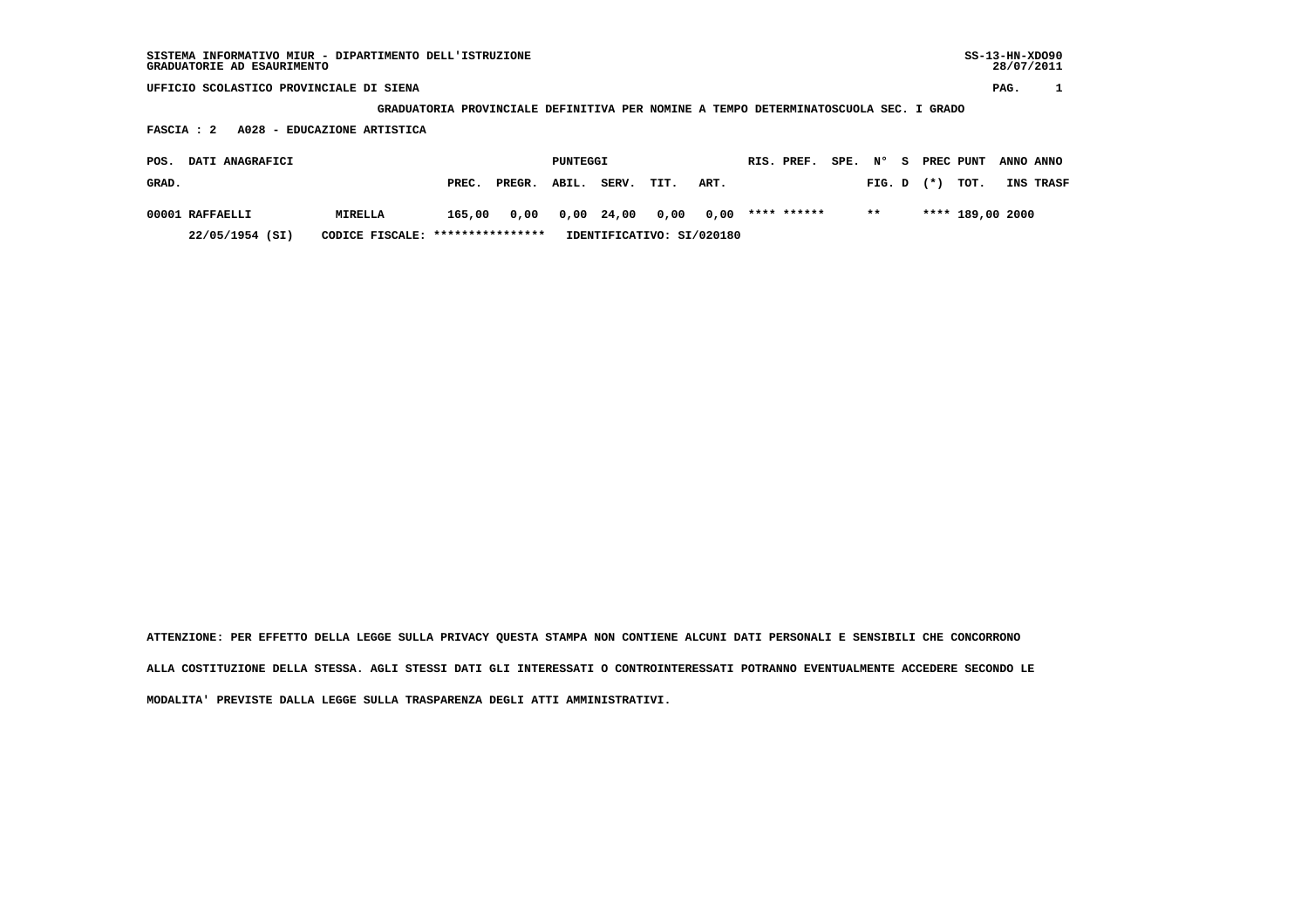| SISTEMA INFORMATIVO MIUR - DIPARTIMENTO DELL'ISTRUZIONE<br>GRADUATORIE AD ESAURIMENTO |                                                                                      |        |          |       |      |                           |             |      |        |    |           |                  | $SS-13-HN-XDO90$<br>28/07/2011 |           |
|---------------------------------------------------------------------------------------|--------------------------------------------------------------------------------------|--------|----------|-------|------|---------------------------|-------------|------|--------|----|-----------|------------------|--------------------------------|-----------|
| UFFICIO SCOLASTICO PROVINCIALE DI SIENA                                               |                                                                                      |        |          |       |      |                           |             |      |        |    |           |                  | PAG.                           |           |
|                                                                                       | GRADUATORIA PROVINCIALE DEFINITIVA PER NOMINE A TEMPO DETERMINATOSCUOLA SEC. I GRADO |        |          |       |      |                           |             |      |        |    |           |                  |                                |           |
| A028 - EDUCAZIONE ARTISTICA<br>FASCIA : 2                                             |                                                                                      |        |          |       |      |                           |             |      |        |    |           |                  |                                |           |
| DATI ANAGRAFICI<br>POS.                                                               |                                                                                      |        | PUNTEGGI |       |      |                           | RIS. PREF.  | SPE. | N°     | S. | PREC PUNT |                  | ANNO ANNO                      |           |
| GRAD.                                                                                 | PREC.                                                                                | PREGR. | ABIL.    | SERV. | TIT. | ART.                      |             |      | FIG. D |    | $(*)$     | TOT.             |                                | INS TRASF |
| 00001 RAFFAELLI<br>MIRELLA                                                            | 165,00                                                                               | 0,00   | 0,00     | 24,00 | 0,00 | 0,00                      | **** ****** |      | $***$  |    |           | **** 189,00 2000 |                                |           |
| 22/05/1954 (SI)<br>CODICE FISCALE:                                                    | ****************                                                                     |        |          |       |      | IDENTIFICATIVO: SI/020180 |             |      |        |    |           |                  |                                |           |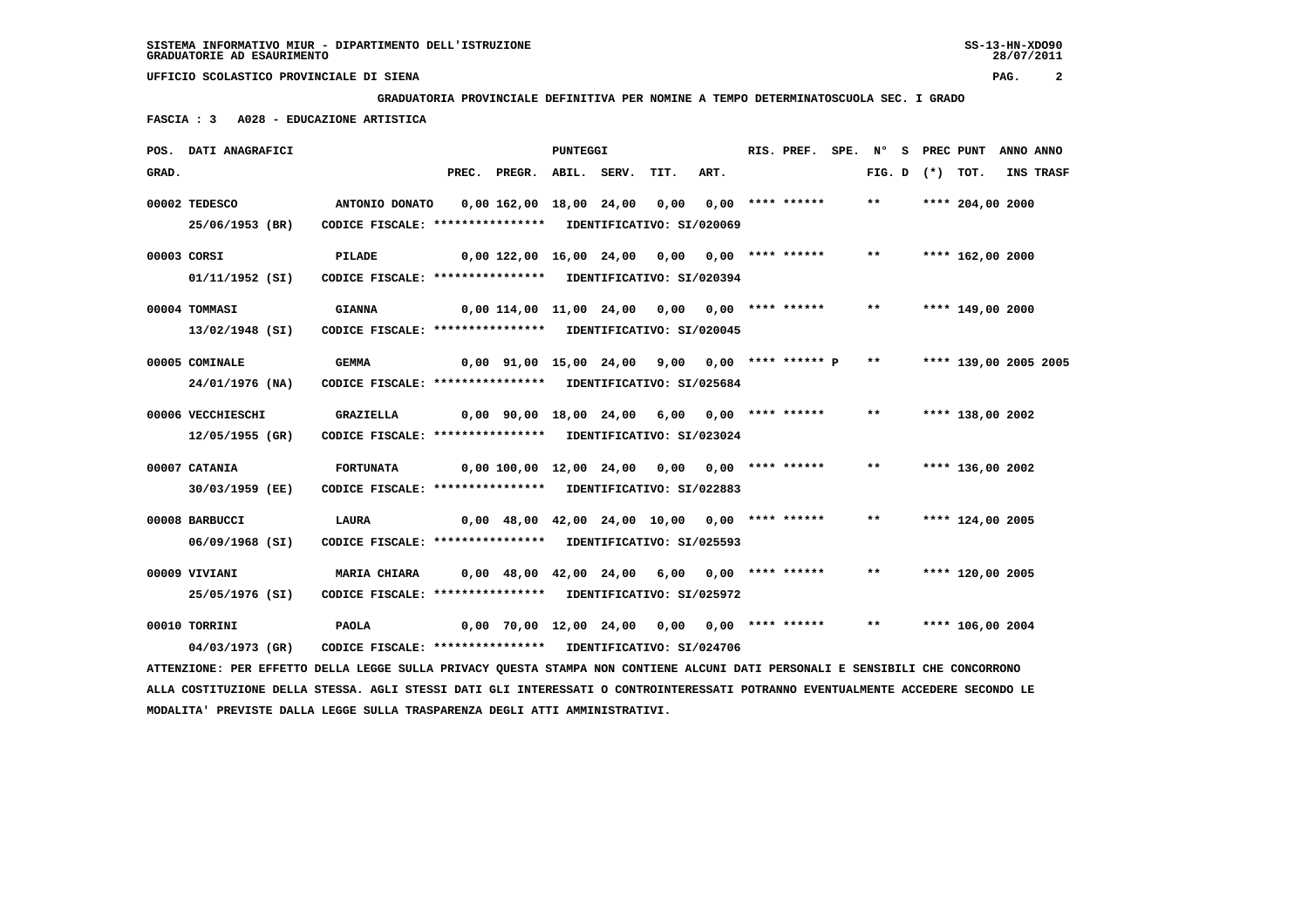**GRADUATORIA PROVINCIALE DEFINITIVA PER NOMINE A TEMPO DETERMINATOSCUOLA SEC. I GRADO**

 **FASCIA : 3 A028 - EDUCAZIONE ARTISTICA**

|       | POS. DATI ANAGRAFICI                                                                                                          |                                                            |                                                  | PUNTEGGI |      |      | RIS. PREF. | SPE. N° |       |                   | S PREC PUNT           | ANNO ANNO |           |
|-------|-------------------------------------------------------------------------------------------------------------------------------|------------------------------------------------------------|--------------------------------------------------|----------|------|------|------------|---------|-------|-------------------|-----------------------|-----------|-----------|
| GRAD. |                                                                                                                               |                                                            | PREC. PREGR. ABIL. SERV.                         |          | TIT. | ART. |            |         |       | FIG. D $(*)$ TOT. |                       |           | INS TRASF |
|       | 00002 TEDESCO                                                                                                                 |                                                            |                                                  |          |      |      |            |         | $***$ |                   | **** 204,00 2000      |           |           |
|       | 25/06/1953 (BR)                                                                                                               | CODICE FISCALE: **************** IDENTIFICATIVO: SI/020069 |                                                  |          |      |      |            |         |       |                   |                       |           |           |
|       | 00003 CORSI                                                                                                                   | PILADE                                                     | 0,00 122,00 16,00 24,00 0,00 0,00 **** ******    |          |      |      |            |         | $***$ |                   | **** 162,00 2000      |           |           |
|       | 01/11/1952 (SI)                                                                                                               | CODICE FISCALE: **************** IDENTIFICATIVO: SI/020394 |                                                  |          |      |      |            |         |       |                   |                       |           |           |
|       | 00004 TOMMASI                                                                                                                 | <b>GIANNA</b>                                              | $0,00$ 114,00 11,00 24,00 0,00 0,00 **** ******  |          |      |      |            |         | $***$ |                   | **** 149,00 2000      |           |           |
|       | 13/02/1948 (SI)                                                                                                               | CODICE FISCALE: **************** IDENTIFICATIVO: SI/020045 |                                                  |          |      |      |            |         |       |                   |                       |           |           |
|       | 00005 COMINALE                                                                                                                | <b>GEMMA</b>                                               | $0,00$ 91,00 15,00 24,00 9,00 0,00 **** ****** P |          |      |      |            |         | $***$ |                   | **** 139,00 2005 2005 |           |           |
|       | 24/01/1976 (NA)                                                                                                               | CODICE FISCALE: **************** IDENTIFICATIVO: SI/025684 |                                                  |          |      |      |            |         |       |                   |                       |           |           |
|       | 00006 VECCHIESCHI                                                                                                             | <b>GRAZIELLA</b>                                           | 0,00 90,00 18,00 24,00 6,00 0,00 **** ******     |          |      |      |            |         | $***$ |                   | **** 138,00 2002      |           |           |
|       | 12/05/1955 (GR)                                                                                                               | CODICE FISCALE: **************** IDENTIFICATIVO: SI/023024 |                                                  |          |      |      |            |         |       |                   |                       |           |           |
|       | 00007 CATANIA                                                                                                                 | <b>FORTUNATA</b>                                           | $0,00 100,00 12,00 24,00 0,00 0,00 ****$         |          |      |      |            |         | $***$ |                   | **** 136,00 2002      |           |           |
|       | 30/03/1959 (EE)                                                                                                               | CODICE FISCALE: **************** IDENTIFICATIVO: SI/022883 |                                                  |          |      |      |            |         |       |                   |                       |           |           |
|       | 00008 BARBUCCI                                                                                                                | <b>LAURA</b>                                               | $0,00$ 48,00 42,00 24,00 10,00 0,00 **** ******  |          |      |      |            |         | $***$ |                   | **** 124,00 2005      |           |           |
|       | 06/09/1968 (SI)                                                                                                               | CODICE FISCALE: **************** IDENTIFICATIVO: SI/025593 |                                                  |          |      |      |            |         |       |                   |                       |           |           |
|       | 00009 VIVIANI                                                                                                                 | <b>MARIA CHIARA</b>                                        | 0,00 48,00 42,00 24,00 6,00 0,00 **** ******     |          |      |      |            |         | $***$ |                   | **** 120,00 2005      |           |           |
|       | 25/05/1976 (SI)                                                                                                               | CODICE FISCALE: **************** IDENTIFICATIVO: SI/025972 |                                                  |          |      |      |            |         |       |                   |                       |           |           |
|       | 00010 TORRINI                                                                                                                 | <b>PAOLA</b>                                               | 0,00 70,00 12,00 24,00 0,00 0,00 **** ******     |          |      |      |            |         | $***$ |                   | **** 106,00 2004      |           |           |
|       | 04/03/1973 (GR)                                                                                                               | CODICE FISCALE: **************** IDENTIFICATIVO: SI/024706 |                                                  |          |      |      |            |         |       |                   |                       |           |           |
|       | ATTENZIONE: PER EFFETTO DELLA LEGGE SULLA PRIVACY QUESTA STAMPA NON CONTIENE ALCUNI DATI PERSONALI E SENSIBILI CHE CONCORRONO |                                                            |                                                  |          |      |      |            |         |       |                   |                       |           |           |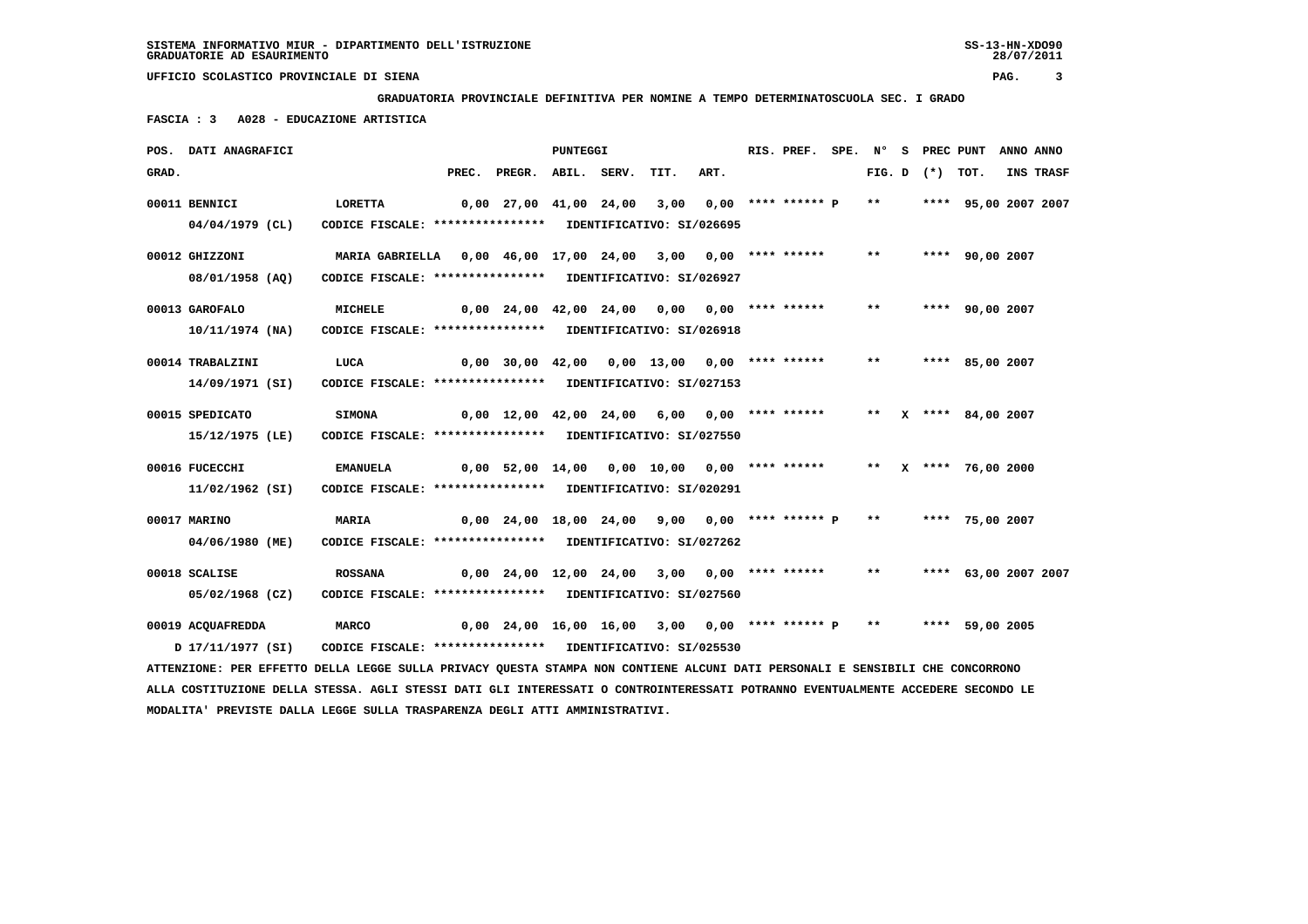**GRADUATORIA PROVINCIALE DEFINITIVA PER NOMINE A TEMPO DETERMINATOSCUOLA SEC. I GRADO**

 **FASCIA : 3 A028 - EDUCAZIONE ARTISTICA**

|       | POS. DATI ANAGRAFICI                                                                                                            |                                                                       |                                                     | <b>PUNTEGGI</b> |      |      | RIS. PREF. SPE. N° S PREC PUNT ANNO ANNO |              |                   |                        |           |
|-------|---------------------------------------------------------------------------------------------------------------------------------|-----------------------------------------------------------------------|-----------------------------------------------------|-----------------|------|------|------------------------------------------|--------------|-------------------|------------------------|-----------|
| GRAD. |                                                                                                                                 |                                                                       | PREC. PREGR. ABIL. SERV.                            |                 | TIT. | ART. |                                          |              | FIG. D $(*)$ TOT. |                        | INS TRASF |
|       | 00011 BENNICI<br>$04/04/1979$ (CL)                                                                                              | LORETTA<br>CODICE FISCALE: **************** IDENTIFICATIVO: SI/026695 | 0,00 27,00 41,00 24,00 3,00 0,00 **** ****** P      |                 |      |      |                                          | $***$        |                   | **** 95,00 2007 2007   |           |
|       | 00012 GHIZZONI                                                                                                                  | MARIA GABRIELLA 0,00 46,00 17,00 24,00 3,00 0,00 **** ******          |                                                     |                 |      |      |                                          | $***$        |                   | **** 90,00 2007        |           |
|       | 08/01/1958 (AO)                                                                                                                 | CODICE FISCALE: **************** IDENTIFICATIVO: SI/026927            |                                                     |                 |      |      |                                          |              |                   |                        |           |
|       | 00013 GAROFALO                                                                                                                  | <b>MICHELE</b>                                                        | $0,00$ 24,00 42,00 24,00 0,00 0,00 **** ******      |                 |      |      |                                          | $***$        |                   | **** 90,00 2007        |           |
|       | 10/11/1974 (NA)                                                                                                                 | CODICE FISCALE: **************** IDENTIFICATIVO: SI/026918            |                                                     |                 |      |      |                                          |              |                   |                        |           |
|       | 00014 TRABALZINI                                                                                                                | LUCA                                                                  | 0,00 30,00 42,00 0,00 13,00 0,00 **** ******        |                 |      |      |                                          | $***$        |                   | **** 85,00 2007        |           |
|       | 14/09/1971 (SI)                                                                                                                 | CODICE FISCALE: **************** IDENTIFICATIVO: SI/027153            |                                                     |                 |      |      |                                          |              |                   |                        |           |
|       | 00015 SPEDICATO                                                                                                                 | <b>SIMONA</b>                                                         | $0,00$ 12,00 42,00 24,00 6,00 0,00 **** ******      |                 |      |      |                                          |              |                   | ** X **** 84,00 2007   |           |
|       | 15/12/1975 (LE)                                                                                                                 | CODICE FISCALE: **************** IDENTIFICATIVO: SI/027550            |                                                     |                 |      |      |                                          |              |                   |                        |           |
|       | 00016 FUCECCHI                                                                                                                  | EMANUELA                                                              | 0,00 52,00 14,00 0,00 10,00 0,00 **** ******        |                 |      |      |                                          |              |                   | ** $X$ **** 76,00 2000 |           |
|       | 11/02/1962 (SI)                                                                                                                 | CODICE FISCALE: **************** IDENTIFICATIVO: SI/020291            |                                                     |                 |      |      |                                          |              |                   |                        |           |
|       | 00017 MARINO                                                                                                                    | MARIA                                                                 | $0,00$ 24,00 18,00 24,00 9,00 0,00 **** ****** P    |                 |      |      |                                          | $***$        |                   | **** 75,00 2007        |           |
|       | 04/06/1980 (ME)                                                                                                                 | CODICE FISCALE: **************** IDENTIFICATIVO: SI/027262            |                                                     |                 |      |      |                                          |              |                   |                        |           |
|       | 00018 SCALISE                                                                                                                   | <b>ROSSANA</b>                                                        | 0,00 24,00 12,00 24,00 3,00 0,00 **** ******        |                 |      |      |                                          | $\star\star$ |                   | **** 63,00 2007 2007   |           |
|       | 05/02/1968 (CZ)                                                                                                                 | CODICE FISCALE: **************** IDENTIFICATIVO: SI/027560            |                                                     |                 |      |      |                                          |              |                   |                        |           |
|       | 00019 ACQUAFREDDA                                                                                                               | <b>MARCO</b>                                                          | $0,00$ 24,00 16,00 16,00 3,00 0,00 **** ****** P ** |                 |      |      |                                          |              |                   | **** 59,00 2005        |           |
|       | 17/11/1977 (SI)                                                                                                                 | CODICE FISCALE: **************** IDENTIFICATIVO: SI/025530            |                                                     |                 |      |      |                                          |              |                   |                        |           |
|       | ATTENZIONE: PER EFFETTO DELLA LEGGE SULLA PRIVACY QUESTA STAMPA NON CONTIENE ALCUNI DATI PERSONALI E SENSIBILI CHE CONCORRONO   |                                                                       |                                                     |                 |      |      |                                          |              |                   |                        |           |
|       | ALLA COSTITUZIONE DELLA STESSA. AGLI STESSI DATI GLI INTERESSATI O CONTROINTERESSATI POTRANNO EVENTUALMENTE ACCEDERE SECONDO LE |                                                                       |                                                     |                 |      |      |                                          |              |                   |                        |           |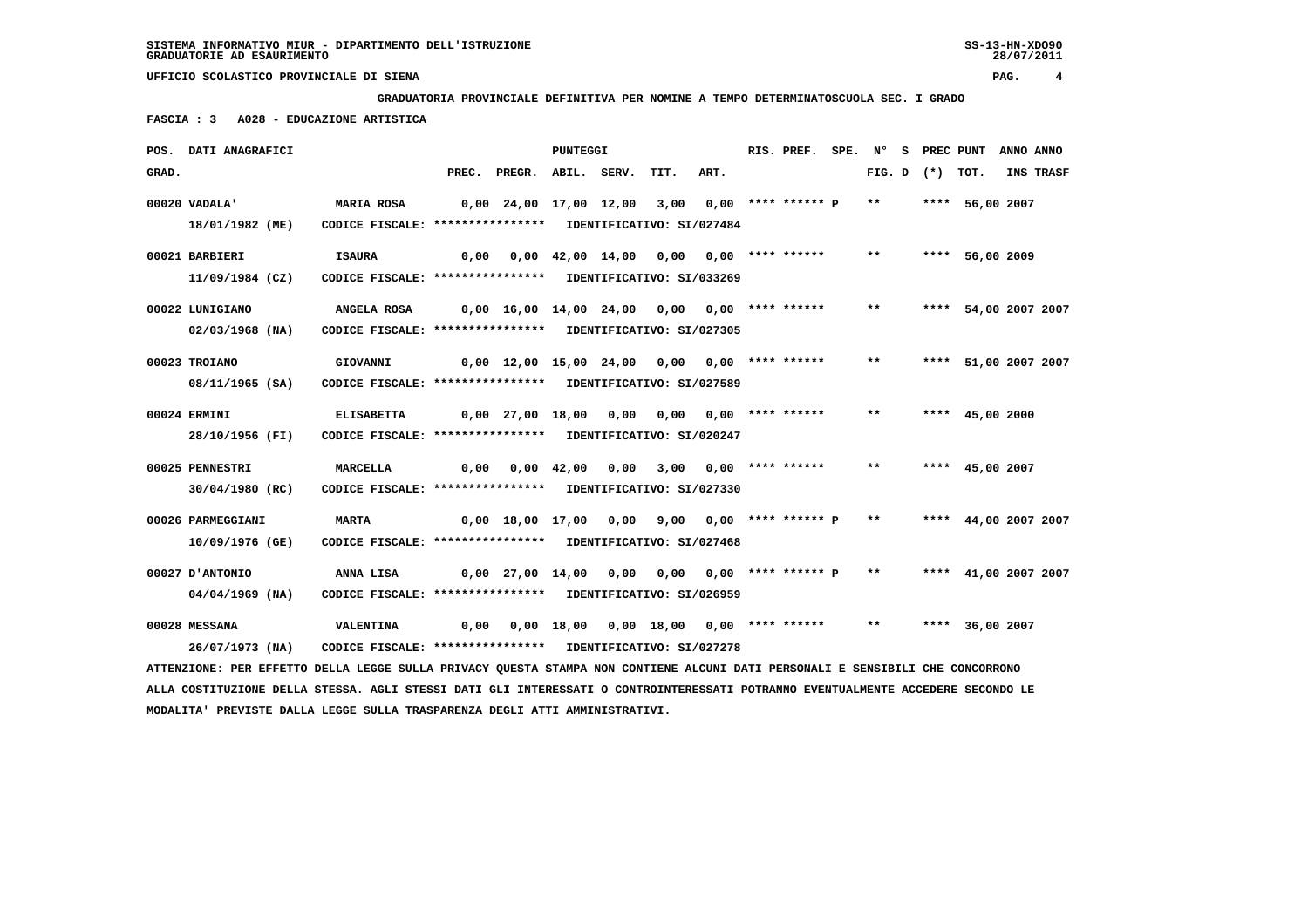**GRADUATORIA PROVINCIALE DEFINITIVA PER NOMINE A TEMPO DETERMINATOSCUOLA SEC. I GRADO**

 **FASCIA : 3 A028 - EDUCAZIONE ARTISTICA**

|       | POS. DATI ANAGRAFICI                                                                                                            |                                                            |       |                                                | PUNTEGGI           |      |                                          |      | RIS. PREF. SPE. Nº        |        | s | PREC PUNT |                      | ANNO ANNO |           |
|-------|---------------------------------------------------------------------------------------------------------------------------------|------------------------------------------------------------|-------|------------------------------------------------|--------------------|------|------------------------------------------|------|---------------------------|--------|---|-----------|----------------------|-----------|-----------|
| GRAD. |                                                                                                                                 |                                                            | PREC. | PREGR. ABIL. SERV.                             |                    |      | TIT.                                     | ART. |                           | FIG. D |   | $(\star)$ | TOT.                 |           | INS TRASF |
|       | 00020 VADALA'                                                                                                                   | <b>MARIA ROSA</b>                                          |       | $0,00$ 24,00 17,00 12,00                       |                    |      | 3,00                                     |      | 0,00 **** ****** P        | $***$  |   |           | **** 56,00 2007      |           |           |
|       | 18/01/1982 (ME)                                                                                                                 | CODICE FISCALE: **************** IDENTIFICATIVO: SI/027484 |       |                                                |                    |      |                                          |      |                           |        |   |           |                      |           |           |
|       | 00021 BARBIERI                                                                                                                  | <b>ISAURA</b>                                              | 0.00  |                                                |                    |      | $0,00$ 42,00 14,00 0,00 0,00 **** ****** |      |                           | $* *$  |   |           | **** 56,00 2009      |           |           |
|       | 11/09/1984 (CZ)                                                                                                                 | CODICE FISCALE: **************** IDENTIFICATIVO: SI/033269 |       |                                                |                    |      |                                          |      |                           |        |   |           |                      |           |           |
|       | 00022 LUNIGIANO                                                                                                                 | ANGELA ROSA                                                |       | $0,00$ 16,00 14,00 24,00 0,00 0,00 **** ****** |                    |      |                                          |      |                           | $***$  |   |           | **** 54,00 2007 2007 |           |           |
|       | 02/03/1968 (NA)                                                                                                                 | CODICE FISCALE: **************** IDENTIFICATIVO: SI/027305 |       |                                                |                    |      |                                          |      |                           |        |   |           |                      |           |           |
|       | 00023 TROIANO                                                                                                                   | GIOVANNI                                                   |       | 0,00 12,00 15,00 24,00 0,00                    |                    |      |                                          |      | $0.00$ **** ******        | $***$  |   |           | **** 51,00 2007 2007 |           |           |
|       | 08/11/1965 (SA)                                                                                                                 | CODICE FISCALE: **************** IDENTIFICATIVO: SI/027589 |       |                                                |                    |      |                                          |      |                           |        |   |           |                      |           |           |
|       | 00024 ERMINI                                                                                                                    | <b>ELISABETTA</b>                                          |       | 0,00 27,00 18,00                               |                    | 0,00 | 0,00                                     |      | $0.00$ **** ******        | $***$  |   |           | **** $45.002000$     |           |           |
|       | 28/10/1956 (FI)                                                                                                                 | CODICE FISCALE: **************** IDENTIFICATIVO: SI/020247 |       |                                                |                    |      |                                          |      |                           |        |   |           |                      |           |           |
|       | 00025 PENNESTRI                                                                                                                 | MARCELLA                                                   | 0,00  |                                                | $0.00 \quad 42.00$ | 0,00 |                                          |      | $3,00$ $0,00$ **** ****** | $* *$  |   |           | **** 45,00 2007      |           |           |
|       | 30/04/1980 (RC)                                                                                                                 | CODICE FISCALE: **************** IDENTIFICATIVO: SI/027330 |       |                                                |                    |      |                                          |      |                           |        |   |           |                      |           |           |
|       | 00026 PARMEGGIANI                                                                                                               | <b>MARTA</b>                                               |       | 0,00 18,00 17,00                               |                    | 0,00 |                                          |      | 9,00 0,00 **** ****** P   | $***$  |   |           | **** 44,00 2007 2007 |           |           |
|       | 10/09/1976 (GE)                                                                                                                 | CODICE FISCALE: **************** IDENTIFICATIVO: SI/027468 |       |                                                |                    |      |                                          |      |                           |        |   |           |                      |           |           |
|       | 00027 D'ANTONIO                                                                                                                 | ANNA LISA                                                  |       | 0,00 27,00 14,00                               |                    |      | 0,00 0,00 0,00 **** ****** P             |      |                           | $***$  |   |           | **** 41,00 2007 2007 |           |           |
|       | 04/04/1969 (NA)                                                                                                                 | CODICE FISCALE: **************** IDENTIFICATIVO: SI/026959 |       |                                                |                    |      |                                          |      |                           |        |   |           |                      |           |           |
|       | 00028 MESSANA                                                                                                                   | <b>VALENTINA</b>                                           | 0,00  |                                                |                    |      | $0,00$ 18,00 0,00 18,00 0,00 **** ****** |      |                           | $***$  |   |           | **** 36,00 2007      |           |           |
|       | 26/07/1973 (NA)                                                                                                                 | CODICE FISCALE: **************** IDENTIFICATIVO: SI/027278 |       |                                                |                    |      |                                          |      |                           |        |   |           |                      |           |           |
|       | ATTENZIONE: PER EFFETTO DELLA LEGGE SULLA PRIVACY QUESTA STAMPA NON CONTIENE ALCUNI DATI PERSONALI E SENSIBILI CHE CONCORRONO   |                                                            |       |                                                |                    |      |                                          |      |                           |        |   |           |                      |           |           |
|       | ALLA COSTITUZIONE DELLA STESSA. AGLI STESSI DATI GLI INTERESSATI O CONTROINTERESSATI POTRANNO EVENTUALMENTE ACCEDERE SECONDO LE |                                                            |       |                                                |                    |      |                                          |      |                           |        |   |           |                      |           |           |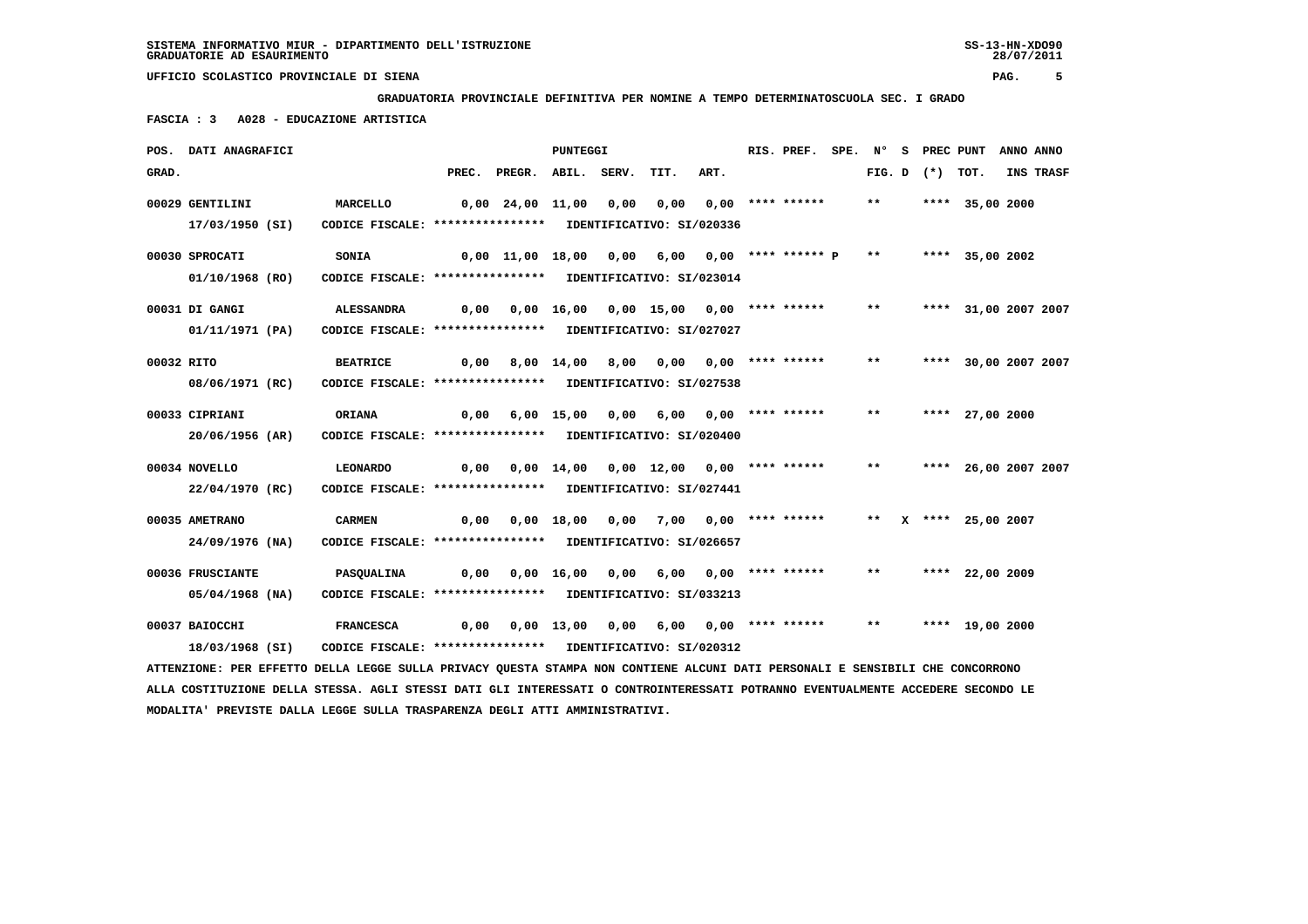**GRADUATORIA PROVINCIALE DEFINITIVA PER NOMINE A TEMPO DETERMINATOSCUOLA SEC. I GRADO**

 **FASCIA : 3 A028 - EDUCAZIONE ARTISTICA**

|            | POS. DATI ANAGRAFICI                                                                                                          |                                                            |       |                    | PUNTEGGI     |       |                                          |                             | RIS. PREF.         | SPE. N° |       |                   | S PREC PUNT          | ANNO ANNO |           |
|------------|-------------------------------------------------------------------------------------------------------------------------------|------------------------------------------------------------|-------|--------------------|--------------|-------|------------------------------------------|-----------------------------|--------------------|---------|-------|-------------------|----------------------|-----------|-----------|
| GRAD.      |                                                                                                                               |                                                            | PREC. | PREGR.             | ABIL.        | SERV. | TIT.                                     | ART.                        |                    |         |       | FIG. D $(*)$ TOT. |                      |           | INS TRASF |
|            | 00029 GENTILINI                                                                                                               | MARCELLO                                                   |       | $0,00$ 24,00 11,00 |              | 0,00  | 0,00                                     |                             | $0.00$ **** ****** |         | $***$ |                   | **** 35,00 2000      |           |           |
|            | 17/03/1950 (SI)                                                                                                               | CODICE FISCALE: **************** IDENTIFICATIVO: SI/020336 |       |                    |              |       |                                          |                             |                    |         |       |                   |                      |           |           |
|            | 00030 SPROCATI                                                                                                                | SONIA                                                      |       | 0,00 11,00 18,00   |              | 0,00  |                                          | $6,00$ $0,00$ **** ****** P |                    |         | $***$ |                   | **** 35,00 2002      |           |           |
|            | 01/10/1968 (RO)                                                                                                               | CODICE FISCALE: **************** IDENTIFICATIVO: SI/023014 |       |                    |              |       |                                          |                             |                    |         |       |                   |                      |           |           |
|            | 00031 DI GANGI                                                                                                                | <b>ALESSANDRA</b>                                          | 0,00  |                    |              |       | $0,00$ 16,00 0,00 15,00 0,00 **** ****** |                             |                    |         | $***$ |                   | **** 31,00 2007 2007 |           |           |
|            | 01/11/1971 (PA)                                                                                                               | CODICE FISCALE: **************** IDENTIFICATIVO: SI/027027 |       |                    |              |       |                                          |                             |                    |         |       |                   |                      |           |           |
| 00032 RITO |                                                                                                                               | <b>BEATRICE</b>                                            | 0,00  |                    |              |       | 8,00 14,00 8,00 0,00 0,00 **** ******    |                             |                    |         | $***$ |                   | **** 30,00 2007 2007 |           |           |
|            | 08/06/1971 (RC)                                                                                                               | CODICE FISCALE: **************** IDENTIFICATIVO: SI/027538 |       |                    |              |       |                                          |                             |                    |         |       |                   |                      |           |           |
|            | 00033 CIPRIANI                                                                                                                | ORIANA                                                     | 0,00  |                    | $6,00$ 15,00 | 0,00  | 6,00                                     |                             | $0.00$ **** ****** |         | $***$ |                   | **** 27,00 2000      |           |           |
|            | 20/06/1956 (AR)                                                                                                               | CODICE FISCALE: **************** IDENTIFICATIVO: SI/020400 |       |                    |              |       |                                          |                             |                    |         |       |                   |                      |           |           |
|            | 00034 NOVELLO                                                                                                                 | <b>LEONARDO</b>                                            | 0,00  |                    |              |       | $0,00$ 14,00 0,00 12,00 0,00 **** ****** |                             |                    |         | $* *$ |                   | **** 26,00 2007 2007 |           |           |
|            | 22/04/1970 (RC)                                                                                                               | CODICE FISCALE: **************** IDENTIFICATIVO: SI/027441 |       |                    |              |       |                                          |                             |                    |         |       |                   |                      |           |           |
|            | 00035 AMETRANO                                                                                                                | <b>CARMEN</b>                                              | 0,00  |                    | 0,00 18,00   | 0,00  | 7,00                                     |                             | 0,00 **** ******   |         | $* *$ |                   | X **** 25,00 2007    |           |           |
|            | 24/09/1976 (NA)                                                                                                               | CODICE FISCALE: **************** IDENTIFICATIVO: SI/026657 |       |                    |              |       |                                          |                             |                    |         |       |                   |                      |           |           |
|            | 00036 FRUSCIANTE                                                                                                              | <b>PASQUALINA</b>                                          | 0,00  |                    | 0,00 16,00   | 0,00  | 6,00                                     |                             | $0.00$ **** ****** |         | $* *$ |                   | **** 22,00 2009      |           |           |
|            | 05/04/1968 (NA)                                                                                                               | CODICE FISCALE: **************** IDENTIFICATIVO: SI/033213 |       |                    |              |       |                                          |                             |                    |         |       |                   |                      |           |           |
|            | 00037 BAIOCCHI                                                                                                                | <b>FRANCESCA</b>                                           | 0,00  |                    |              |       | $0,00$ 13,00 0,00 6,00 0,00 **** ******  |                             |                    |         | $***$ |                   | **** 19,00 2000      |           |           |
|            | 18/03/1968 (SI)                                                                                                               | CODICE FISCALE: **************** IDENTIFICATIVO: SI/020312 |       |                    |              |       |                                          |                             |                    |         |       |                   |                      |           |           |
|            | ATTENZIONE: PER EFFETTO DELLA LEGGE SULLA PRIVACY QUESTA STAMPA NON CONTIENE ALCUNI DATI PERSONALI E SENSIBILI CHE CONCORRONO |                                                            |       |                    |              |       |                                          |                             |                    |         |       |                   |                      |           |           |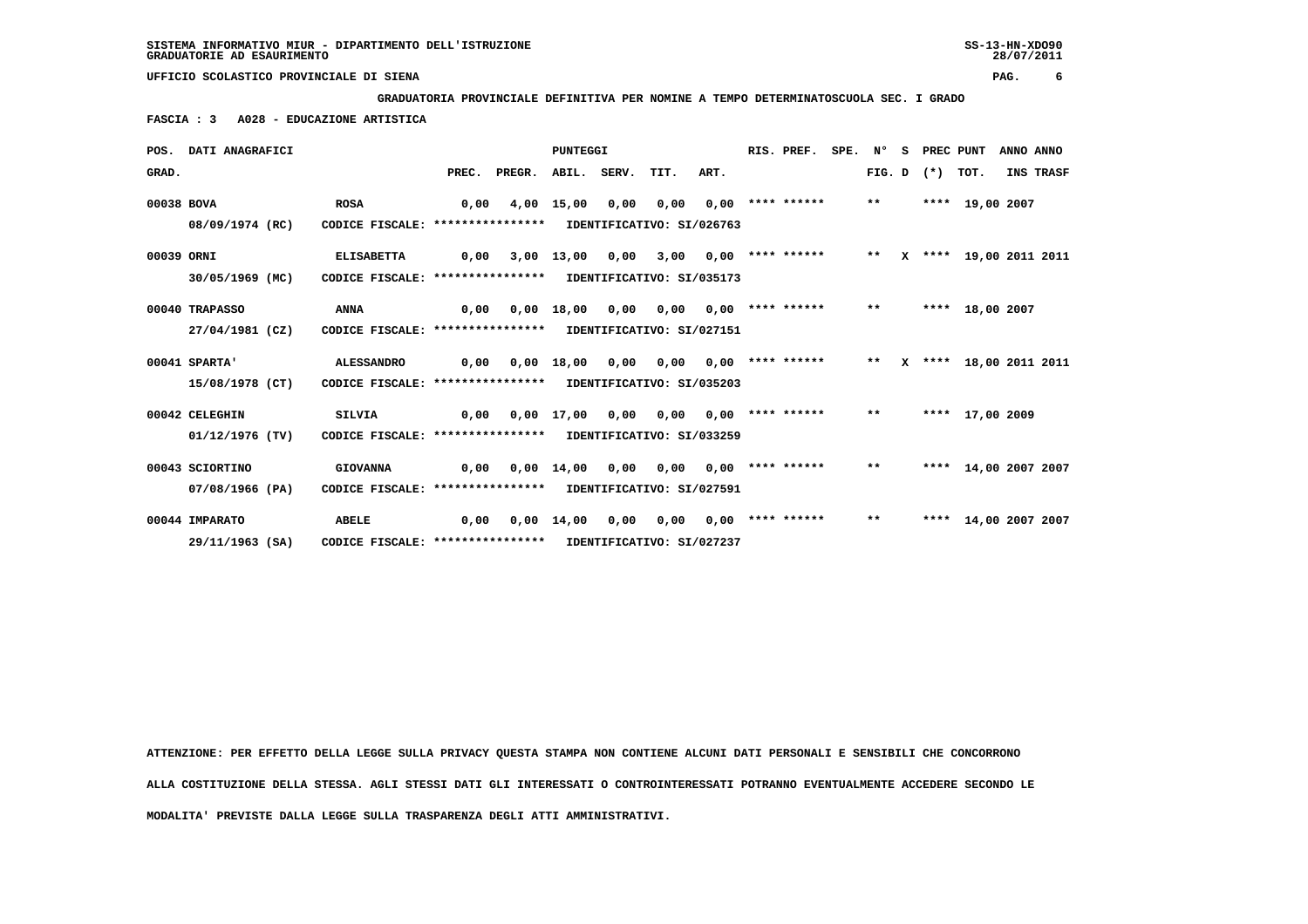**GRADUATORIA PROVINCIALE DEFINITIVA PER NOMINE A TEMPO DETERMINATOSCUOLA SEC. I GRADO**

 **FASCIA : 3 A028 - EDUCAZIONE ARTISTICA**

|            | POS. DATI ANAGRAFICI |                                                            |       |        | <b>PUNTEGGI</b>    |                  |                           |      | RIS. PREF.            | SPE. | N°           | s | PREC PUNT         |                        | ANNO ANNO |           |
|------------|----------------------|------------------------------------------------------------|-------|--------|--------------------|------------------|---------------------------|------|-----------------------|------|--------------|---|-------------------|------------------------|-----------|-----------|
| GRAD.      |                      |                                                            | PREC. | PREGR. |                    | ABIL. SERV. TIT. |                           | ART. |                       |      |              |   | FIG. D $(*)$ TOT. |                        |           | INS TRASF |
| 00038 BOVA |                      | <b>ROSA</b>                                                | 0,00  |        | 4,00 15,00         | 0,00             | 0,00                      |      | $0,00$ **** ******    |      | $\star\star$ |   |                   | **** 19,00 2007        |           |           |
|            | 08/09/1974 (RC)      | CODICE FISCALE: ****************                           |       |        |                    |                  | IDENTIFICATIVO: SI/026763 |      |                       |      |              |   |                   |                        |           |           |
| 00039 ORNI |                      | <b>ELISABETTA</b>                                          | 0,00  |        | $3,00$ 13,00       | 0,00             | 3,00                      |      | $0,00$ **** ******    |      | $***$        |   |                   | X **** 19,00 2011 2011 |           |           |
|            | 30/05/1969 (MC)      | CODICE FISCALE: *****************                          |       |        |                    |                  | IDENTIFICATIVO: SI/035173 |      |                       |      |              |   |                   |                        |           |           |
|            | 00040 TRAPASSO       | <b>ANNA</b>                                                | 0,00  |        | $0,00$ 18,00       | 0,00             | 0,00                      |      | $0,00$ **** ******    |      | $***$        |   |                   | **** 18,00 2007        |           |           |
|            | 27/04/1981 (CZ)      | CODICE FISCALE: **************** IDENTIFICATIVO: SI/027151 |       |        |                    |                  |                           |      |                       |      |              |   |                   |                        |           |           |
|            | 00041 SPARTA'        | <b>ALESSANDRO</b>                                          | 0,00  |        | $0,00$ 18,00       | 0,00             | 0.00                      |      | $0,00$ **** ****** ** |      |              |   |                   | X **** 18,00 2011 2011 |           |           |
|            | 15/08/1978 (CT)      | CODICE FISCALE: **************** IDENTIFICATIVO: SI/035203 |       |        |                    |                  |                           |      |                       |      |              |   |                   |                        |           |           |
|            | 00042 CELEGHIN       | <b>SILVIA</b>                                              | 0,00  |        | 0,00 17,00         | 0,00             | 0,00                      |      | 0,00 **** ******      |      | $* *$        |   |                   | **** 17,00 2009        |           |           |
|            | $01/12/1976$ (TV)    | CODICE FISCALE: **************** IDENTIFICATIVO: SI/033259 |       |        |                    |                  |                           |      |                       |      |              |   |                   |                        |           |           |
|            | 00043 SCIORTINO      | <b>GIOVANNA</b>                                            | 0,00  |        | 0,00 14,00         | 0,00             | 0,00                      |      | $0.00$ **** ******    |      | $***$        |   |                   | **** 14,00 2007 2007   |           |           |
|            | 07/08/1966 (PA)      | CODICE FISCALE: **************** IDENTIFICATIVO: SI/027591 |       |        |                    |                  |                           |      |                       |      |              |   |                   |                        |           |           |
|            | 00044 IMPARATO       | <b>ABELE</b>                                               | 0,00  |        | $0.00 \quad 14.00$ | 0.00             | 0,00                      |      | $0,00$ **** ******    |      | $***$        |   |                   | **** 14,00 2007 2007   |           |           |
|            | 29/11/1963 (SA)      | CODICE FISCALE: **************** IDENTIFICATIVO: SI/027237 |       |        |                    |                  |                           |      |                       |      |              |   |                   |                        |           |           |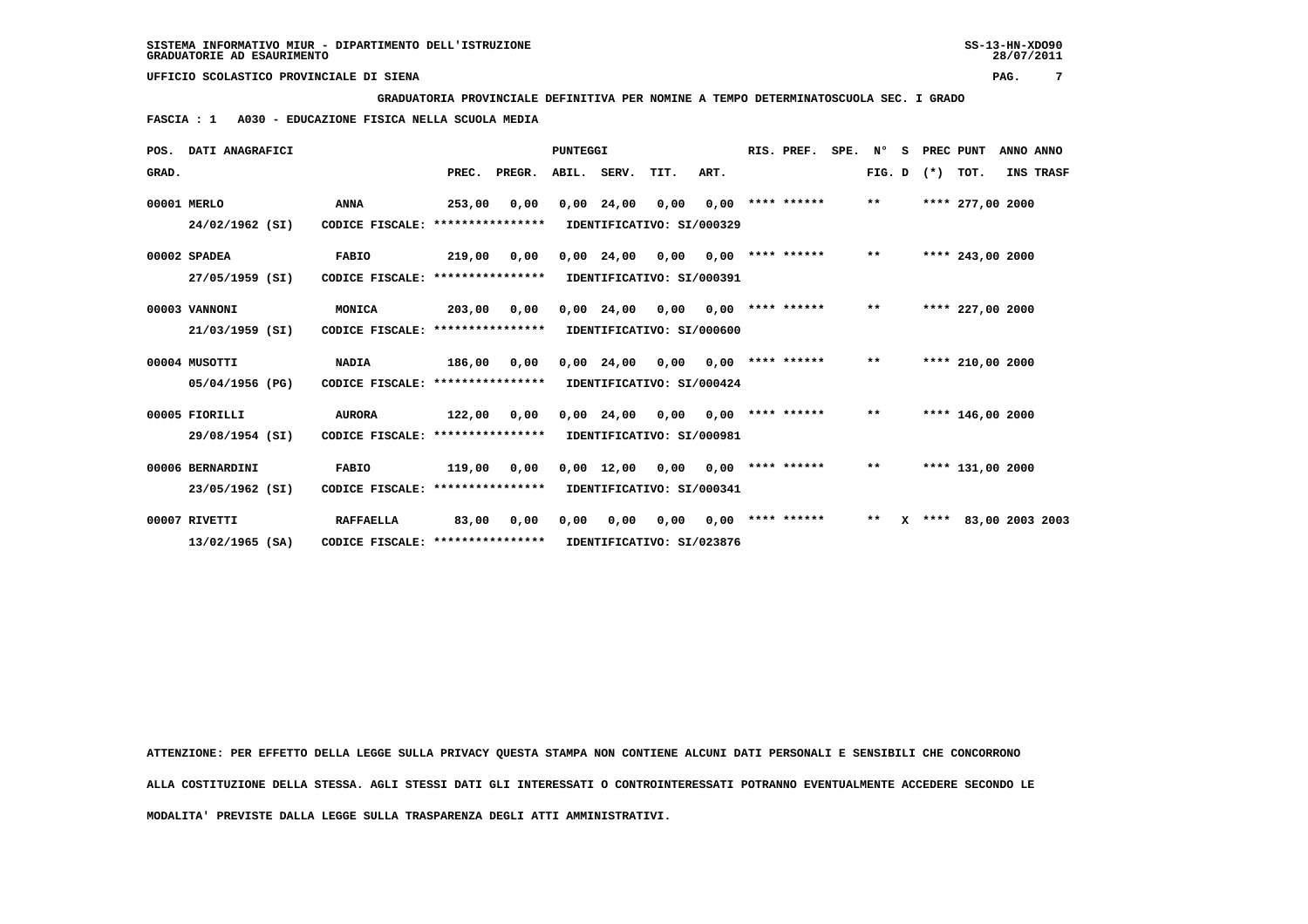**GRADUATORIA PROVINCIALE DEFINITIVA PER NOMINE A TEMPO DETERMINATOSCUOLA SEC. I GRADO**

 **FASCIA : 1 A030 - EDUCAZIONE FISICA NELLA SCUOLA MEDIA**

| POS.  | <b>DATI ANAGRAFICI</b> |                                   |        |                    | <b>PUNTEGGI</b> |              |                           |      | RIS. PREF.         | SPE. | N°           | s |       | PREC PUNT        | ANNO ANNO       |
|-------|------------------------|-----------------------------------|--------|--------------------|-----------------|--------------|---------------------------|------|--------------------|------|--------------|---|-------|------------------|-----------------|
| GRAD. |                        |                                   | PREC.  | PREGR. ABIL. SERV. |                 |              | TIT.                      | ART. |                    |      | FIG. D       |   | $(*)$ | TOT.             | INS TRASF       |
|       | 00001 MERLO            | <b>ANNA</b>                       | 253,00 | 0,00               |                 | $0,00$ 24,00 | 0,00                      |      | $0,00$ **** ****** |      | $\star\star$ |   |       | **** 277,00 2000 |                 |
|       | 24/02/1962 (SI)        | CODICE FISCALE: ***************** |        |                    |                 |              | IDENTIFICATIVO: SI/000329 |      |                    |      |              |   |       |                  |                 |
|       | 00002 SPADEA           | <b>FABIO</b>                      | 219,00 | 0,00               |                 | $0,00$ 24,00 | 0,00                      | 0,00 | **** ******        |      | $* *$        |   |       | **** 243,00 2000 |                 |
|       | 27/05/1959 (SI)        | CODICE FISCALE: ***************** |        |                    |                 |              | IDENTIFICATIVO: SI/000391 |      |                    |      |              |   |       |                  |                 |
|       | 00003 VANNONI          | MONICA                            | 203,00 | 0,00               |                 | $0,00$ 24,00 | 0,00                      | 0,00 | **** ******        |      | $* *$        |   |       | **** 227,00 2000 |                 |
|       | 21/03/1959 (SI)        | CODICE FISCALE: ****************  |        |                    |                 |              | IDENTIFICATIVO: SI/000600 |      |                    |      |              |   |       |                  |                 |
|       | 00004 MUSOTTI          | <b>NADIA</b>                      | 186,00 | 0,00               |                 | $0,00$ 24,00 | 0,00                      | 0.00 | **** ******        |      | $***$        |   |       | **** 210,00 2000 |                 |
|       | 05/04/1956 (PG)        | CODICE FISCALE: ****************  |        |                    |                 |              | IDENTIFICATIVO: SI/000424 |      |                    |      |              |   |       |                  |                 |
|       | 00005 FIORILLI         | <b>AURORA</b>                     | 122,00 | 0,00               |                 | $0,00$ 24,00 | 0,00                      | 0.00 | **** ******        |      | $* *$        |   |       | **** 146,00 2000 |                 |
|       | 29/08/1954 (SI)        | CODICE FISCALE: ***************** |        |                    |                 |              | IDENTIFICATIVO: SI/000981 |      |                    |      |              |   |       |                  |                 |
|       | 00006 BERNARDINI       | <b>FABIO</b>                      | 119,00 | 0,00               |                 | $0,00$ 12,00 | 0.00                      | 0.00 | **** ******        |      | $* *$        |   |       | **** 131,00 2000 |                 |
|       | 23/05/1962 (SI)        | CODICE FISCALE: ***************** |        |                    |                 |              | IDENTIFICATIVO: SI/000341 |      |                    |      |              |   |       |                  |                 |
|       | 00007 RIVETTI          | <b>RAFFAELLA</b>                  | 83,00  | 0,00               | 0,00            | 0,00         | 0,00                      | 0.00 | **** ******        |      | $* *$        | x | ****  |                  | 83,00 2003 2003 |
|       | $13/02/1965$ (SA)      | CODICE FISCALE: ***************** |        |                    |                 |              | IDENTIFICATIVO: SI/023876 |      |                    |      |              |   |       |                  |                 |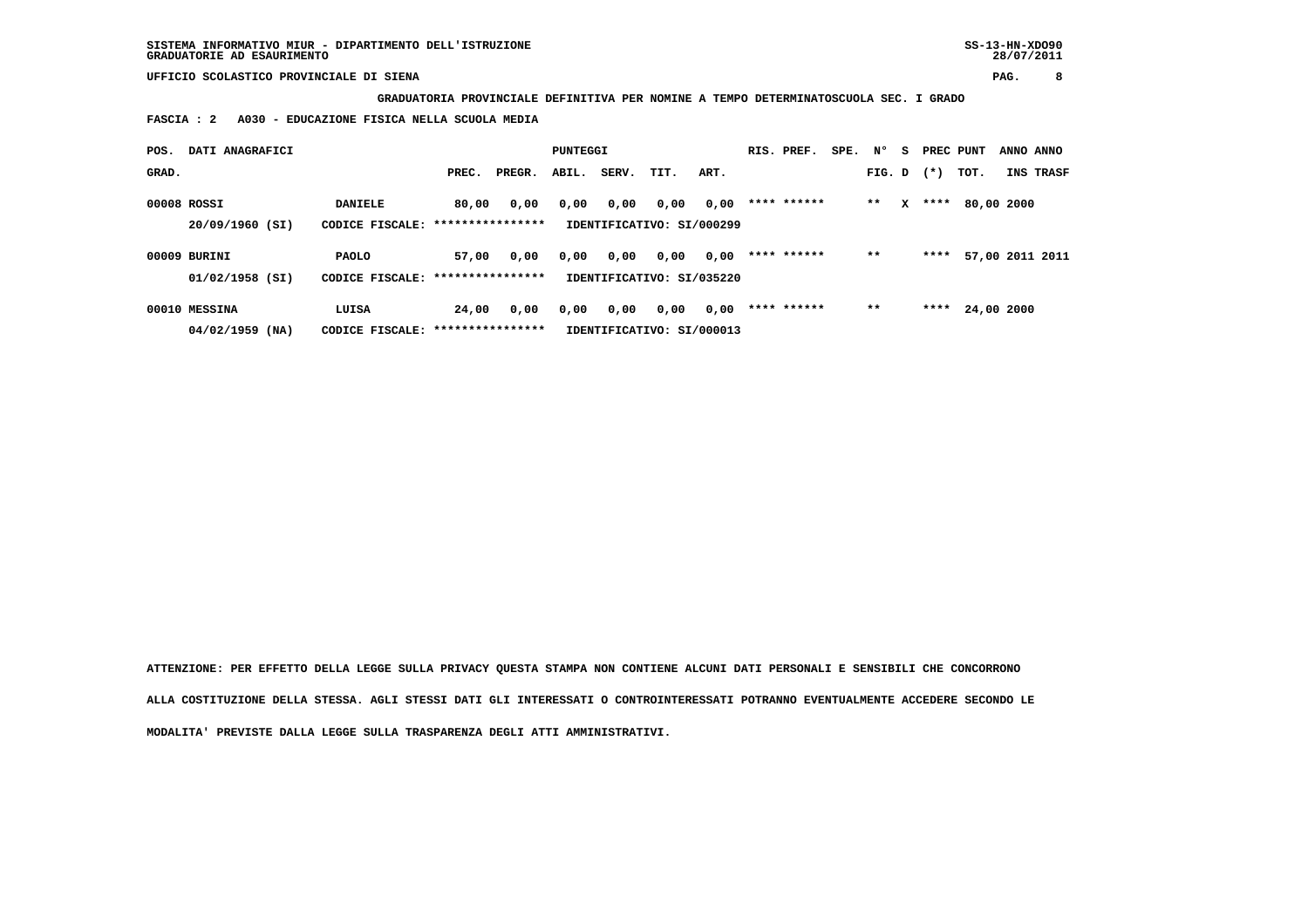**GRADUATORIA PROVINCIALE DEFINITIVA PER NOMINE A TEMPO DETERMINATOSCUOLA SEC. I GRADO**

 **FASCIA : 2 A030 - EDUCAZIONE FISICA NELLA SCUOLA MEDIA**

| POS.  | DATI ANAGRAFICI   |                                   |       |        | PUNTEGGI |       |                           |      | RIS. PREF.  | SPE. | N°     | - S | PREC PUNT |            | ANNO ANNO       |
|-------|-------------------|-----------------------------------|-------|--------|----------|-------|---------------------------|------|-------------|------|--------|-----|-----------|------------|-----------------|
| GRAD. |                   |                                   | PREC. | PREGR. | ABIL.    | SERV. | TIT.                      | ART. |             |      | FIG. D |     | $(* )$    | TOT.       | INS TRASF       |
|       | 00008 ROSSI       | <b>DANIELE</b>                    | 80,00 | 0,00   | 0,00     | 0,00  | 0,00                      | 0,00 | **** ****** |      | $***$  | x   | ****      | 80,00 2000 |                 |
|       | 20/09/1960 (SI)   | CODICE FISCALE: ***************** |       |        |          |       | IDENTIFICATIVO: SI/000299 |      |             |      |        |     |           |            |                 |
|       | 00009 BURINI      | <b>PAOLO</b>                      | 57,00 | 0,00   | 0,00     | 0,00  | 0,00                      | 0,00 | **** ****** |      | $* *$  |     | ****      |            | 57,00 2011 2011 |
|       | 01/02/1958 (SI)   | CODICE FISCALE: ***************** |       |        |          |       | IDENTIFICATIVO: SI/035220 |      |             |      |        |     |           |            |                 |
|       | 00010 MESSINA     | LUISA                             | 24,00 | 0,00   | 0,00     | 0,00  | 0,00                      | 0,00 | **** ****** |      | $***$  |     | ****      | 24,00 2000 |                 |
|       | $04/02/1959$ (NA) | CODICE FISCALE: ***************** |       |        |          |       | IDENTIFICATIVO: SI/000013 |      |             |      |        |     |           |            |                 |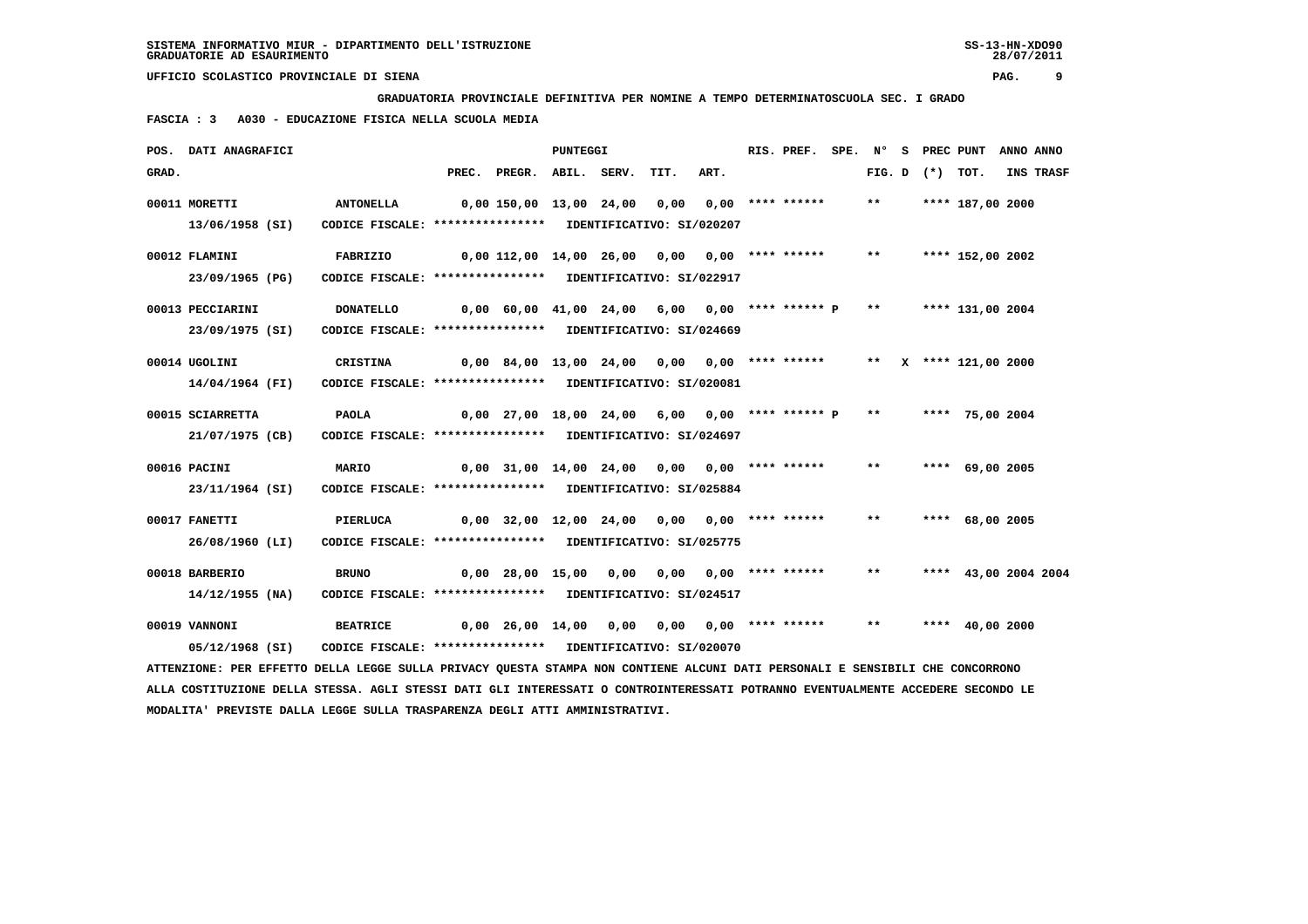**GRADUATORIA PROVINCIALE DEFINITIVA PER NOMINE A TEMPO DETERMINATOSCUOLA SEC. I GRADO**

 **FASCIA : 3 A030 - EDUCAZIONE FISICA NELLA SCUOLA MEDIA**

|       | POS. DATI ANAGRAFICI                                                                                                            |                                                            |                                              |                                                   | PUNTEGGI |                                        |      | RIS. PREF. | SPE. N° |       |                   | S PREC PUNT             | ANNO ANNO |
|-------|---------------------------------------------------------------------------------------------------------------------------------|------------------------------------------------------------|----------------------------------------------|---------------------------------------------------|----------|----------------------------------------|------|------------|---------|-------|-------------------|-------------------------|-----------|
| GRAD. |                                                                                                                                 |                                                            |                                              | PREC. PREGR. ABIL. SERV.                          |          | TIT.                                   | ART. |            |         |       | FIG. D $(*)$ TOT. |                         | INS TRASF |
|       | 00011 MORETTI                                                                                                                   | <b>ANTONELLA</b>                                           |                                              | 0,00 150,00 13,00 24,00 0,00 0,00 **** ******     |          |                                        |      |            |         | $***$ |                   | **** 187,00 2000        |           |
|       | 13/06/1958 (SI)                                                                                                                 | CODICE FISCALE: **************** IDENTIFICATIVO: SI/020207 |                                              |                                                   |          |                                        |      |            |         |       |                   |                         |           |
|       | 00012 FLAMINI                                                                                                                   | FABRIZIO                                                   |                                              | 0,00 112,00 14,00 26,00 0,00 0,00 **** ******     |          |                                        |      |            |         | $***$ |                   | **** 152,00 2002        |           |
|       | 23/09/1965 (PG)                                                                                                                 | CODICE FISCALE: **************** IDENTIFICATIVO: SI/022917 |                                              |                                                   |          |                                        |      |            |         |       |                   |                         |           |
|       | 00013 PECCIARINI                                                                                                                | <b>DONATELLO</b>                                           |                                              | 0,00 60,00 41,00 24,00 6,00 0,00 **** ****** P ** |          |                                        |      |            |         |       |                   | **** 131,00 2004        |           |
|       | 23/09/1975 (SI)                                                                                                                 | CODICE FISCALE: **************** IDENTIFICATIVO: SI/024669 |                                              |                                                   |          |                                        |      |            |         |       |                   |                         |           |
|       | 00014 UGOLINI                                                                                                                   | CRISTINA                                                   |                                              | 0,00 84,00 13,00 24,00 0,00 0,00 **** ******      |          |                                        |      |            |         |       |                   | ** $X$ **** 121,00 2000 |           |
|       | 14/04/1964 (FI)                                                                                                                 | CODICE FISCALE: **************** IDENTIFICATIVO: SI/020081 |                                              |                                                   |          |                                        |      |            |         |       |                   |                         |           |
|       |                                                                                                                                 |                                                            |                                              |                                                   |          |                                        |      |            |         | $***$ |                   |                         |           |
|       | 00015 SCIARRETTA                                                                                                                | <b>PAOLA</b>                                               |                                              | $0,00$ 27,00 18,00 24,00 6,00 0,00 **** ****** P  |          |                                        |      |            |         |       |                   | **** 75,00 2004         |           |
|       | 21/07/1975 (CB)                                                                                                                 | CODICE FISCALE: **************** IDENTIFICATIVO: SI/024697 |                                              |                                                   |          |                                        |      |            |         |       |                   |                         |           |
|       | 00016 PACINI                                                                                                                    | <b>MARIO</b>                                               | 0,00 31,00 14,00 24,00 0,00 0,00 **** ****** |                                                   |          |                                        |      |            |         | $***$ |                   | **** 69,00 2005         |           |
|       | 23/11/1964 (SI)                                                                                                                 | CODICE FISCALE: **************** IDENTIFICATIVO: SI/025884 |                                              |                                                   |          |                                        |      |            |         |       |                   |                         |           |
|       | 00017 FANETTI                                                                                                                   | PIERLUCA                                                   |                                              | 0,00 32,00 12,00 24,00 0,00 0,00 **** ******      |          |                                        |      |            |         | $***$ |                   | **** 68,00 2005         |           |
|       | 26/08/1960 (LI)                                                                                                                 | CODICE FISCALE: **************** IDENTIFICATIVO: SI/025775 |                                              |                                                   |          |                                        |      |            |         |       |                   |                         |           |
|       | 00018 BARBERIO                                                                                                                  | <b>BRUNO</b>                                               |                                              | 0,00 28,00 15,00                                  |          | $0,00$ $0,00$ $0,00$ **** ******       |      |            |         | $***$ |                   | **** 43,00 2004 2004    |           |
|       | 14/12/1955 (NA)                                                                                                                 | CODICE FISCALE: **************** IDENTIFICATIVO: SI/024517 |                                              |                                                   |          |                                        |      |            |         |       |                   |                         |           |
|       | 00019 VANNONI                                                                                                                   | <b>BEATRICE</b>                                            |                                              | 0,00 26,00 14,00                                  |          | $0,00$ $0,00$ $0,00$ $***$ **** ****** |      |            |         | $***$ |                   | **** $40.002000$        |           |
|       | 05/12/1968 (SI)                                                                                                                 | CODICE FISCALE: **************** IDENTIFICATIVO: SI/020070 |                                              |                                                   |          |                                        |      |            |         |       |                   |                         |           |
|       | ATTENZIONE: PER EFFETTO DELLA LEGGE SULLA PRIVACY QUESTA STAMPA NON CONTIENE ALCUNI DATI PERSONALI E SENSIBILI CHE CONCORRONO   |                                                            |                                              |                                                   |          |                                        |      |            |         |       |                   |                         |           |
|       | ALLA COSTITUZIONE DELLA STESSA. AGLI STESSI DATI GLI INTERESSATI O CONTROINTERESSATI POTRANNO EVENTUALMENTE ACCEDERE SECONDO LE |                                                            |                                              |                                                   |          |                                        |      |            |         |       |                   |                         |           |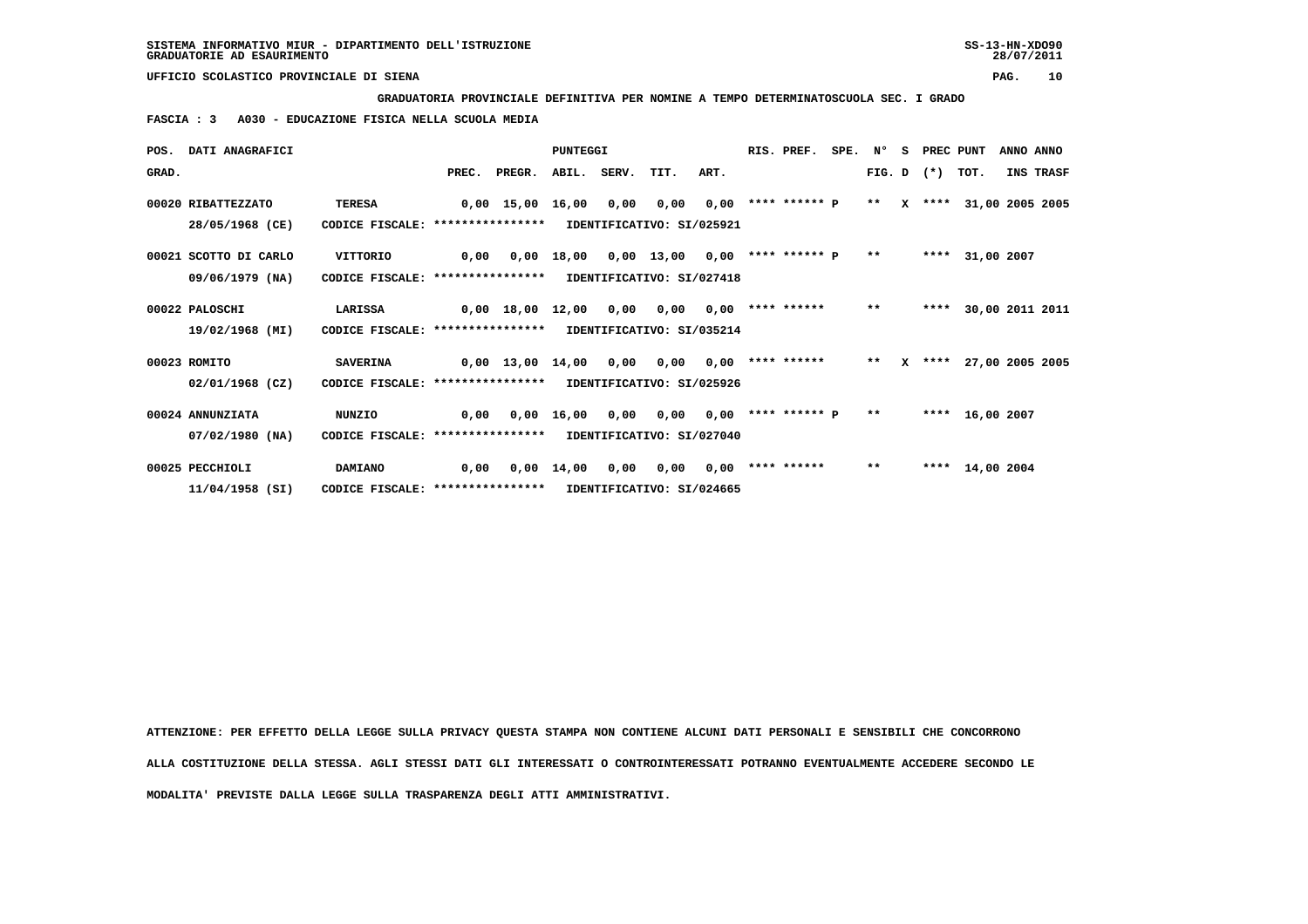**GRADUATORIA PROVINCIALE DEFINITIVA PER NOMINE A TEMPO DETERMINATOSCUOLA SEC. I GRADO**

 **FASCIA : 3 A030 - EDUCAZIONE FISICA NELLA SCUOLA MEDIA**

|       | POS. DATI ANAGRAFICI  |                                                            |      |                  | PUNTEGGI           |             |                                 |      | RIS. PREF.                | SPE. N° |               | S. | PREC PUNT      |                        | ANNO ANNO |                 |
|-------|-----------------------|------------------------------------------------------------|------|------------------|--------------------|-------------|---------------------------------|------|---------------------------|---------|---------------|----|----------------|------------------------|-----------|-----------------|
| GRAD. |                       |                                                            |      | PREC. PREGR.     |                    | ABIL. SERV. | TIT.                            | ART. |                           |         |               |    | $FIG. D$ $(*)$ | TOT.                   |           | INS TRASF       |
|       | 00020 RIBATTEZZATO    | TERESA                                                     |      | 0,00 15,00       | 16,00              | 0,00        | 0,00                            |      | $0,00$ **** ****** $P$ ** |         |               |    |                | X **** 31,00 2005 2005 |           |                 |
|       | 28/05/1968 (CE)       | CODICE FISCALE: ****************                           |      |                  |                    |             | IDENTIFICATIVO: SI/025921       |      |                           |         |               |    |                |                        |           |                 |
|       | 00021 SCOTTO DI CARLO | VITTORIO                                                   | 0,00 |                  | 0,00 18,00         |             | $0,00$ 13,00 0,00 **** ****** P |      |                           |         | $\star \star$ |    |                | **** 31,00 2007        |           |                 |
|       | 09/06/1979 (NA)       | CODICE FISCALE: **************** IDENTIFICATIVO: SI/027418 |      |                  |                    |             |                                 |      |                           |         |               |    |                |                        |           |                 |
|       | 00022 PALOSCHI        | LARISSA                                                    |      | 0,00 18,00 12,00 |                    | 0,00        | 0,00                            |      | $0,00$ **** ******        |         | $***$         |    | ****           |                        |           | 30,00 2011 2011 |
|       | 19/02/1968 (MI)       | CODICE FISCALE: **************** IDENTIFICATIVO: SI/035214 |      |                  |                    |             |                                 |      |                           |         |               |    |                |                        |           |                 |
|       | 00023 ROMITO          | <b>SAVERINA</b>                                            |      | 0,00 13,00 14,00 |                    | 0,00        | 0,00                            |      | $0,00$ **** ****** **     |         |               |    |                | X **** 27,00 2005 2005 |           |                 |
|       | 02/01/1968 (CZ)       | CODICE FISCALE: ****************                           |      |                  |                    |             | IDENTIFICATIVO: SI/025926       |      |                           |         |               |    |                |                        |           |                 |
|       | 00024 ANNUNZIATA      | <b>NUNZIO</b>                                              | 0,00 |                  | 0,00 16,00         | 0,00        | 0,00                            |      | $0.00$ **** ****** P      |         | $\star\star$  |    |                | **** 16,00 2007        |           |                 |
|       | 07/02/1980 (NA)       | CODICE FISCALE: **************** IDENTIFICATIVO: SI/027040 |      |                  |                    |             |                                 |      |                           |         |               |    |                |                        |           |                 |
|       | 00025 PECCHIOLI       | <b>DAMIANO</b>                                             | 0,00 |                  | $0.00 \quad 14.00$ | 0,00        | 0,00                            |      | $0.00$ **** ******        |         | $***$         |    |                | **** 14,00 2004        |           |                 |
|       | 11/04/1958 (SI)       | CODICE FISCALE: *****************                          |      |                  |                    |             | IDENTIFICATIVO: SI/024665       |      |                           |         |               |    |                |                        |           |                 |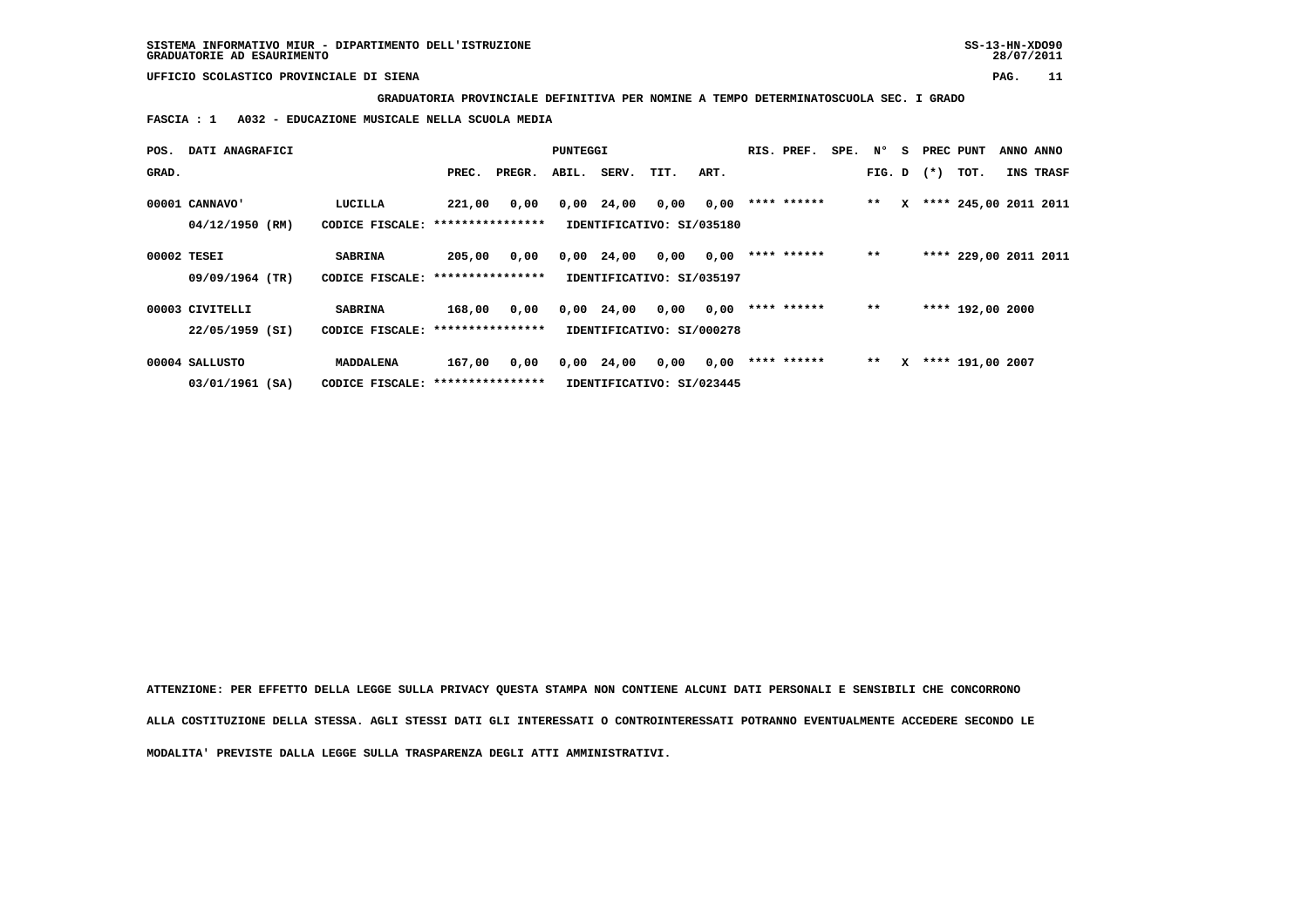**GRADUATORIA PROVINCIALE DEFINITIVA PER NOMINE A TEMPO DETERMINATOSCUOLA SEC. I GRADO**

 **FASCIA : 1 A032 - EDUCAZIONE MUSICALE NELLA SCUOLA MEDIA**

| POS.  | DATI ANAGRAFICI |                                   |                  |        | PUNTEGGI |             |                           |      | RIS. PREF.  | SPE. | Ν°           | s | PREC PUNT |                       | ANNO ANNO |
|-------|-----------------|-----------------------------------|------------------|--------|----------|-------------|---------------------------|------|-------------|------|--------------|---|-----------|-----------------------|-----------|
| GRAD. |                 |                                   | PREC.            | PREGR. |          | ABIL. SERV. | TIT.                      | ART. |             |      | FIG. D $(*)$ |   |           | TOT.                  | INS TRASF |
|       | 00001 CANNAVO'  | LUCILLA                           | 221,00           | 0,00   | 0,00     | 24,00       | 0,00                      | 0,00 | **** ****** |      | $**$         | x |           | **** 245,00 2011 2011 |           |
|       | 04/12/1950 (RM) | CODICE FISCALE:                   | **************** |        |          |             | IDENTIFICATIVO: SI/035180 |      |             |      |              |   |           |                       |           |
|       | 00002 TESEI     | <b>SABRINA</b>                    | 205,00           | 0,00   | 0,00     | 24,00       | 0,00                      | 0,00 | **** ****** |      | $**$         |   |           | **** 229,00 2011 2011 |           |
|       | 09/09/1964 (TR) | CODICE FISCALE: ***************** |                  |        |          |             | IDENTIFICATIVO: SI/035197 |      |             |      |              |   |           |                       |           |
|       | 00003 CIVITELLI | <b>SABRINA</b>                    | 168,00           | 0,00   | 0,00     | 24,00       | 0,00                      | 0,00 | **** ****** |      | $***$        |   |           | **** 192,00 2000      |           |
|       | 22/05/1959 (SI) | CODICE FISCALE: ****************  |                  |        |          |             | IDENTIFICATIVO: SI/000278 |      |             |      |              |   |           |                       |           |
|       | 00004 SALLUSTO  | MADDALENA                         | 167,00           | 0,00   | 0,00     | 24,00       | 0,00                      | 0,00 | **** ****** |      | $* *$        | x |           | **** 191,00 2007      |           |
|       | 03/01/1961 (SA) | CODICE FISCALE: ***************** |                  |        |          |             | IDENTIFICATIVO: SI/023445 |      |             |      |              |   |           |                       |           |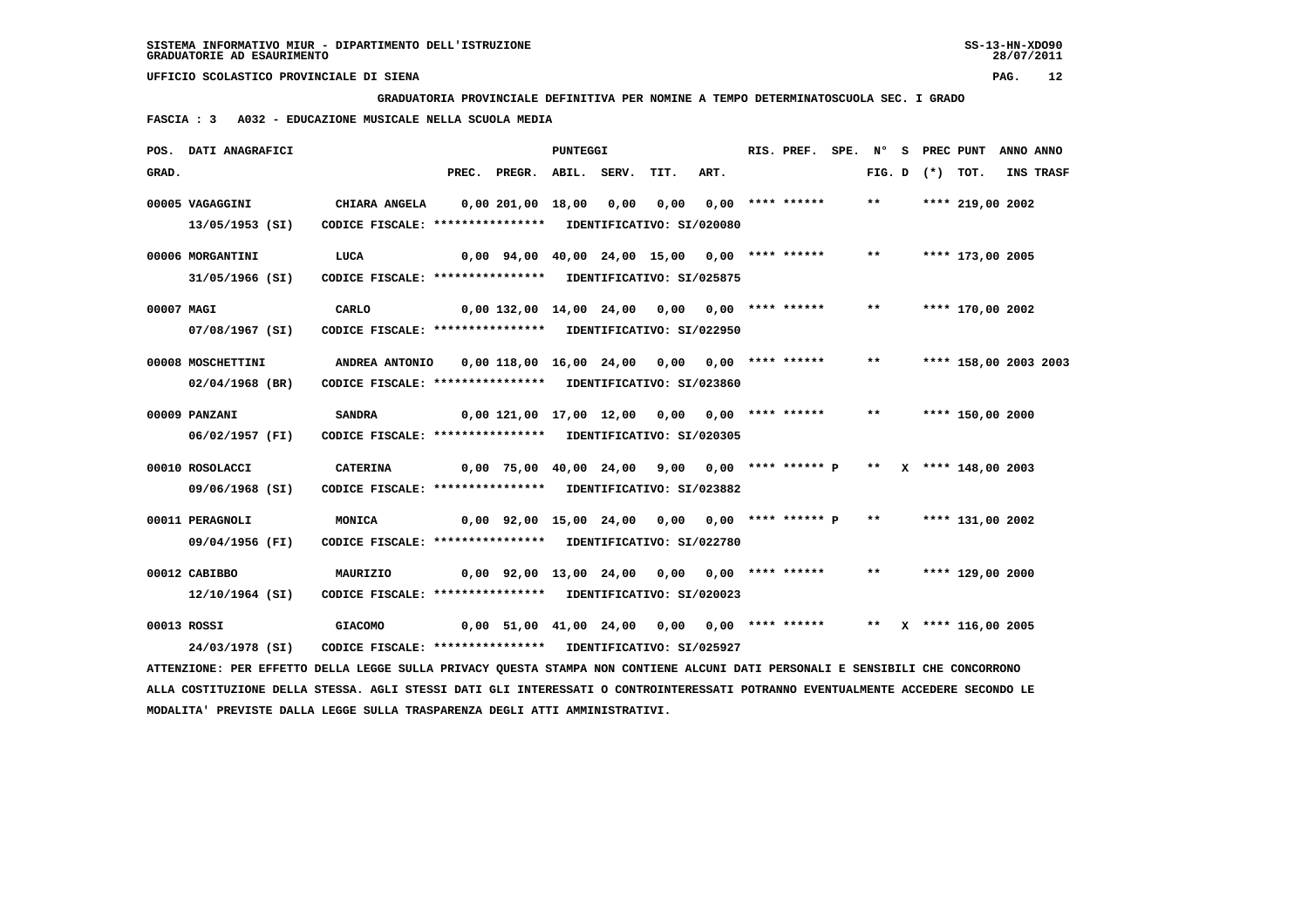**GRADUATORIA PROVINCIALE DEFINITIVA PER NOMINE A TEMPO DETERMINATOSCUOLA SEC. I GRADO**

 **FASCIA : 3 A032 - EDUCAZIONE MUSICALE NELLA SCUOLA MEDIA**

|            | POS. DATI ANAGRAFICI                                                                                                          |                                                              |                                                                        | <b>PUNTEGGI</b> |                       |      | RIS. PREF. |       |                   | SPE. N° S PREC PUNT ANNO ANNO |           |
|------------|-------------------------------------------------------------------------------------------------------------------------------|--------------------------------------------------------------|------------------------------------------------------------------------|-----------------|-----------------------|------|------------|-------|-------------------|-------------------------------|-----------|
| GRAD.      |                                                                                                                               |                                                              | PREC. PREGR. ABIL. SERV.                                               |                 | TIT.                  | ART. |            |       | FIG. D $(*)$ TOT. |                               | INS TRASF |
|            | 00005 VAGAGGINI                                                                                                               | <b>CHIARA ANGELA</b>                                         | 0,00 201,00 18,00 0,00                                                 |                 | 0,00 0,00 **** ****** |      |            | $***$ |                   | **** 219,00 2002              |           |
|            | 13/05/1953 (SI)                                                                                                               | CODICE FISCALE: **************** IDENTIFICATIVO: SI/020080   |                                                                        |                 |                       |      |            |       |                   |                               |           |
|            | 00006 MORGANTINI                                                                                                              | LUCA                                                         | 0,00 94,00 40,00 24,00 15,00 0,00 **** ******                          |                 |                       |      |            | $***$ |                   | **** 173,00 2005              |           |
|            | 31/05/1966 (SI)                                                                                                               | CODICE FISCALE: **************** IDENTIFICATIVO: SI/025875   |                                                                        |                 |                       |      |            |       |                   |                               |           |
| 00007 MAGI |                                                                                                                               | CARLO                                                        | $0,00$ 132,00 14,00 24,00 0,00 0,00 **** ******                        |                 |                       |      |            | $***$ |                   | **** 170,00 2002              |           |
|            | 07/08/1967 (SI)                                                                                                               | CODICE FISCALE: **************** IDENTIFICATIVO: SI/022950   |                                                                        |                 |                       |      |            |       |                   |                               |           |
|            | 00008 MOSCHETTINI                                                                                                             | ANDREA ANTONIO 0,00 118,00 16,00 24,00 0,00 0,00 **** ****** |                                                                        |                 |                       |      |            | $***$ |                   | **** 158,00 2003 2003         |           |
|            | $02/04/1968$ (BR)                                                                                                             | CODICE FISCALE: **************** IDENTIFICATIVO: SI/023860   |                                                                        |                 |                       |      |            |       |                   |                               |           |
|            | 00009 PANZANI                                                                                                                 | <b>SANDRA</b>                                                | 0,00 121,00 17,00 12,00 0,00 0,00 **** ******                          |                 |                       |      |            | $***$ |                   | **** 150,00 2000              |           |
|            | 06/02/1957 (FI)                                                                                                               | CODICE FISCALE: **************** IDENTIFICATIVO: SI/020305   |                                                                        |                 |                       |      |            |       |                   |                               |           |
|            | 00010 ROSOLACCI                                                                                                               | CATERINA                                                     | $0,00$ 75,00 40,00 24,00 9,00 0,00 **** ****** P ** X **** 148,00 2003 |                 |                       |      |            |       |                   |                               |           |
|            | 09/06/1968 (SI)                                                                                                               | CODICE FISCALE: **************** IDENTIFICATIVO: SI/023882   |                                                                        |                 |                       |      |            |       |                   |                               |           |
|            | 00011 PERAGNOLI                                                                                                               | MONICA                                                       | $0,00$ 92,00 15,00 24,00 0,00 0,00 **** ****** P **                    |                 |                       |      |            |       |                   | **** 131,00 2002              |           |
|            | 09/04/1956 (FI)                                                                                                               | CODICE FISCALE: **************** IDENTIFICATIVO: SI/022780   |                                                                        |                 |                       |      |            |       |                   |                               |           |
|            | 00012 CABIBBO                                                                                                                 | MAURIZIO                                                     | $0,00$ $92,00$ $13,00$ $24,00$ $0,00$ $0,00$ $***$                     |                 |                       |      |            | $***$ |                   | **** 129,00 2000              |           |
|            | 12/10/1964 (SI)                                                                                                               | CODICE FISCALE: **************** IDENTIFICATIVO: SI/020023   |                                                                        |                 |                       |      |            |       |                   |                               |           |
|            | 00013 ROSSI                                                                                                                   | <b>GIACOMO</b>                                               | 0,00 51,00 41,00 24,00 0,00 0,00 **** ******                           |                 |                       |      |            |       |                   | ** $X$ **** 116,00 2005       |           |
|            | 24/03/1978 (SI)                                                                                                               | CODICE FISCALE: **************** IDENTIFICATIVO: SI/025927   |                                                                        |                 |                       |      |            |       |                   |                               |           |
|            | ATTENZIONE: PER EFFETTO DELLA LEGGE SULLA PRIVACY QUESTA STAMPA NON CONTIENE ALCUNI DATI PERSONALI E SENSIBILI CHE CONCORRONO |                                                              |                                                                        |                 |                       |      |            |       |                   |                               |           |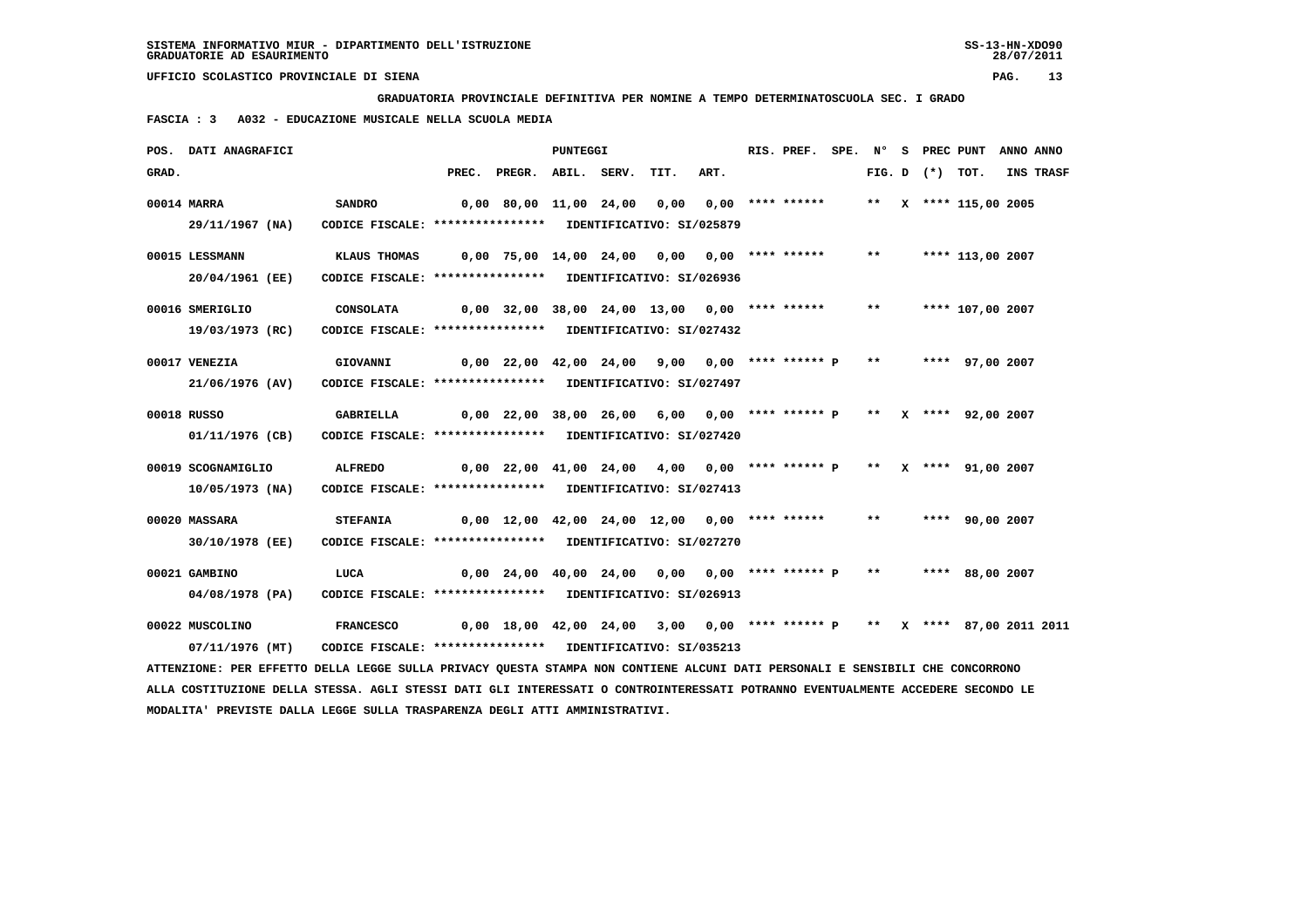**GRADUATORIA PROVINCIALE DEFINITIVA PER NOMINE A TEMPO DETERMINATOSCUOLA SEC. I GRADO**

 **FASCIA : 3 A032 - EDUCAZIONE MUSICALE NELLA SCUOLA MEDIA**

|       | POS. DATI ANAGRAFICI                                                                                                            |                                                            |       |                                                                          | PUNTEGGI |      |      | RIS. PREF. |       |                     | SPE. N° S PREC PUNT   | ANNO ANNO |
|-------|---------------------------------------------------------------------------------------------------------------------------------|------------------------------------------------------------|-------|--------------------------------------------------------------------------|----------|------|------|------------|-------|---------------------|-----------------------|-----------|
| GRAD. |                                                                                                                                 |                                                            | PREC. | PREGR. ABIL. SERV.                                                       |          | TIT. | ART. |            |       | FIG. $D$ $(*)$ TOT. |                       | INS TRASF |
|       | 00014 MARRA                                                                                                                     | <b>SANDRO</b>                                              |       | 0,00 80,00 11,00 24,00 0,00 0,00 **** ******                             |          |      |      |            |       |                     | ** X **** 115,00 2005 |           |
|       | 29/11/1967 (NA)                                                                                                                 | CODICE FISCALE: **************** IDENTIFICATIVO: SI/025879 |       |                                                                          |          |      |      |            |       |                     |                       |           |
|       | 00015 LESSMANN                                                                                                                  | KLAUS THOMAS                                               |       | 0,00 75,00 14,00 24,00 0,00 0,00 **** ******                             |          |      |      |            | $***$ |                     | **** 113,00 2007      |           |
|       | 20/04/1961 (EE)                                                                                                                 | CODICE FISCALE: **************** IDENTIFICATIVO: SI/026936 |       |                                                                          |          |      |      |            |       |                     |                       |           |
|       | 00016 SMERIGLIO                                                                                                                 | <b>CONSOLATA</b>                                           |       | $0,00$ 32,00 38,00 24,00 13,00 0,00 **** ******                          |          |      |      |            | $***$ |                     | **** 107,00 2007      |           |
|       | 19/03/1973 (RC)                                                                                                                 | CODICE FISCALE: **************** IDENTIFICATIVO: SI/027432 |       |                                                                          |          |      |      |            |       |                     |                       |           |
|       | 00017 VENEZIA                                                                                                                   | <b>GIOVANNI</b>                                            |       | 0,00 22,00 42,00 24,00 9,00 0,00 **** ****** P                           |          |      |      |            | $***$ |                     | **** 97,00 2007       |           |
|       | 21/06/1976 (AV)                                                                                                                 | CODICE FISCALE: **************** IDENTIFICATIVO: SI/027497 |       |                                                                          |          |      |      |            |       |                     |                       |           |
|       | 00018 RUSSO                                                                                                                     | <b>GABRIELLA</b>                                           |       | $0,00$ 22,00 38,00 26,00 6,00 0,00 **** ****** P ** X **** 92,00 2007    |          |      |      |            |       |                     |                       |           |
|       | 01/11/1976 (CB)                                                                                                                 | CODICE FISCALE: **************** IDENTIFICATIVO: SI/027420 |       |                                                                          |          |      |      |            |       |                     |                       |           |
|       | 00019 SCOGNAMIGLIO                                                                                                              | <b>ALFREDO</b>                                             |       | $0,00$ 22,00 41,00 24,00 4,00 0,00 **** ****** P ** X **** 91,00 2007    |          |      |      |            |       |                     |                       |           |
|       | 10/05/1973 (NA)                                                                                                                 | CODICE FISCALE: **************** IDENTIFICATIVO: SI/027413 |       |                                                                          |          |      |      |            |       |                     |                       |           |
|       | 00020 MASSARA                                                                                                                   | <b>STEFANIA</b>                                            |       | $0.00$ 12.00 42.00 24.00 12.00 0.00 **** ******                          |          |      |      |            | $***$ |                     | **** 90,00 2007       |           |
|       | 30/10/1978 (EE)                                                                                                                 | CODICE FISCALE: **************** IDENTIFICATIVO: SI/027270 |       |                                                                          |          |      |      |            |       |                     |                       |           |
|       | 00021 GAMBINO                                                                                                                   | LUCA                                                       |       | 0,00 24,00 40,00 24,00 0,00 0,00 **** ****** P ** **** 88,00 2007        |          |      |      |            |       |                     |                       |           |
|       | 04/08/1978 (PA)                                                                                                                 | CODICE FISCALE: **************** IDENTIFICATIVO: SI/026913 |       |                                                                          |          |      |      |            |       |                     |                       |           |
|       | 00022 MUSCOLINO                                                                                                                 | <b>FRANCESCO</b>                                           |       | 0,00 18,00 42,00 24,00 3,00 0,00 **** ****** P ** X **** 87,00 2011 2011 |          |      |      |            |       |                     |                       |           |
|       | 07/11/1976 (MT)                                                                                                                 | CODICE FISCALE: **************** IDENTIFICATIVO: SI/035213 |       |                                                                          |          |      |      |            |       |                     |                       |           |
|       | ATTENZIONE: PER EFFETTO DELLA LEGGE SULLA PRIVACY QUESTA STAMPA NON CONTIENE ALCUNI DATI PERSONALI E SENSIBILI CHE CONCORRONO   |                                                            |       |                                                                          |          |      |      |            |       |                     |                       |           |
|       | ALLA COSTITUZIONE DELLA STESSA. AGLI STESSI DATI GLI INTERESSATI O CONTROINTERESSATI POTRANNO EVENTUALMENTE ACCEDERE SECONDO LE |                                                            |       |                                                                          |          |      |      |            |       |                     |                       |           |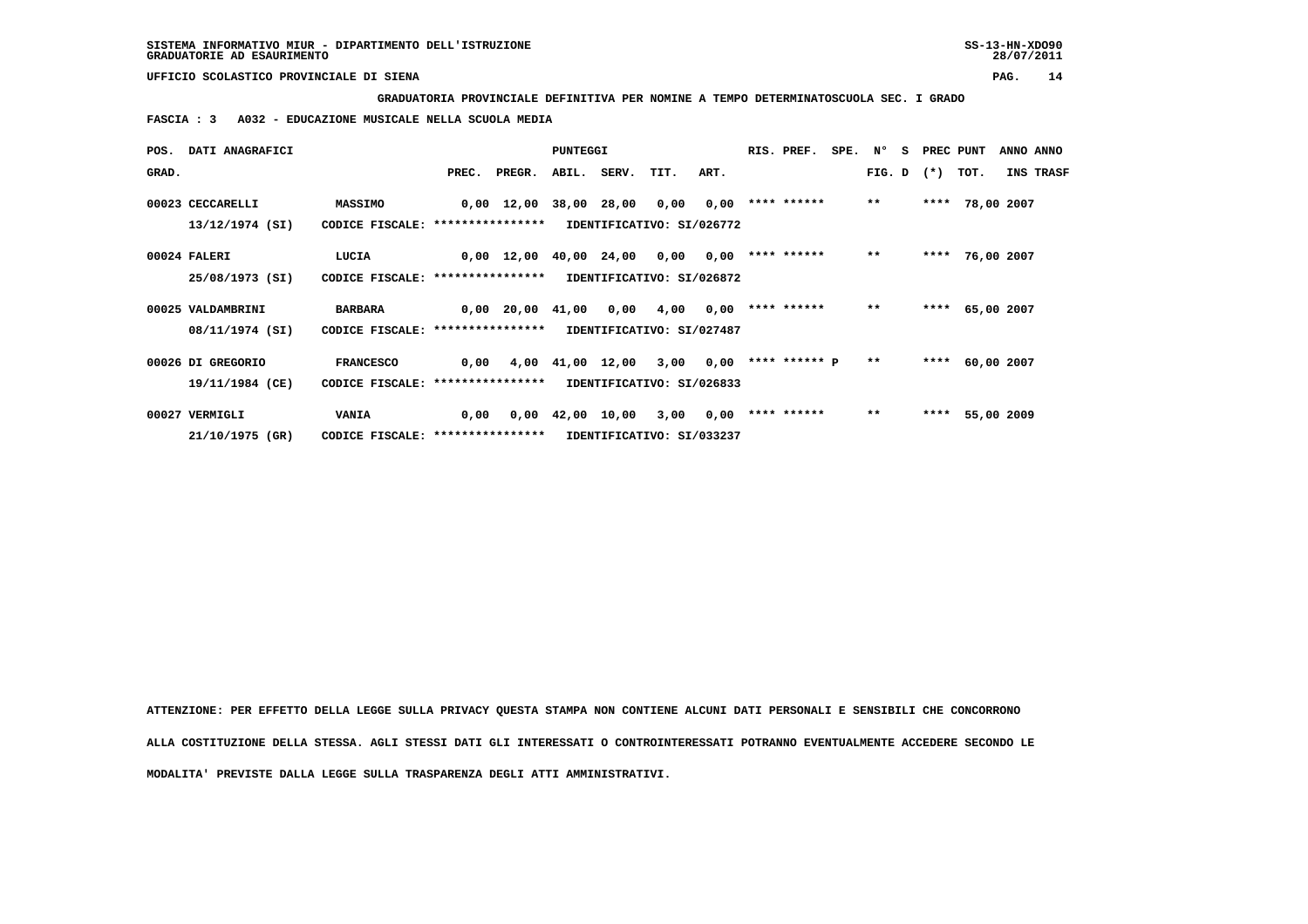**GRADUATORIA PROVINCIALE DEFINITIVA PER NOMINE A TEMPO DETERMINATOSCUOLA SEC. I GRADO**

 **FASCIA : 3 A032 - EDUCAZIONE MUSICALE NELLA SCUOLA MEDIA**

|       | POS. DATI ANAGRAFICI                 |                                                       |       |                                            | PUNTEGGI                       |                  |                                   |      | RIS. PREF.           | SPE. N <sup>o</sup> |       | S. | PREC PUNT         |                 |            | ANNO ANNO        |
|-------|--------------------------------------|-------------------------------------------------------|-------|--------------------------------------------|--------------------------------|------------------|-----------------------------------|------|----------------------|---------------------|-------|----|-------------------|-----------------|------------|------------------|
| GRAD. |                                      |                                                       | PREC. | PREGR.                                     |                                | ABIL. SERV. TIT. |                                   | ART. |                      |                     |       |    | FIG. D $(*)$ TOT. |                 |            | <b>INS TRASF</b> |
|       | 00023 CECCARELLI<br>13/12/1974 (SI)  | <b>MASSIMO</b><br>CODICE FISCALE: *****************   |       | $0,00$ 12,00 38,00 28,00 0,00              |                                |                  | IDENTIFICATIVO: SI/026772         | 0,00 | **** ******          |                     | $***$ |    |                   | **** 78,00 2007 |            |                  |
|       | 00024 FALERI<br>25/08/1973 (SI)      | LUCIA<br>CODICE FISCALE: ****************             |       | $0,00 \quad 12,00 \quad 40,00 \quad 24,00$ |                                |                  | 0,00<br>IDENTIFICATIVO: SI/026872 | 0,00 | **** ******          |                     | $***$ |    |                   | **** 76,00 2007 |            |                  |
|       | 00025 VALDAMBRINI<br>08/11/1974 (SI) | <b>BARBARA</b><br>CODICE FISCALE: *****************   |       | $0,00$ $20,00$ $41,00$ $0,00$              |                                |                  | 4,00<br>IDENTIFICATIVO: SI/027487 | 0,00 | **** ******          |                     | $* *$ |    |                   | **** 65,00 2007 |            |                  |
|       | 00026 DI GREGORIO<br>19/11/1984 (CE) | <b>FRANCESCO</b><br>CODICE FISCALE: ***************** | 0,00  |                                            | 4,00 41,00 12,00               |                  | 3,00<br>IDENTIFICATIVO: SI/026833 | 0,00 | **** ****** <b>P</b> |                     | $***$ |    | ****              |                 | 60,00 2007 |                  |
|       | 00027 VERMIGLI<br>21/10/1975 (GR)    | <b>VANIA</b><br>CODICE FISCALE: *****************     | 0,00  |                                            | $0,00 \quad 42,00 \quad 10,00$ |                  | 3,00<br>IDENTIFICATIVO: SI/033237 | 0,00 | **** ******          |                     | $***$ |    | ****              |                 | 55,00 2009 |                  |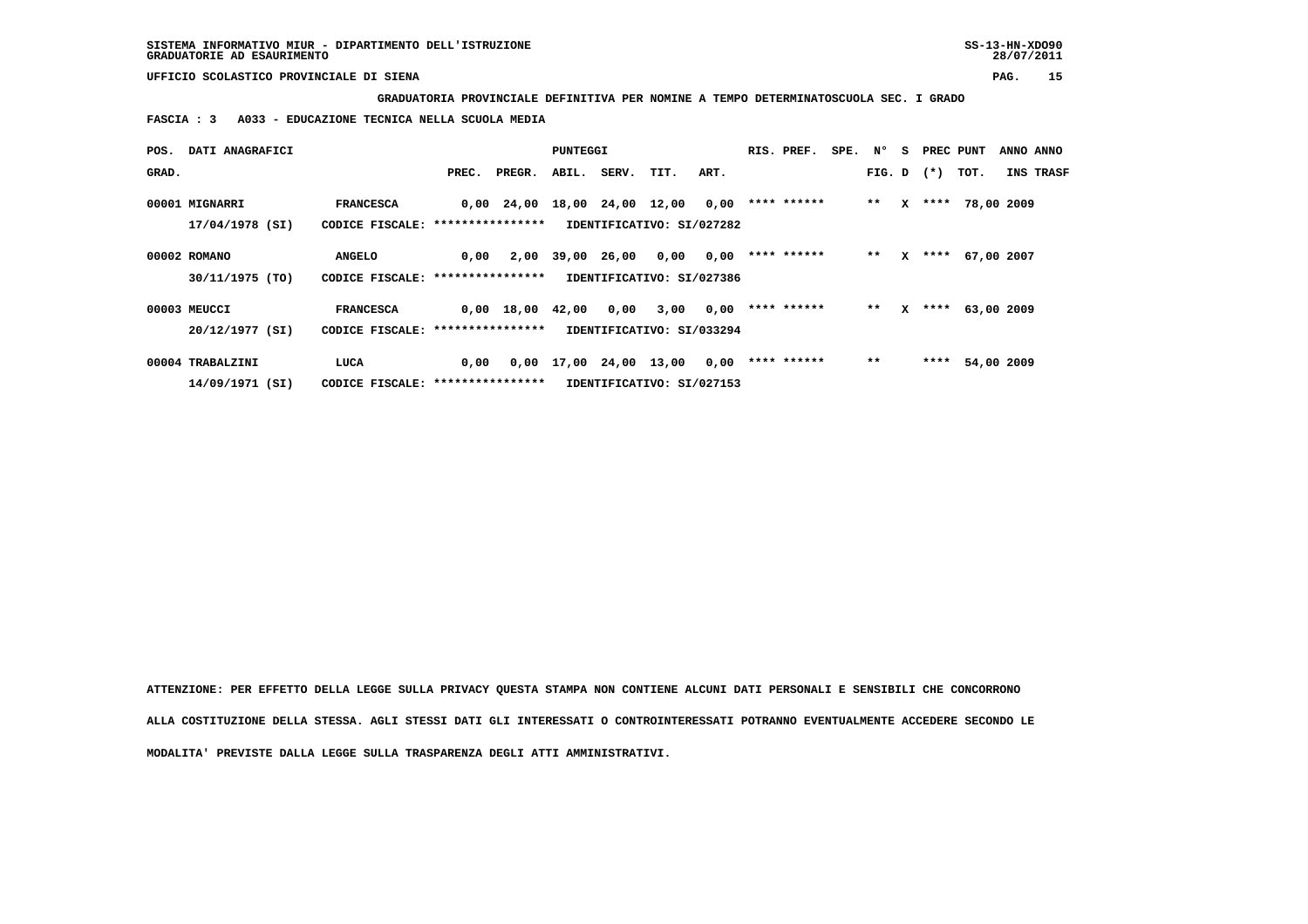**GRADUATORIA PROVINCIALE DEFINITIVA PER NOMINE A TEMPO DETERMINATOSCUOLA SEC. I GRADO**

 **FASCIA : 3 A033 - EDUCAZIONE TECNICA NELLA SCUOLA MEDIA**

| POS.  | DATI ANAGRAFICI                     |                                                       |       |              | PUNTEGGI          |             |                                    |      | RIS. PREF.  | SPE. N° |        | s | PREC PUNT |            | ANNO ANNO        |
|-------|-------------------------------------|-------------------------------------------------------|-------|--------------|-------------------|-------------|------------------------------------|------|-------------|---------|--------|---|-----------|------------|------------------|
| GRAD. |                                     |                                                       | PREC. | PREGR.       |                   | ABIL. SERV. | TIT.                               | ART. |             |         | FIG. D |   | $(* )$    | TOT.       | <b>INS TRASF</b> |
|       | 00001 MIGNARRI<br>$17/04/1978$ (SI) | <b>FRANCESCA</b><br>CODICE FISCALE: ***************** |       | $0,00$ 24,00 | 18,00 24,00       |             | 12,00<br>IDENTIFICATIVO: SI/027282 | 0,00 | **** ****** |         | $**$   | x | ****      | 78,00 2009 |                  |
|       | 00002 ROMANO                        | <b>ANGELO</b>                                         | 0.00  | 2,00         | 39,00             | 26,00       | 0,00                               | 0,00 | **** ****** |         | $**$   | x | ****      | 67,00 2007 |                  |
|       | 30/11/1975 (TO)                     | CODICE FISCALE: *****************                     |       |              |                   |             | IDENTIFICATIVO: SI/027386          |      |             |         |        |   |           |            |                  |
|       | 00003 MEUCCI                        | <b>FRANCESCA</b>                                      |       | $0,00$ 18,00 | 42,00             | 0,00        | 3,00                               | 0,00 | **** ****** |         | $**$   | x | ****      | 63,00 2009 |                  |
|       | 20/12/1977 (SI)                     | CODICE FISCALE: *****************                     |       |              |                   |             | IDENTIFICATIVO: SI/033294          |      |             |         |        |   |           |            |                  |
|       | 00004 TRABALZINI                    | LUCA                                                  | 0,00  | 0,00         | 17,00 24,00 13,00 |             |                                    | 0,00 | **** ****** |         | $***$  |   | ****      | 54,00 2009 |                  |
|       | 14/09/1971 (SI)                     | CODICE FISCALE: *****************                     |       |              |                   |             | IDENTIFICATIVO: SI/027153          |      |             |         |        |   |           |            |                  |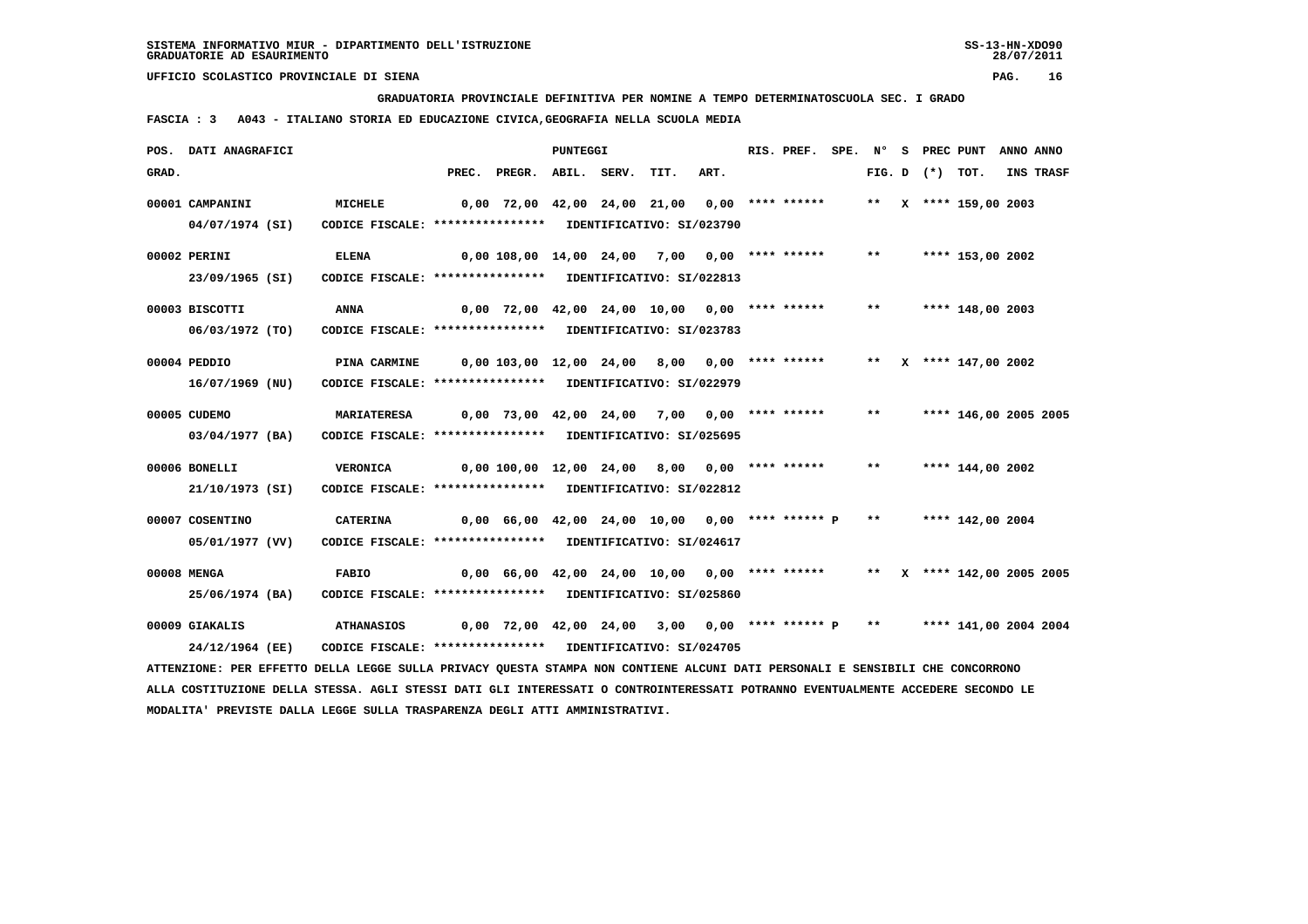**GRADUATORIA PROVINCIALE DEFINITIVA PER NOMINE A TEMPO DETERMINATOSCUOLA SEC. I GRADO**

 **FASCIA : 3 A043 - ITALIANO STORIA ED EDUCAZIONE CIVICA,GEOGRAFIA NELLA SCUOLA MEDIA**

|       | POS. DATI ANAGRAFICI                                                                                                            |                                                            |                                                                              |                                                                         | <b>PUNTEGGI</b> |      |      | RIS. PREF. SPE. Nº |       | S PREC PUNT    |                         | ANNO ANNO |           |
|-------|---------------------------------------------------------------------------------------------------------------------------------|------------------------------------------------------------|------------------------------------------------------------------------------|-------------------------------------------------------------------------|-----------------|------|------|--------------------|-------|----------------|-------------------------|-----------|-----------|
| GRAD. |                                                                                                                                 |                                                            | PREC.                                                                        | PREGR. ABIL. SERV.                                                      |                 | TIT. | ART. |                    |       | $FIG. D$ $(*)$ | тот.                    |           | INS TRASF |
|       | 00001 CAMPANINI                                                                                                                 | MICHELE                                                    |                                                                              | 0,00 72,00 42,00 24,00 21,00 0,00 **** ******                           |                 |      |      |                    |       |                | ** $X$ **** 159,00 2003 |           |           |
|       | 04/07/1974 (SI)                                                                                                                 | CODICE FISCALE: **************** IDENTIFICATIVO: SI/023790 |                                                                              |                                                                         |                 |      |      |                    |       |                |                         |           |           |
|       | 00002 PERINI                                                                                                                    | <b>ELENA</b>                                               |                                                                              | $0,00$ 108,00 14,00 24,00 7,00 0,00 **** ******                         |                 |      |      |                    | $***$ |                | **** 153,00 2002        |           |           |
|       | 23/09/1965 (SI)                                                                                                                 | CODICE FISCALE: **************** IDENTIFICATIVO: SI/022813 |                                                                              |                                                                         |                 |      |      |                    |       |                |                         |           |           |
|       | 00003 BISCOTTI                                                                                                                  | <b>ANNA</b>                                                |                                                                              | $0,00$ 72,00 42,00 24,00 10,00 0,00 **** ******                         |                 |      |      |                    | $***$ |                | **** 148,00 2003        |           |           |
|       | 06/03/1972 (TO)                                                                                                                 | CODICE FISCALE: **************** IDENTIFICATIVO: SI/023783 |                                                                              |                                                                         |                 |      |      |                    |       |                |                         |           |           |
|       | 00004 PEDDIO                                                                                                                    | <b>PINA CARMINE</b>                                        |                                                                              | 0,00 103,00 12,00 24,00 8,00 0,00 **** ******                           |                 |      |      |                    |       |                | ** $X$ **** 147,00 2002 |           |           |
|       | 16/07/1969 (NU)                                                                                                                 | CODICE FISCALE: **************** IDENTIFICATIVO: SI/022979 |                                                                              |                                                                         |                 |      |      |                    |       |                |                         |           |           |
|       | 00005 CUDEMO                                                                                                                    | <b>MARIATERESA</b>                                         |                                                                              | $0,00$ 73,00 42,00 24,00 7,00 0,00 **** ******                          |                 |      |      |                    | $***$ |                | **** 146,00 2005 2005   |           |           |
|       | 03/04/1977 (BA)                                                                                                                 | CODICE FISCALE: **************** IDENTIFICATIVO: SI/025695 |                                                                              |                                                                         |                 |      |      |                    |       |                |                         |           |           |
|       | 00006 BONELLI                                                                                                                   | <b>VERONICA</b>                                            | 0,00 100,00 12,00 24,00 8,00 0,00 **** ******                                |                                                                         |                 |      |      |                    | $***$ |                | **** 144,00 2002        |           |           |
|       | 21/10/1973 (SI)                                                                                                                 | CODICE FISCALE: **************** IDENTIFICATIVO: SI/022812 |                                                                              |                                                                         |                 |      |      |                    |       |                |                         |           |           |
|       | 00007 COSENTINO                                                                                                                 | <b>CATERINA</b>                                            |                                                                              | $0,00$ 66,00 42,00 24,00 10,00 0,00 **** ****** P **                    |                 |      |      |                    |       |                | **** 142,00 2004        |           |           |
|       | 05/01/1977 (VV)                                                                                                                 | CODICE FISCALE: **************** IDENTIFICATIVO: SI/024617 |                                                                              |                                                                         |                 |      |      |                    |       |                |                         |           |           |
|       | 00008 MENGA                                                                                                                     | <b>FABIO</b>                                               | 0,00 66,00 42,00 24,00 10,00  0,00 **** ******   **  x **** 142,00 2005 2005 |                                                                         |                 |      |      |                    |       |                |                         |           |           |
|       | 25/06/1974 (BA)                                                                                                                 | CODICE FISCALE: **************** IDENTIFICATIVO: SI/025860 |                                                                              |                                                                         |                 |      |      |                    |       |                |                         |           |           |
|       | 00009 GIAKALIS                                                                                                                  | <b>ATHANASIOS</b>                                          |                                                                              | 0,00 72,00 42,00 24,00 3,00 0,00 **** ****** P ** **** 141,00 2004 2004 |                 |      |      |                    |       |                |                         |           |           |
|       | 24/12/1964 (EE)                                                                                                                 | CODICE FISCALE: **************** IDENTIFICATIVO: SI/024705 |                                                                              |                                                                         |                 |      |      |                    |       |                |                         |           |           |
|       | ATTENZIONE: PER EFFETTO DELLA LEGGE SULLA PRIVACY QUESTA STAMPA NON CONTIENE ALCUNI DATI PERSONALI E SENSIBILI CHE CONCORRONO   |                                                            |                                                                              |                                                                         |                 |      |      |                    |       |                |                         |           |           |
|       | ALLA COSTITUZIONE DELLA STESSA. AGLI STESSI DATI GLI INTERESSATI O CONTROINTERESSATI POTRANNO EVENTUALMENTE ACCEDERE SECONDO LE |                                                            |                                                                              |                                                                         |                 |      |      |                    |       |                |                         |           |           |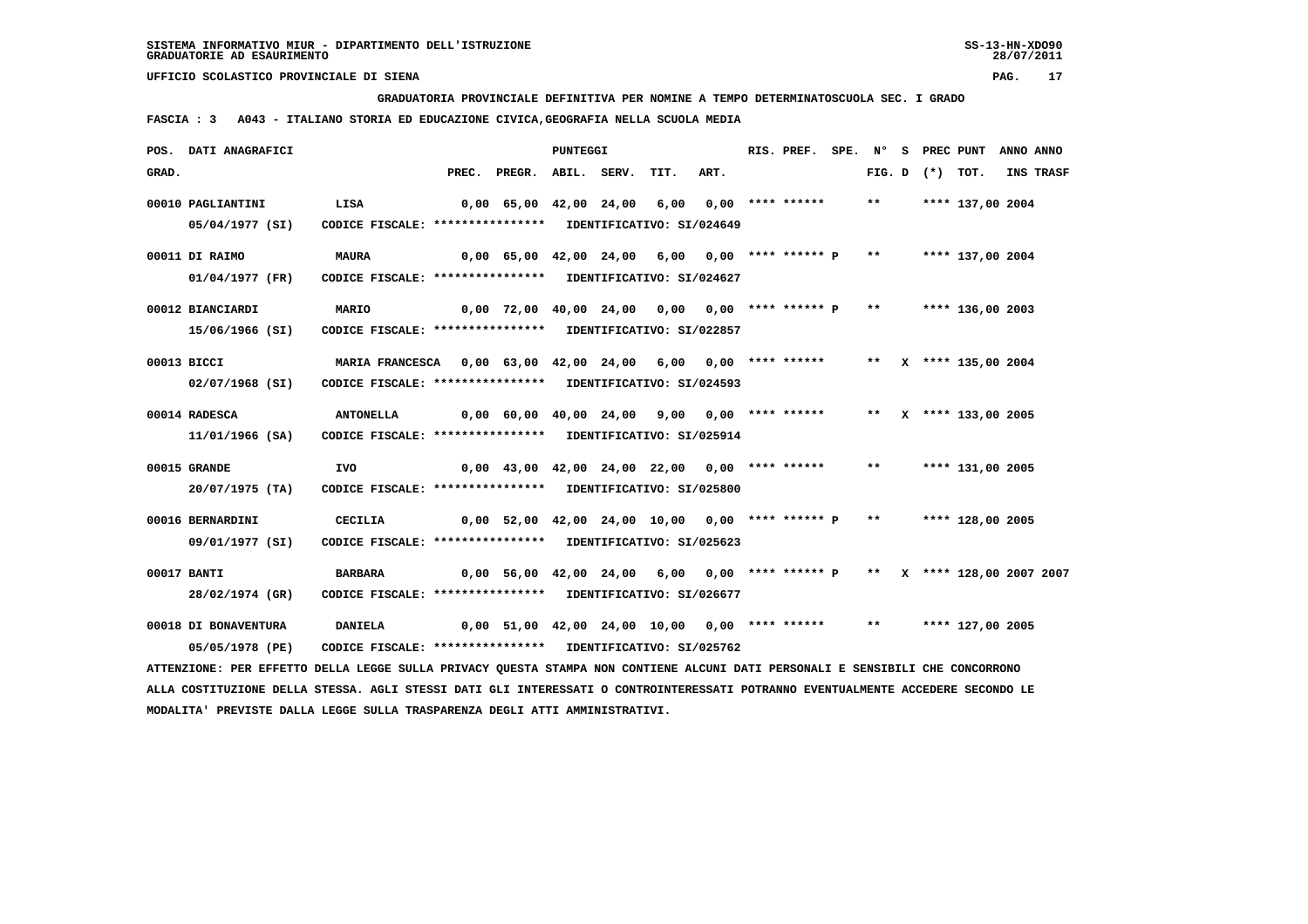**GRADUATORIA PROVINCIALE DEFINITIVA PER NOMINE A TEMPO DETERMINATOSCUOLA SEC. I GRADO**

 **FASCIA : 3 A043 - ITALIANO STORIA ED EDUCAZIONE CIVICA,GEOGRAFIA NELLA SCUOLA MEDIA**

|       | POS. DATI ANAGRAFICI                                                                                                            |                                                              |       |                                                                                         | <b>PUNTEGGI</b> |      |      | RIS. PREF.         | SPE. N° |                   | S PREC PUNT           | ANNO ANNO |
|-------|---------------------------------------------------------------------------------------------------------------------------------|--------------------------------------------------------------|-------|-----------------------------------------------------------------------------------------|-----------------|------|------|--------------------|---------|-------------------|-----------------------|-----------|
| GRAD. |                                                                                                                                 |                                                              | PREC. | PREGR. ABIL. SERV.                                                                      |                 | TIT. | ART. |                    |         | FIG. D $(*)$ TOT. |                       | INS TRASF |
|       | 00010 PAGLIANTINI                                                                                                               | LISA                                                         |       | 0,00 65,00 42,00 24,00 6,00                                                             |                 |      |      | $0,00$ **** ****** | $***$   |                   | **** 137,00 2004      |           |
|       | 05/04/1977 (SI)                                                                                                                 | CODICE FISCALE: **************** IDENTIFICATIVO: SI/024649   |       |                                                                                         |                 |      |      |                    |         |                   |                       |           |
|       | 00011 DI RAIMO                                                                                                                  | <b>MAURA</b>                                                 |       | $0,00$ 65,00 42,00 24,00 6,00 0,00 **** ****** P                                        |                 |      |      |                    | $***$   |                   | **** 137,00 2004      |           |
|       | 01/04/1977 (FR)                                                                                                                 | CODICE FISCALE: **************** IDENTIFICATIVO: SI/024627   |       |                                                                                         |                 |      |      |                    |         |                   |                       |           |
|       | 00012 BIANCIARDI                                                                                                                | MARIO                                                        |       | $0,00$ $72,00$ $40,00$ $24,00$ $0,00$ $0,00$ $***$ **** $*$ $P$ ** $*$ **** 136,00 2003 |                 |      |      |                    |         |                   |                       |           |
|       | 15/06/1966 (SI)                                                                                                                 | CODICE FISCALE: **************** IDENTIFICATIVO: SI/022857   |       |                                                                                         |                 |      |      |                    |         |                   |                       |           |
|       | 00013 BICCI                                                                                                                     | MARIA FRANCESCA 0,00 63,00 42,00 24,00 6,00 0,00 **** ****** |       |                                                                                         |                 |      |      |                    |         |                   | ** X **** 135,00 2004 |           |
|       | 02/07/1968 (SI)                                                                                                                 | CODICE FISCALE: **************** IDENTIFICATIVO: SI/024593   |       |                                                                                         |                 |      |      |                    |         |                   |                       |           |
|       | 00014 RADESCA                                                                                                                   | <b>ANTONELLA</b>                                             |       | $0,00$ 60,00 40,00 24,00 9,00 0,00 **** ******                                          |                 |      |      |                    |         |                   | ** X **** 133,00 2005 |           |
|       | 11/01/1966 (SA)                                                                                                                 | CODICE FISCALE: **************** IDENTIFICATIVO: SI/025914   |       |                                                                                         |                 |      |      |                    |         |                   |                       |           |
|       | 00015 GRANDE                                                                                                                    | IVO                                                          |       | $0,00$ 43,00 42,00 24,00 22,00 0,00 **** ******                                         |                 |      |      |                    | $***$   |                   | **** 131,00 2005      |           |
|       | 20/07/1975 (TA)                                                                                                                 | CODICE FISCALE: **************** IDENTIFICATIVO: SI/025800   |       |                                                                                         |                 |      |      |                    |         |                   |                       |           |
|       | 00016 BERNARDINI                                                                                                                | <b>CECILIA</b>                                               |       | $0.00$ 52.00 42.00 24.00 10.00 0.00 **** ****** P                                       |                 |      |      |                    | $***$   |                   | **** 128,00 2005      |           |
|       | 09/01/1977 (SI)                                                                                                                 | CODICE FISCALE: **************** IDENTIFICATIVO: SI/025623   |       |                                                                                         |                 |      |      |                    |         |                   |                       |           |
|       | 00017 BANTI                                                                                                                     | <b>BARBARA</b>                                               |       | 0,00 56,00 42,00 24,00 6,00 0,00 **** ****** P ** X **** 128,00 2007 2007               |                 |      |      |                    |         |                   |                       |           |
|       | 28/02/1974 (GR)                                                                                                                 | CODICE FISCALE: **************** IDENTIFICATIVO: SI/026677   |       |                                                                                         |                 |      |      |                    |         |                   |                       |           |
|       | 00018 DI BONAVENTURA                                                                                                            | <b>DANIELA</b>                                               |       | $0,00$ 51,00 42,00 24,00 10,00 0,00 **** ****** ***                                     |                 |      |      |                    |         |                   | **** 127,00 2005      |           |
|       | 05/05/1978 (PE)                                                                                                                 | CODICE FISCALE: **************** IDENTIFICATIVO: SI/025762   |       |                                                                                         |                 |      |      |                    |         |                   |                       |           |
|       | ATTENZIONE: PER EFFETTO DELLA LEGGE SULLA PRIVACY QUESTA STAMPA NON CONTIENE ALCUNI DATI PERSONALI E SENSIBILI CHE CONCORRONO   |                                                              |       |                                                                                         |                 |      |      |                    |         |                   |                       |           |
|       | ALLA COSTITUZIONE DELLA STESSA. AGLI STESSI DATI GLI INTERESSATI O CONTROINTERESSATI POTRANNO EVENTUALMENTE ACCEDERE SECONDO LE |                                                              |       |                                                                                         |                 |      |      |                    |         |                   |                       |           |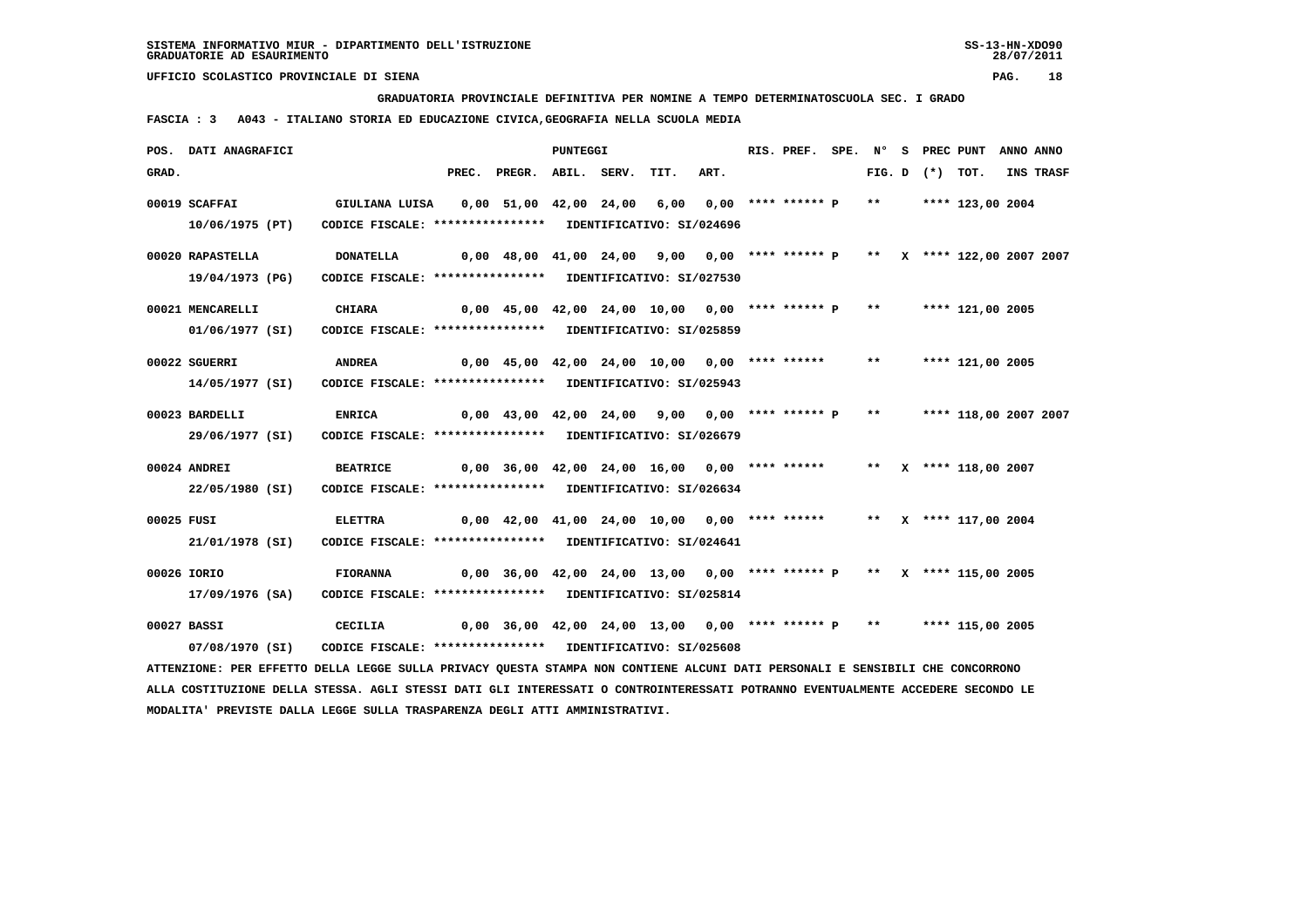**GRADUATORIA PROVINCIALE DEFINITIVA PER NOMINE A TEMPO DETERMINATOSCUOLA SEC. I GRADO**

 **FASCIA : 3 A043 - ITALIANO STORIA ED EDUCAZIONE CIVICA,GEOGRAFIA NELLA SCUOLA MEDIA**

|            | POS. DATI ANAGRAFICI                                                                                                            |                                                                                                       |                                                                         |                                                                           | <b>PUNTEGGI</b> |      |      | RIS. PREF. |       |                   | SPE. Nº S PREC PUNT ANNO ANNO |           |
|------------|---------------------------------------------------------------------------------------------------------------------------------|-------------------------------------------------------------------------------------------------------|-------------------------------------------------------------------------|---------------------------------------------------------------------------|-----------------|------|------|------------|-------|-------------------|-------------------------------|-----------|
| GRAD.      |                                                                                                                                 |                                                                                                       |                                                                         | PREC. PREGR. ABIL. SERV.                                                  |                 | TIT. | ART. |            |       | FIG. D $(*)$ TOT. |                               | INS TRASF |
|            | 00019 SCAFFAI                                                                                                                   | GIULIANA LUISA     0,00  51,00  42,00  24,00   6,00   0,00  **** ****** P    **      **** 123,00 2004 |                                                                         |                                                                           |                 |      |      |            |       |                   |                               |           |
|            | 10/06/1975 (PT)                                                                                                                 | CODICE FISCALE: **************** IDENTIFICATIVO: SI/024696                                            |                                                                         |                                                                           |                 |      |      |            |       |                   |                               |           |
|            |                                                                                                                                 |                                                                                                       |                                                                         |                                                                           |                 |      |      |            |       |                   |                               |           |
|            | 00020 RAPASTELLA                                                                                                                | <b>DONATELLA</b>                                                                                      |                                                                         | 0,00 48,00 41,00 24,00 9,00 0,00 **** ****** P ** X **** 122,00 2007 2007 |                 |      |      |            |       |                   |                               |           |
|            | 19/04/1973 (PG)                                                                                                                 | CODICE FISCALE: **************** IDENTIFICATIVO: SI/027530                                            |                                                                         |                                                                           |                 |      |      |            |       |                   |                               |           |
|            |                                                                                                                                 |                                                                                                       |                                                                         |                                                                           |                 |      |      |            |       |                   |                               |           |
|            | 00021 MENCARELLI                                                                                                                | <b>CHIARA</b>                                                                                         |                                                                         | 0,00 45,00 42,00 24,00 10,00 0,00 **** ****** P **                        |                 |      |      |            |       |                   | **** 121,00 2005              |           |
|            | 01/06/1977 (SI)                                                                                                                 | CODICE FISCALE: **************** IDENTIFICATIVO: SI/025859                                            |                                                                         |                                                                           |                 |      |      |            |       |                   |                               |           |
|            | 00022 SGUERRI                                                                                                                   | <b>ANDREA</b>                                                                                         |                                                                         | 0,00 45,00 42,00 24,00 10,00 0,00 **** ******                             |                 |      |      |            | $***$ |                   | **** 121,00 2005              |           |
|            | 14/05/1977 (SI)                                                                                                                 | CODICE FISCALE: **************** IDENTIFICATIVO: SI/025943                                            |                                                                         |                                                                           |                 |      |      |            |       |                   |                               |           |
|            |                                                                                                                                 |                                                                                                       |                                                                         |                                                                           |                 |      |      |            |       |                   |                               |           |
|            | 00023 BARDELLI                                                                                                                  | <b>ENRICA</b>                                                                                         |                                                                         | 0,00 43,00 42,00 24,00 9,00 0,00 **** ****** P ** ***** 118,00 2007 2007  |                 |      |      |            |       |                   |                               |           |
|            | 29/06/1977 (SI)                                                                                                                 | CODICE FISCALE: **************** IDENTIFICATIVO: SI/026679                                            |                                                                         |                                                                           |                 |      |      |            |       |                   |                               |           |
|            |                                                                                                                                 |                                                                                                       |                                                                         |                                                                           |                 |      |      |            |       |                   |                               |           |
|            | 00024 ANDREI                                                                                                                    | <b>BEATRICE</b>                                                                                       | 0,00 36,00 42,00 24,00 16,00  0,00 **** ******   **  x **** 118,00 2007 |                                                                           |                 |      |      |            |       |                   |                               |           |
|            | 22/05/1980 (SI)                                                                                                                 | CODICE FISCALE: **************** IDENTIFICATIVO: SI/026634                                            |                                                                         |                                                                           |                 |      |      |            |       |                   |                               |           |
| 00025 FUSI |                                                                                                                                 | <b>ELETTRA</b>                                                                                        |                                                                         | $0,00$ 42,00 41,00 24,00 10,00 0,00 **** ****** ** X **** 117,00 2004     |                 |      |      |            |       |                   |                               |           |
|            | 21/01/1978 (SI)                                                                                                                 | CODICE FISCALE: **************** IDENTIFICATIVO: SI/024641                                            |                                                                         |                                                                           |                 |      |      |            |       |                   |                               |           |
|            |                                                                                                                                 |                                                                                                       |                                                                         |                                                                           |                 |      |      |            |       |                   |                               |           |
|            | 00026 IORIO                                                                                                                     | <b>FIORANNA</b>                                                                                       |                                                                         | $0,00$ 36,00 42,00 24,00 13,00 0,00 **** ****** P ** X **** 115,00 2005   |                 |      |      |            |       |                   |                               |           |
|            | 17/09/1976 (SA)                                                                                                                 | CODICE FISCALE: **************** IDENTIFICATIVO: SI/025814                                            |                                                                         |                                                                           |                 |      |      |            |       |                   |                               |           |
|            |                                                                                                                                 |                                                                                                       |                                                                         |                                                                           |                 |      |      |            |       |                   |                               |           |
|            | 00027 BASSI                                                                                                                     | CECILIA                                                                                               |                                                                         | 0,00 36,00 42,00 24,00 13,00 0,00 **** ****** P ** ***** 115,00 2005      |                 |      |      |            |       |                   |                               |           |
|            | 07/08/1970 (SI)                                                                                                                 | CODICE FISCALE: **************** IDENTIFICATIVO: SI/025608                                            |                                                                         |                                                                           |                 |      |      |            |       |                   |                               |           |
|            | ATTENZIONE: PER EFFETTO DELLA LEGGE SULLA PRIVACY QUESTA STAMPA NON CONTIENE ALCUNI DATI PERSONALI E SENSIBILI CHE CONCORRONO   |                                                                                                       |                                                                         |                                                                           |                 |      |      |            |       |                   |                               |           |
|            | ALLA COSTITUZIONE DELLA STESSA. AGLI STESSI DATI GLI INTERESSATI O CONTROINTERESSATI POTRANNO EVENTUALMENTE ACCEDERE SECONDO LE |                                                                                                       |                                                                         |                                                                           |                 |      |      |            |       |                   |                               |           |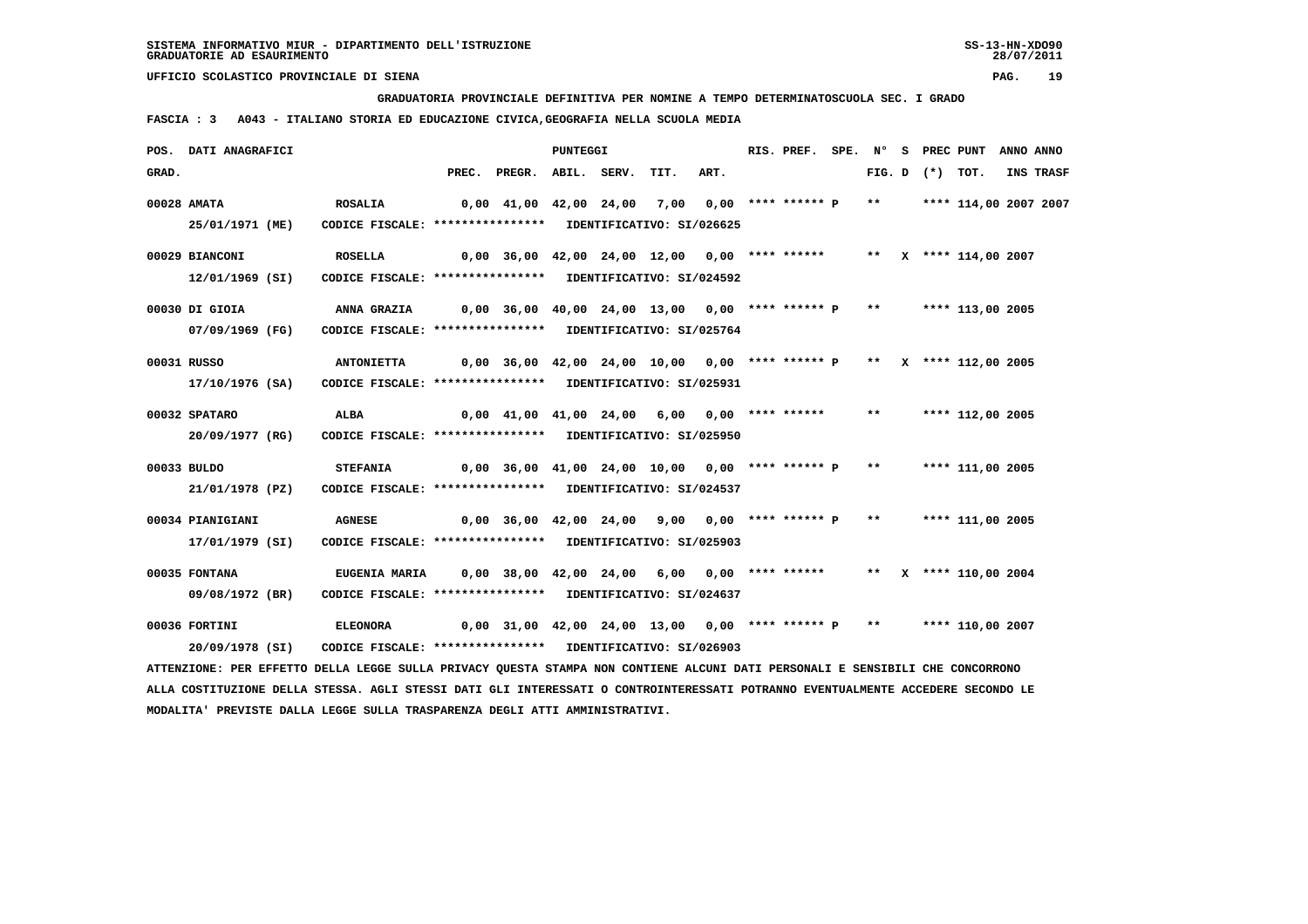**GRADUATORIA PROVINCIALE DEFINITIVA PER NOMINE A TEMPO DETERMINATOSCUOLA SEC. I GRADO**

 **FASCIA : 3 A043 - ITALIANO STORIA ED EDUCAZIONE CIVICA,GEOGRAFIA NELLA SCUOLA MEDIA**

|       | POS. DATI ANAGRAFICI                                                                                                          |                                                                                                 |                                                                               |                                                                        | PUNTEGGI |      |      | RIS. PREF. |  |                   | SPE. N° S PREC PUNT | ANNO ANNO |
|-------|-------------------------------------------------------------------------------------------------------------------------------|-------------------------------------------------------------------------------------------------|-------------------------------------------------------------------------------|------------------------------------------------------------------------|----------|------|------|------------|--|-------------------|---------------------|-----------|
| GRAD. |                                                                                                                               |                                                                                                 |                                                                               | PREC. PREGR. ABIL. SERV.                                               |          | TIT. | ART. |            |  | FIG. D $(*)$ TOT. |                     | INS TRASF |
|       | 00028 AMATA                                                                                                                   | <b>ROSALIA</b>                                                                                  | 0,00 41,00 42,00 24,00  7,00  0,00 **** ****** P  **    **** 114,00 2007 2007 |                                                                        |          |      |      |            |  |                   |                     |           |
|       | 25/01/1971 (ME)                                                                                                               | CODICE FISCALE: **************** IDENTIFICATIVO: SI/026625                                      |                                                                               |                                                                        |          |      |      |            |  |                   |                     |           |
|       | 00029 BIANCONI                                                                                                                | <b>ROSELLA</b>                                                                                  | 0,00 36,00 42,00 24,00 12,00 0,00 **** ******     **   X **** 114,00 2007     |                                                                        |          |      |      |            |  |                   |                     |           |
|       | 12/01/1969 (SI)                                                                                                               | CODICE FISCALE: **************** IDENTIFICATIVO: SI/024592                                      |                                                                               |                                                                        |          |      |      |            |  |                   |                     |           |
|       | 00030 DI GIOIA                                                                                                                | <b>ANNA GRAZIA</b>                                                                              |                                                                               | $0,00$ 36,00 40,00 24,00 13,00 0,00 **** ****** P ** ***** 113,00 2005 |          |      |      |            |  |                   |                     |           |
|       | 07/09/1969 (FG)                                                                                                               | CODICE FISCALE: **************** IDENTIFICATIVO: SI/025764                                      |                                                                               |                                                                        |          |      |      |            |  |                   |                     |           |
|       | 00031 RUSSO                                                                                                                   | <b>ANTONIETTA</b>                                                                               | 0,00 36,00 42,00 24,00 10,00  0,00 **** ****** P  **  x **** 112,00 2005      |                                                                        |          |      |      |            |  |                   |                     |           |
|       | 17/10/1976 (SA)                                                                                                               | CODICE FISCALE: **************** IDENTIFICATIVO: SI/025931                                      |                                                                               |                                                                        |          |      |      |            |  |                   |                     |           |
|       | 00032 SPATARO                                                                                                                 | ALBA                                                                                            | 0,00 41,00 41,00 24,00 6,00 0,00 **** ******   **   **** 112,00 2005          |                                                                        |          |      |      |            |  |                   |                     |           |
|       | 20/09/1977 (RG)                                                                                                               | CODICE FISCALE: **************** IDENTIFICATIVO: SI/025950                                      |                                                                               |                                                                        |          |      |      |            |  |                   |                     |           |
|       | 00033 BULDO                                                                                                                   | <b>STEFANIA</b>                                                                                 |                                                                               | 0,00 36,00 41,00 24,00 10,00 0,00 **** ****** P ** **** 111,00 2005    |          |      |      |            |  |                   |                     |           |
|       | 21/01/1978 (PZ)                                                                                                               | CODICE FISCALE: **************** IDENTIFICATIVO: SI/024537                                      |                                                                               |                                                                        |          |      |      |            |  |                   |                     |           |
|       | 00034 PIANIGIANI                                                                                                              | <b>AGNESE</b>                                                                                   |                                                                               | 0,00 36,00 42,00 24,00 9,00 0,00 **** ****** P ** **** 111,00 2005     |          |      |      |            |  |                   |                     |           |
|       | 17/01/1979 (SI)                                                                                                               | CODICE FISCALE: **************** IDENTIFICATIVO: SI/025903                                      |                                                                               |                                                                        |          |      |      |            |  |                   |                     |           |
|       | 00035 FONTANA                                                                                                                 | EUGENIA MARIA     0,00 38,00 42,00 24,00 6,00   0,00  **** ******      **   X  **** 110,00 2004 |                                                                               |                                                                        |          |      |      |            |  |                   |                     |           |
|       | 09/08/1972 (BR)                                                                                                               | CODICE FISCALE: **************** IDENTIFICATIVO: SI/024637                                      |                                                                               |                                                                        |          |      |      |            |  |                   |                     |           |
|       | 00036 FORTINI                                                                                                                 | <b>ELEONORA</b>                                                                                 |                                                                               | $0,00$ 31,00 42,00 24,00 13,00 0,00 **** ****** P ** ***** 110,00 2007 |          |      |      |            |  |                   |                     |           |
|       | 20/09/1978 (SI)                                                                                                               | CODICE FISCALE: **************** IDENTIFICATIVO: SI/026903                                      |                                                                               |                                                                        |          |      |      |            |  |                   |                     |           |
|       | ATTENZIONE: PER EFFETTO DELLA LEGGE SULLA PRIVACY QUESTA STAMPA NON CONTIENE ALCUNI DATI PERSONALI E SENSIBILI CHE CONCORRONO |                                                                                                 |                                                                               |                                                                        |          |      |      |            |  |                   |                     |           |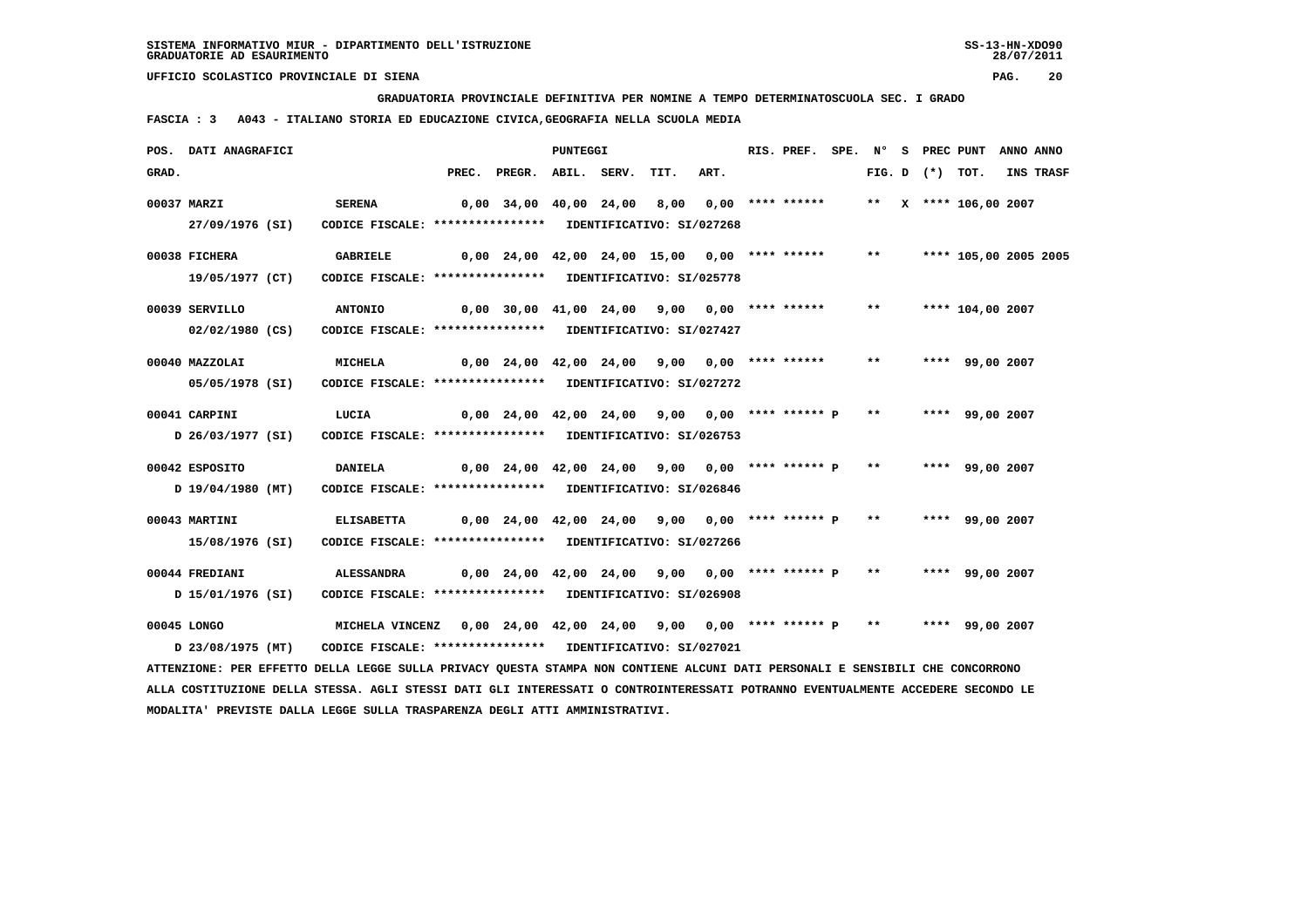**GRADUATORIA PROVINCIALE DEFINITIVA PER NOMINE A TEMPO DETERMINATOSCUOLA SEC. I GRADO**

 **FASCIA : 3 A043 - ITALIANO STORIA ED EDUCAZIONE CIVICA,GEOGRAFIA NELLA SCUOLA MEDIA**

|             | POS. DATI ANAGRAFICI                                                                                                            |                                                            |                                                                         |                                                     | <b>PUNTEGGI</b> |      |      | RIS. PREF. |       |                   | SPE. N° S PREC PUNT   | ANNO ANNO |
|-------------|---------------------------------------------------------------------------------------------------------------------------------|------------------------------------------------------------|-------------------------------------------------------------------------|-----------------------------------------------------|-----------------|------|------|------------|-------|-------------------|-----------------------|-----------|
| GRAD.       |                                                                                                                                 |                                                            | PREC.                                                                   | PREGR. ABIL. SERV.                                  |                 | TIT. | ART. |            |       | FIG. D $(*)$ TOT. |                       | INS TRASF |
| 00037 MARZI |                                                                                                                                 | <b>SERENA</b>                                              |                                                                         | 0,00 34,00 40,00 24,00 8,00 0,00 **** ******        |                 |      |      |            |       |                   | ** X **** 106,00 2007 |           |
|             | 27/09/1976 (SI)                                                                                                                 | CODICE FISCALE: **************** IDENTIFICATIVO: SI/027268 |                                                                         |                                                     |                 |      |      |            |       |                   |                       |           |
|             | 00038 FICHERA                                                                                                                   | <b>GABRIELE</b>                                            |                                                                         | $0,00$ 24,00 42,00 24,00 15,00 0,00 **** ******     |                 |      |      |            | $***$ |                   | **** 105,00 2005 2005 |           |
|             | 19/05/1977 (CT)                                                                                                                 | CODICE FISCALE: **************** IDENTIFICATIVO: SI/025778 |                                                                         |                                                     |                 |      |      |            |       |                   |                       |           |
|             | 00039 SERVILLO                                                                                                                  | <b>ANTONIO</b>                                             |                                                                         | 0,00 30,00 41,00 24,00 9,00 0,00 **** ******        |                 |      |      |            | $***$ |                   | **** 104,00 2007      |           |
|             | $02/02/1980$ (CS)                                                                                                               | CODICE FISCALE: **************** IDENTIFICATIVO: SI/027427 |                                                                         |                                                     |                 |      |      |            |       |                   |                       |           |
|             | 00040 MAZZOLAI                                                                                                                  | <b>MICHELA</b>                                             |                                                                         | $0.00$ 24,00 42,00 24,00 9,00 0,00 **** ******      |                 |      |      |            | $***$ |                   | **** 99,00 2007       |           |
|             | 05/05/1978 (SI)                                                                                                                 | CODICE FISCALE: **************** IDENTIFICATIVO: SI/027272 |                                                                         |                                                     |                 |      |      |            |       |                   |                       |           |
|             | 00041 CARPINI                                                                                                                   | LUCIA                                                      |                                                                         | $0,00$ 24,00 42,00 24,00 9,00 0,00 **** ****** P ** |                 |      |      |            |       |                   | **** 99,00 2007       |           |
|             | D 26/03/1977 (SI)                                                                                                               | CODICE FISCALE: **************** IDENTIFICATIVO: SI/026753 |                                                                         |                                                     |                 |      |      |            |       |                   |                       |           |
|             | 00042 ESPOSITO                                                                                                                  | <b>DANIELA</b>                                             |                                                                         | 0,00 24,00 42,00 24,00 9,00 0,00 **** ****** P **   |                 |      |      |            |       |                   | **** 99,00 2007       |           |
|             | D 19/04/1980 (MT)                                                                                                               | CODICE FISCALE: **************** IDENTIFICATIVO: SI/026846 |                                                                         |                                                     |                 |      |      |            |       |                   |                       |           |
|             | 00043 MARTINI                                                                                                                   | <b>ELISABETTA</b>                                          |                                                                         | $0,00$ 24,00 42,00 24,00 9,00 0,00 **** ****** P ** |                 |      |      |            |       |                   | **** 99,00 2007       |           |
|             | 15/08/1976 (SI)                                                                                                                 | CODICE FISCALE: **************** IDENTIFICATIVO: SI/027266 |                                                                         |                                                     |                 |      |      |            |       |                   |                       |           |
|             | 00044 FREDIANI                                                                                                                  | ALESSANDRA                                                 | 0,00 24,00 42,00 24,00  9,00  0,00 **** ****** P  **   ****  99,00 2007 |                                                     |                 |      |      |            |       |                   |                       |           |
|             | D 15/01/1976 (SI)                                                                                                               | CODICE FISCALE: **************** IDENTIFICATIVO: SI/026908 |                                                                         |                                                     |                 |      |      |            |       |                   |                       |           |
|             | 00045 LONGO                                                                                                                     | <b>MICHELA VINCENZ</b>                                     |                                                                         | $0,00$ 24,00 42,00 24,00 9,00 0,00 **** ****** P ** |                 |      |      |            |       |                   | **** 99,00 2007       |           |
|             | D 23/08/1975 (MT)                                                                                                               | CODICE FISCALE: **************** IDENTIFICATIVO: SI/027021 |                                                                         |                                                     |                 |      |      |            |       |                   |                       |           |
|             | ATTENZIONE: PER EFFETTO DELLA LEGGE SULLA PRIVACY QUESTA STAMPA NON CONTIENE ALCUNI DATI PERSONALI E SENSIBILI CHE CONCORRONO   |                                                            |                                                                         |                                                     |                 |      |      |            |       |                   |                       |           |
|             | ALLA COSTITUZIONE DELLA STESSA. AGLI STESSI DATI GLI INTERESSATI O CONTROINTERESSATI POTRANNO EVENTUALMENTE ACCEDERE SECONDO LE |                                                            |                                                                         |                                                     |                 |      |      |            |       |                   |                       |           |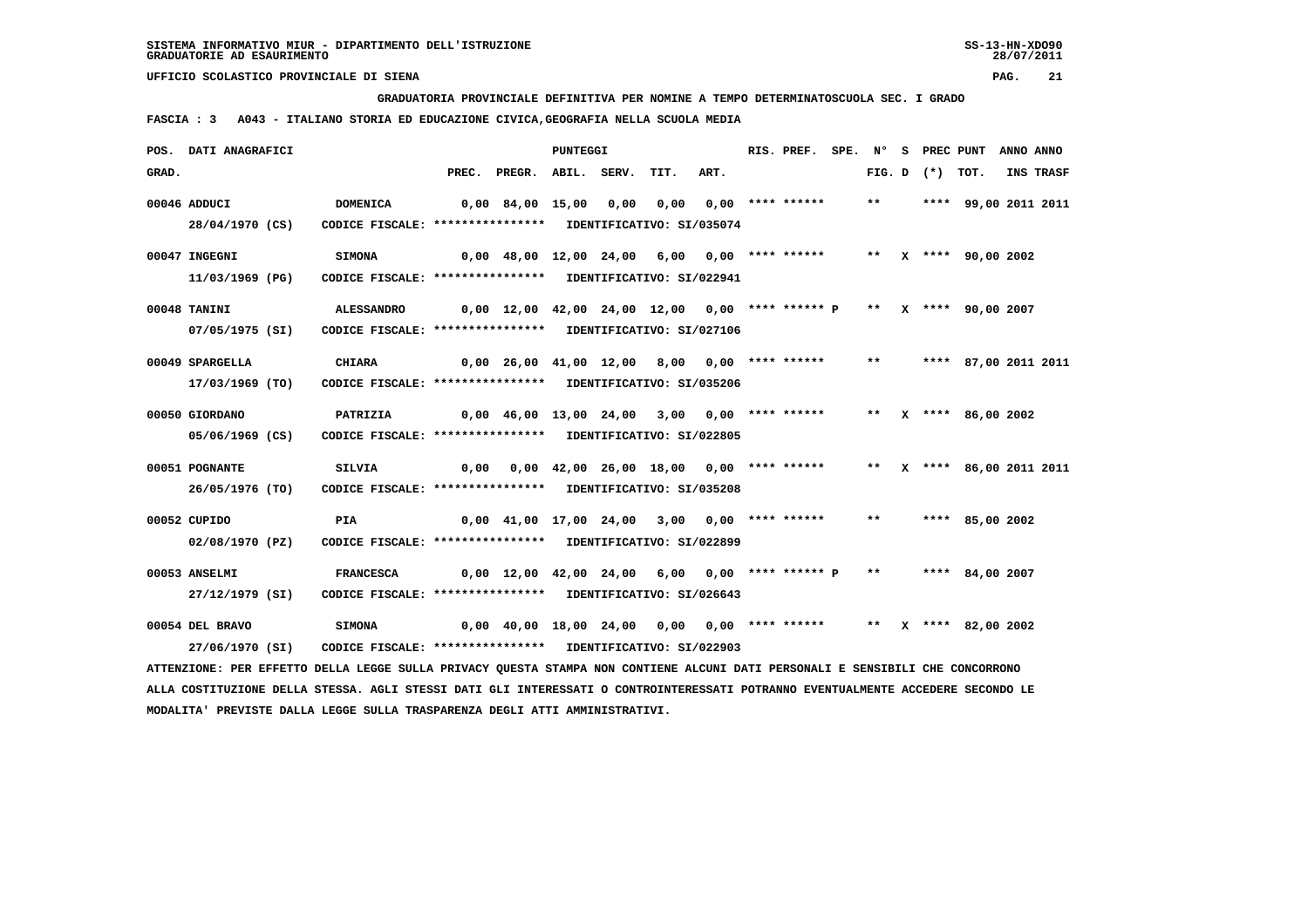**GRADUATORIA PROVINCIALE DEFINITIVA PER NOMINE A TEMPO DETERMINATOSCUOLA SEC. I GRADO**

 **FASCIA : 3 A043 - ITALIANO STORIA ED EDUCAZIONE CIVICA,GEOGRAFIA NELLA SCUOLA MEDIA**

|       | POS. DATI ANAGRAFICI                                                                                                                                                |                                                                                 |       |                                                                                       | PUNTEGGI |      |                  | RIS. PREF. |              |                     | SPE. N° S PREC PUNT       | ANNO ANNO |
|-------|---------------------------------------------------------------------------------------------------------------------------------------------------------------------|---------------------------------------------------------------------------------|-------|---------------------------------------------------------------------------------------|----------|------|------------------|------------|--------------|---------------------|---------------------------|-----------|
| GRAD. |                                                                                                                                                                     |                                                                                 | PREC. | PREGR. ABIL. SERV.                                                                    |          | TIT. | ART.             |            |              | FIG. $D$ $(*)$ TOT. |                           | INS TRASF |
|       | 00046 ADDUCI<br>28/04/1970 (CS)                                                                                                                                     | <b>DOMENICA</b><br>CODICE FISCALE: **************** IDENTIFICATIVO: SI/035074   |       | 0,00 84,00 15,00 0,00                                                                 |          | 0.00 | 0,00 **** ****** |            | $***$        |                     | **** 99,00 2011 2011      |           |
|       | 00047 INGEGNI<br>11/03/1969 (PG)                                                                                                                                    | <b>SIMONA</b><br>CODICE FISCALE: **************** IDENTIFICATIVO: SI/022941     |       | $0,00$ 48,00 12,00 24,00 6,00 0,00 **** ******                                        |          |      |                  |            |              |                     | ** X **** 90,00 2002      |           |
|       | 00048 TANINI<br>07/05/1975 (SI)                                                                                                                                     | <b>ALESSANDRO</b><br>CODICE FISCALE: **************** IDENTIFICATIVO: SI/027106 |       | $0,00$ 12,00 42,00 24,00 12,00 0,00 **** ****** P ** X **** 90,00 2007                |          |      |                  |            |              |                     |                           |           |
|       | 00049 SPARGELLA<br>17/03/1969 (TO)                                                                                                                                  | <b>CHIARA</b><br>CODICE FISCALE: **************** IDENTIFICATIVO: SI/035206     |       | $0,00$ 26,00 41,00 12,00 8,00 0,00 **** ******                                        |          |      |                  |            | $\star\star$ |                     | **** 87,00 2011 2011      |           |
|       | 00050 GIORDANO<br>05/06/1969 (CS)                                                                                                                                   | PATRIZIA<br>CODICE FISCALE: **************** IDENTIFICATIVO: SI/022805          |       | $0.00 \quad 46.00 \quad 13.00 \quad 24.00 \quad 3.00 \quad 0.00 \quad *** \quad ***}$ |          |      |                  |            |              |                     | ** $X$ **** 86,00 2002    |           |
|       | 00051 POGNANTE<br>26/05/1976 (TO)                                                                                                                                   | SILVIA<br>CODICE FISCALE: **************** IDENTIFICATIVO: SI/035208            |       | $0,00$ $0,00$ $42,00$ $26,00$ $18,00$ $0,00$ $***$ **** *****                         |          |      |                  |            |              |                     | ** X **** 86,00 2011 2011 |           |
|       | 00052 CUPIDO<br>02/08/1970 (PZ)                                                                                                                                     | <b>PIA</b><br>CODICE FISCALE: **************** IDENTIFICATIVO: SI/022899        |       | $0,00$ 41,00 17,00 24,00 3,00 0,00 **** ******                                        |          |      |                  |            | $***$        |                     | **** 85,00 2002           |           |
|       | 00053 ANSELMI<br>27/12/1979 (SI)                                                                                                                                    | <b>FRANCESCA</b><br>CODICE FISCALE: **************** IDENTIFICATIVO: SI/026643  |       | $0.00$ 12.00 42.00 24.00 6.00 0.00 **** ****** P                                      |          |      |                  |            | $***$        |                     | **** 84,00 2007           |           |
|       | 00054 DEL BRAVO<br>27/06/1970 (SI)<br>ATTENZIONE: PER EFFETTO DELLA LEGGE SULLA PRIVACY QUESTA STAMPA NON CONTIENE ALCUNI DATI PERSONALI E SENSIBILI CHE CONCORRONO | <b>SIMONA</b><br>CODICE FISCALE: **************** IDENTIFICATIVO: SI/022903     |       | 0,00 40,00 18,00 24,00 0,00 0,00 **** ******                                          |          |      |                  |            |              |                     | ** X **** 82,00 2002      |           |
|       |                                                                                                                                                                     |                                                                                 |       |                                                                                       |          |      |                  |            |              |                     |                           |           |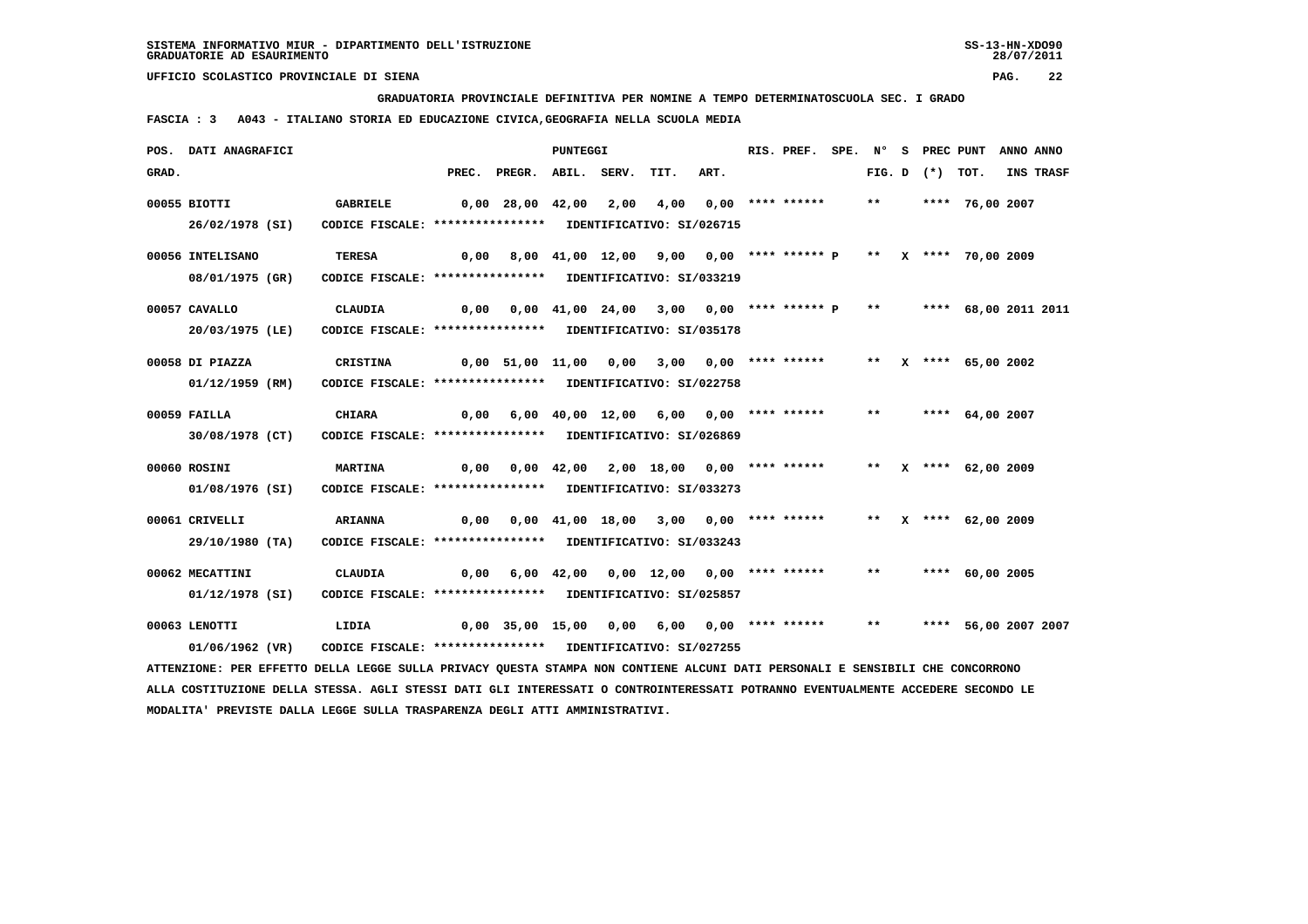**GRADUATORIA PROVINCIALE DEFINITIVA PER NOMINE A TEMPO DETERMINATOSCUOLA SEC. I GRADO**

 **FASCIA : 3 A043 - ITALIANO STORIA ED EDUCAZIONE CIVICA,GEOGRAFIA NELLA SCUOLA MEDIA**

|       | POS. DATI ANAGRAFICI                                                                                                            |                                                            |      |                                                                       | <b>PUNTEGGI</b> |      |                                          |      | RIS. PREF.         |       |                   | SPE. N° S PREC PUNT  | ANNO ANNO |
|-------|---------------------------------------------------------------------------------------------------------------------------------|------------------------------------------------------------|------|-----------------------------------------------------------------------|-----------------|------|------------------------------------------|------|--------------------|-------|-------------------|----------------------|-----------|
| GRAD. |                                                                                                                                 |                                                            |      | PREC. PREGR. ABIL. SERV.                                              |                 |      | TIT.                                     | ART. |                    |       | FIG. D $(*)$ TOT. |                      | INS TRASF |
|       | 00055 BIOTTI                                                                                                                    | GABRIELE                                                   |      | 0,00 28,00 42,00                                                      |                 | 2,00 | 4,00                                     |      | $0,00$ **** ****** | $***$ |                   | **** 76,00 2007      |           |
|       | 26/02/1978 (SI)                                                                                                                 | CODICE FISCALE: **************** IDENTIFICATIVO: SI/026715 |      |                                                                       |                 |      |                                          |      |                    |       |                   |                      |           |
|       | 00056 INTELISANO                                                                                                                | <b>TERESA</b>                                              | 0,00 |                                                                       |                 |      | 8,00 41,00 12,00 9,00 0,00 **** ****** P |      |                    |       |                   | ** X **** 70,00 2009 |           |
|       | 08/01/1975 (GR)                                                                                                                 | CODICE FISCALE: **************** IDENTIFICATIVO: SI/033219 |      |                                                                       |                 |      |                                          |      |                    |       |                   |                      |           |
|       | 00057 CAVALLO                                                                                                                   | <b>CLAUDIA</b>                                             |      | 0,00 0,00 41,00 24,00 3,00 0,00 **** ****** P ** **** 68,00 2011 2011 |                 |      |                                          |      |                    |       |                   |                      |           |
|       | 20/03/1975 (LE)                                                                                                                 | CODICE FISCALE: **************** IDENTIFICATIVO: SI/035178 |      |                                                                       |                 |      |                                          |      |                    |       |                   |                      |           |
|       | 00058 DI PIAZZA                                                                                                                 | <b>CRISTINA</b>                                            |      | $0,00$ 51,00 11,00 0,00 3,00 0,00 **** ******                         |                 |      |                                          |      |                    |       |                   | ** X **** 65,00 2002 |           |
|       | 01/12/1959 (RM)                                                                                                                 | CODICE FISCALE: **************** IDENTIFICATIVO: SI/022758 |      |                                                                       |                 |      |                                          |      |                    |       |                   |                      |           |
|       | 00059 FAILLA                                                                                                                    | <b>CHIARA</b>                                              |      | $0,00$ 6,00 40,00 12,00 6,00 0,00 **** ******                         |                 |      |                                          |      |                    | $***$ |                   | **** $64,00$ 2007    |           |
|       | 30/08/1978 (CT)                                                                                                                 | CODICE FISCALE: **************** IDENTIFICATIVO: SI/026869 |      |                                                                       |                 |      |                                          |      |                    |       |                   |                      |           |
|       | 00060 ROSINI                                                                                                                    | <b>MARTINA</b>                                             | 0,00 |                                                                       |                 |      | 0,00 42,00 2,00 18,00 0,00 **** ******   |      |                    |       |                   | ** X **** 62,00 2009 |           |
|       | 01/08/1976 (SI)                                                                                                                 | CODICE FISCALE: **************** IDENTIFICATIVO: SI/033273 |      |                                                                       |                 |      |                                          |      |                    |       |                   |                      |           |
|       | 00061 CRIVELLI                                                                                                                  | <b>ARIANNA</b>                                             |      | $0,00$ $0,00$ $41,00$ $18,00$ $3,00$ $0,00$ **** ******               |                 |      |                                          |      |                    |       |                   | ** X **** 62,00 2009 |           |
|       | 29/10/1980 (TA)                                                                                                                 | CODICE FISCALE: **************** IDENTIFICATIVO: SI/033243 |      |                                                                       |                 |      |                                          |      |                    |       |                   |                      |           |
|       | 00062 MECATTINI                                                                                                                 | CLAUDIA                                                    | 0,00 |                                                                       |                 |      | 6,00 42,00 0,00 12,00 0,00 **** ******   |      |                    | $***$ |                   | **** 60,00 2005      |           |
|       | 01/12/1978 (SI)                                                                                                                 | CODICE FISCALE: **************** IDENTIFICATIVO: SI/025857 |      |                                                                       |                 |      |                                          |      |                    |       |                   |                      |           |
|       | 00063 LENOTTI                                                                                                                   | LIDIA                                                      |      | 0,00 35,00 15,00 0,00 6,00 0,00 **** ******                           |                 |      |                                          |      |                    | $***$ |                   | **** 56,00 2007 2007 |           |
|       | 01/06/1962 (VR)                                                                                                                 | CODICE FISCALE: **************** IDENTIFICATIVO: SI/027255 |      |                                                                       |                 |      |                                          |      |                    |       |                   |                      |           |
|       | ATTENZIONE: PER EFFETTO DELLA LEGGE SULLA PRIVACY QUESTA STAMPA NON CONTIENE ALCUNI DATI PERSONALI E SENSIBILI CHE CONCORRONO   |                                                            |      |                                                                       |                 |      |                                          |      |                    |       |                   |                      |           |
|       | ALLA COSTITUZIONE DELLA STESSA. AGLI STESSI DATI GLI INTERESSATI O CONTROINTERESSATI POTRANNO EVENTUALMENTE ACCEDERE SECONDO LE |                                                            |      |                                                                       |                 |      |                                          |      |                    |       |                   |                      |           |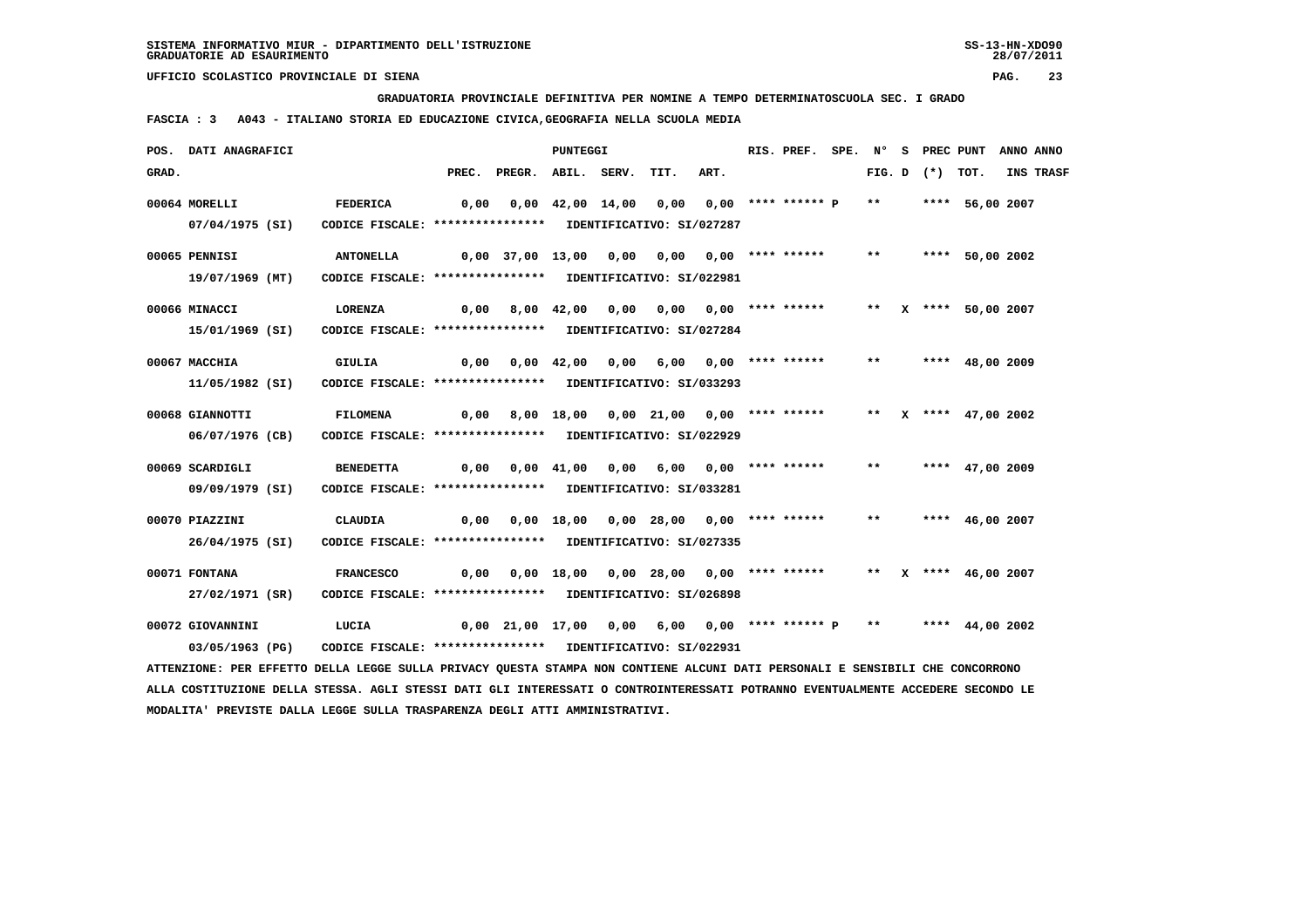**GRADUATORIA PROVINCIALE DEFINITIVA PER NOMINE A TEMPO DETERMINATOSCUOLA SEC. I GRADO**

 **FASCIA : 3 A043 - ITALIANO STORIA ED EDUCAZIONE CIVICA,GEOGRAFIA NELLA SCUOLA MEDIA**

|       | POS. DATI ANAGRAFICI                                                                                                          |                                                                                |                                             |                                                                     | PUNTEGGI |                                             |      | RIS. PREF. |       |                     | SPE. N° S PREC PUNT    | ANNO ANNO |
|-------|-------------------------------------------------------------------------------------------------------------------------------|--------------------------------------------------------------------------------|---------------------------------------------|---------------------------------------------------------------------|----------|---------------------------------------------|------|------------|-------|---------------------|------------------------|-----------|
| GRAD. |                                                                                                                               |                                                                                |                                             | PREC. PREGR. ABIL. SERV.                                            |          | TIT.                                        | ART. |            |       | FIG. $D$ $(*)$ TOT. |                        | INS TRASF |
|       | 00064 MORELLI<br>07/04/1975 (SI)                                                                                              | <b>FEDERICA</b><br>CODICE FISCALE: **************** IDENTIFICATIVO: SI/027287  | 0,00                                        |                                                                     |          | 0,00 42,00 14,00 0,00 0,00 **** ****** P ** |      |            |       |                     | **** 56,00 2007        |           |
|       | 00065 PENNISI<br>19/07/1969 (MT)                                                                                              | <b>ANTONELLA</b><br>CODICE FISCALE: **************** IDENTIFICATIVO: SI/022981 |                                             | 0,00 37,00 13,00 0,00 0,00 0,00 **** ******                         |          |                                             |      |            | $***$ |                     | **** 50,00 2002        |           |
|       | 00066 MINACCI<br>15/01/1969 (SI)                                                                                              | LORENZA<br>CODICE FISCALE: **************** IDENTIFICATIVO: SI/027284          |                                             | 0,00 8,00 42,00 0,00 0,00 0,00 **** ******                          |          |                                             |      |            |       |                     | ** X **** 50,00 2007   |           |
|       | 00067 MACCHIA<br>11/05/1982 (SI)                                                                                              | <b>GIULIA</b><br>CODICE FISCALE: **************** IDENTIFICATIVO: SI/033293    |                                             | 0,00  0,00  42,00  0,00  6,00  0,00  ****  ******                   |          |                                             |      |            |       |                     | ** **** 48,00 2009     |           |
|       | 00068 GIANNOTTI<br>06/07/1976 (CB)                                                                                            | <b>FILOMENA</b><br>CODICE FISCALE: **************** IDENTIFICATIVO: SI/022929  | 0,00 8,00 18,00 0,00 21,00 0,00 **** ****** |                                                                     |          |                                             |      |            |       |                     | ** $X$ **** 47,00 2002 |           |
|       | 00069 SCARDIGLI<br>09/09/1979 (SI)                                                                                            | <b>BENEDETTA</b><br>CODICE FISCALE: **************** IDENTIFICATIVO: SI/033281 |                                             | 0,00  0,00  41,00  0,00  6,00  0,00  ****  ******                   |          |                                             |      |            | $***$ |                     | **** 47,00 2009        |           |
|       | 00070 PIAZZINI<br>26/04/1975 (SI)                                                                                             | CLAUDIA<br>CODICE FISCALE: **************** IDENTIFICATIVO: SI/027335          |                                             | 0,00  0,00  18,00  0,00  28,00  0,00  ****  ******                  |          |                                             |      |            | $***$ |                     | **** 46,00 2007        |           |
|       | 00071 FONTANA<br>27/02/1971 (SR)                                                                                              | <b>FRANCESCO</b><br>CODICE FISCALE: **************** IDENTIFICATIVO: SI/026898 | 0,00                                        |                                                                     |          | 0,00 18,00 0,00 28,00 0,00 **** ******      |      |            |       |                     | ** $X$ **** 46,00 2007 |           |
|       | 00072 GIOVANNINI<br>03/05/1963 (PG)                                                                                           | LUCIA<br>CODICE FISCALE: **************** IDENTIFICATIVO: SI/022931            |                                             | $0,00$ 21,00 17,00 0,00 6,00 0,00 **** ****** P ** ***** 44,00 2002 |          |                                             |      |            |       |                     |                        |           |
|       | ATTENZIONE: PER EFFETTO DELLA LEGGE SULLA PRIVACY QUESTA STAMPA NON CONTIENE ALCUNI DATI PERSONALI E SENSIBILI CHE CONCORRONO |                                                                                |                                             |                                                                     |          |                                             |      |            |       |                     |                        |           |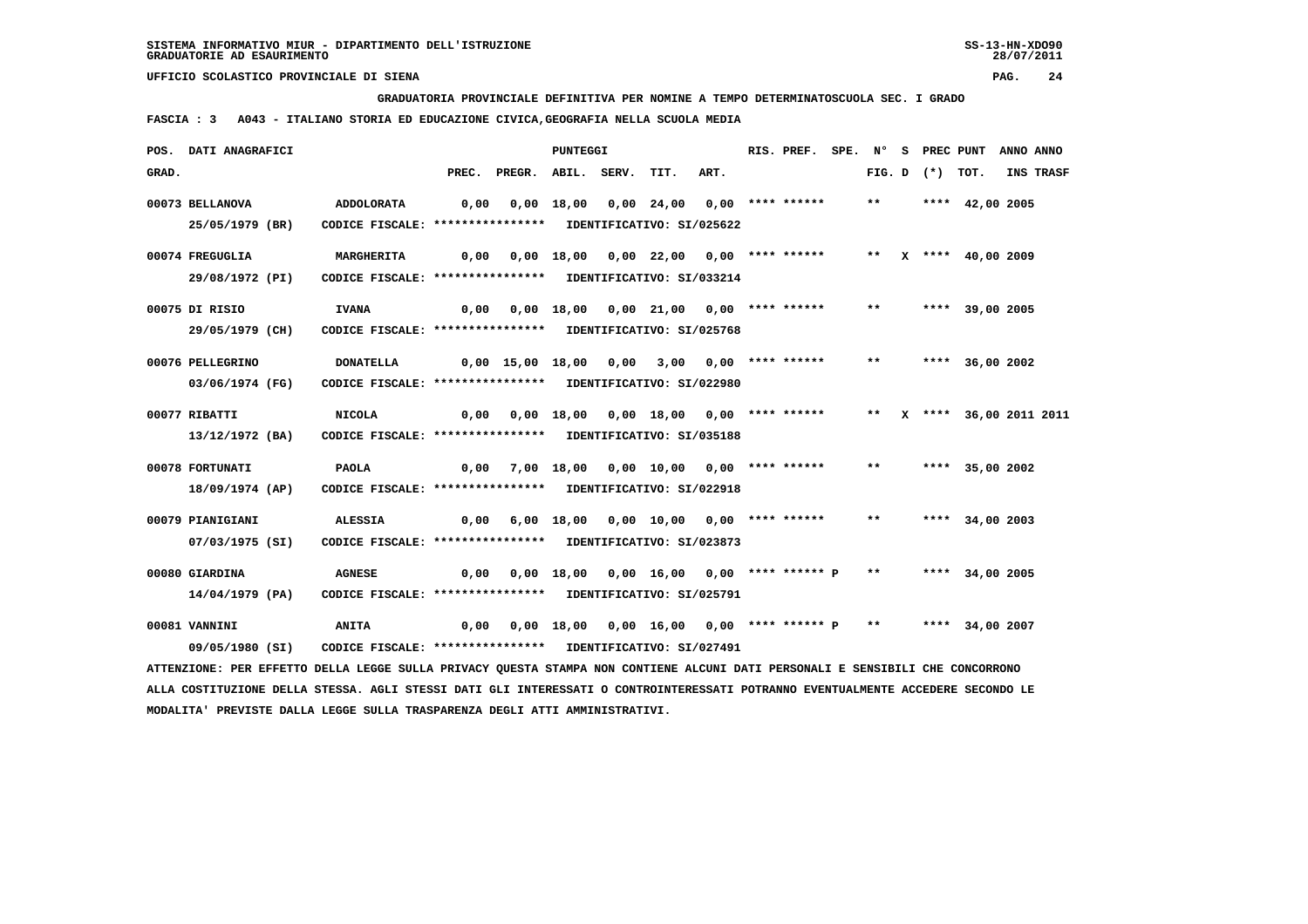**GRADUATORIA PROVINCIALE DEFINITIVA PER NOMINE A TEMPO DETERMINATOSCUOLA SEC. I GRADO**

 **FASCIA : 3 A043 - ITALIANO STORIA ED EDUCAZIONE CIVICA,GEOGRAFIA NELLA SCUOLA MEDIA**

|       | POS. DATI ANAGRAFICI                                                                                                          |                                                                          |      |                                                                  | PUNTEGGI |                                               |      | RIS. PREF. |              |                   | SPE. N° S PREC PUNT       | ANNO ANNO |
|-------|-------------------------------------------------------------------------------------------------------------------------------|--------------------------------------------------------------------------|------|------------------------------------------------------------------|----------|-----------------------------------------------|------|------------|--------------|-------------------|---------------------------|-----------|
| GRAD. |                                                                                                                               |                                                                          |      | PREC. PREGR. ABIL. SERV.                                         |          | TIT.                                          | ART. |            |              | FIG. D $(*)$ TOT. |                           | INS TRASF |
|       | 00073 BELLANOVA<br>25/05/1979 (BR)                                                                                            | ADDOLORATA<br>CODICE FISCALE: **************** IDENTIFICATIVO: SI/025622 | 0,00 |                                                                  |          | 0,00 18,00 0,00 24,00 0,00 **** ******        |      |            | $***$        |                   | **** $42,00$ 2005         |           |
|       |                                                                                                                               |                                                                          |      |                                                                  |          |                                               |      |            |              |                   |                           |           |
|       | 00074 FREGUGLIA                                                                                                               | MARGHERITA                                                               | 0,00 |                                                                  |          | $0.00$ 18.00 $0.00$ 22.00 $0.00$ **** ******  |      |            |              |                   | ** $X$ **** 40,00 2009    |           |
|       | 29/08/1972 (PI)                                                                                                               | CODICE FISCALE: **************** IDENTIFICATIVO: SI/033214               |      |                                                                  |          |                                               |      |            |              |                   |                           |           |
|       | 00075 DI RISIO                                                                                                                | <b>IVANA</b>                                                             |      | 0,00  0,00  18,00  0,00  21,00  0,00  ****  ******               |          |                                               |      |            | $***$        |                   | **** 39,00 2005           |           |
|       | 29/05/1979 (CH)                                                                                                               | CODICE FISCALE: **************** IDENTIFICATIVO: SI/025768               |      |                                                                  |          |                                               |      |            |              |                   |                           |           |
|       | 00076 PELLEGRINO                                                                                                              | <b>DONATELLA</b>                                                         |      | 0,00 15,00 18,00 0,00 3,00 0,00 **** ******                      |          |                                               |      |            | $\star\star$ |                   | **** 36,00 2002           |           |
|       | 03/06/1974 (FG)                                                                                                               | CODICE FISCALE: **************** IDENTIFICATIVO: SI/022980               |      |                                                                  |          |                                               |      |            |              |                   |                           |           |
|       | 00077 RIBATTI                                                                                                                 | <b>NICOLA</b>                                                            | 0,00 |                                                                  |          | 0,00 18,00 0,00 18,00 0,00 **** ******        |      |            |              |                   | ** X **** 36,00 2011 2011 |           |
|       | 13/12/1972 (BA)                                                                                                               | CODICE FISCALE: **************** IDENTIFICATIVO: SI/035188               |      |                                                                  |          |                                               |      |            |              |                   |                           |           |
|       | 00078 FORTUNATI                                                                                                               | <b>PAOLA</b>                                                             | 0,00 |                                                                  |          | 7,00 18,00 0,00 10,00 0,00 **** ******        |      |            | $***$        |                   | **** 35,00 2002           |           |
|       | 18/09/1974 (AP)                                                                                                               | CODICE FISCALE: **************** IDENTIFICATIVO: SI/022918               |      |                                                                  |          |                                               |      |            |              |                   |                           |           |
|       | 00079 PIANIGIANI                                                                                                              | <b>ALESSIA</b>                                                           |      | 0,00 6,00 18,00 0,00 10,00 0,00 **** ******                      |          |                                               |      |            | $***$        |                   | **** 34,00 2003           |           |
|       | 07/03/1975 (SI)                                                                                                               | CODICE FISCALE: **************** IDENTIFICATIVO: SI/023873               |      |                                                                  |          |                                               |      |            |              |                   |                           |           |
|       | 00080 GIARDINA                                                                                                                | <b>AGNESE</b>                                                            |      | 0,00 0,00 18,00 0,00 16,00 0,00 **** ****** P ** **** 34,00 2005 |          |                                               |      |            |              |                   |                           |           |
|       | 14/04/1979 (PA)                                                                                                               | CODICE FISCALE: **************** IDENTIFICATIVO: SI/025791               |      |                                                                  |          |                                               |      |            |              |                   |                           |           |
|       | 00081 VANNINI                                                                                                                 | <b>ANITA</b>                                                             | 0,00 |                                                                  |          | $0,00$ 18,00 0,00 16,00 0,00 **** ****** P ** |      |            |              |                   | **** 34,00 2007           |           |
|       | 09/05/1980 (SI)                                                                                                               | CODICE FISCALE: **************** IDENTIFICATIVO: SI/027491               |      |                                                                  |          |                                               |      |            |              |                   |                           |           |
|       | ATTENZIONE: PER EFFETTO DELLA LEGGE SULLA PRIVACY QUESTA STAMPA NON CONTIENE ALCUNI DATI PERSONALI E SENSIBILI CHE CONCORRONO |                                                                          |      |                                                                  |          |                                               |      |            |              |                   |                           |           |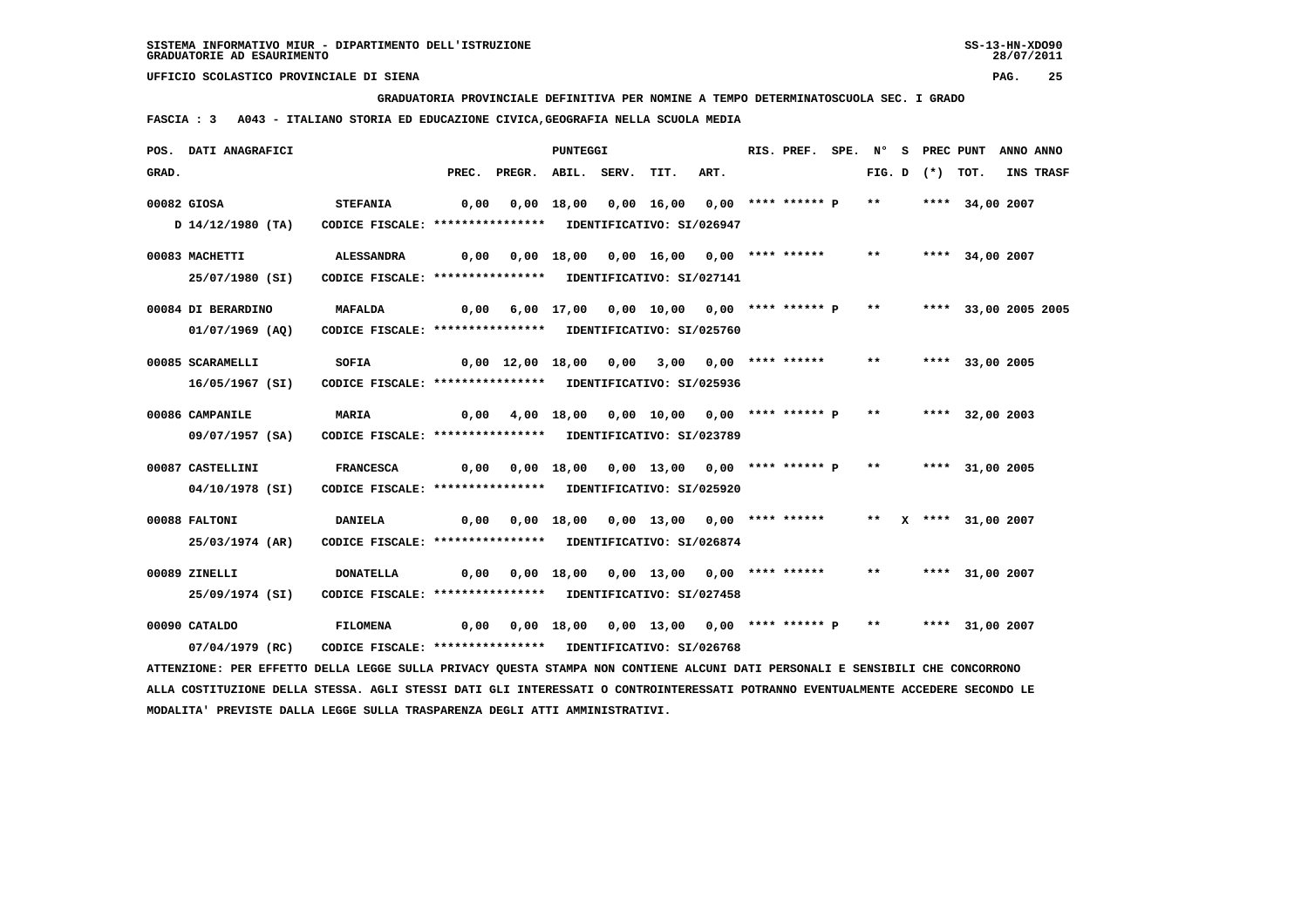**GRADUATORIA PROVINCIALE DEFINITIVA PER NOMINE A TEMPO DETERMINATOSCUOLA SEC. I GRADO**

 **FASCIA : 3 A043 - ITALIANO STORIA ED EDUCAZIONE CIVICA,GEOGRAFIA NELLA SCUOLA MEDIA**

|       | POS. DATI ANAGRAFICI                                                                                                          |                                                            |      |                                                                   | <b>PUNTEGGI</b> |                                                             |      | RIS. PREF. |       |                   | SPE. N° S PREC PUNT  | ANNO ANNO |
|-------|-------------------------------------------------------------------------------------------------------------------------------|------------------------------------------------------------|------|-------------------------------------------------------------------|-----------------|-------------------------------------------------------------|------|------------|-------|-------------------|----------------------|-----------|
| GRAD. |                                                                                                                               |                                                            |      | PREC. PREGR. ABIL. SERV.                                          |                 | TIT.                                                        | ART. |            |       | FIG. D $(*)$ TOT. |                      | INS TRASF |
|       | 00082 GIOSA                                                                                                                   | <b>STEFANIA</b>                                            | 0,00 |                                                                   |                 | 0,00 18,00 0,00 16,00 0,00 **** ****** P **                 |      |            |       |                   | **** 34,00 2007      |           |
|       | D 14/12/1980 (TA)                                                                                                             | CODICE FISCALE: **************** IDENTIFICATIVO: SI/026947 |      |                                                                   |                 |                                                             |      |            |       |                   |                      |           |
|       | 00083 MACHETTI                                                                                                                | ALESSANDRA                                                 | 0,00 |                                                                   |                 | 0,00 18,00 0,00 16,00 0,00 **** ******                      |      |            | $***$ |                   | **** 34,00 2007      |           |
|       | 25/07/1980 (SI)                                                                                                               | CODICE FISCALE: **************** IDENTIFICATIVO: SI/027141 |      |                                                                   |                 |                                                             |      |            |       |                   |                      |           |
|       | 00084 DI BERARDINO                                                                                                            | <b>MAFALDA</b>                                             |      | $0,00$ 6,00 17,00 0,00 10,00 0,00 **** ****** P **                |                 |                                                             |      |            |       |                   | **** 33,00 2005 2005 |           |
|       | 01/07/1969 (AO)                                                                                                               | CODICE FISCALE: **************** IDENTIFICATIVO: SI/025760 |      |                                                                   |                 |                                                             |      |            |       |                   |                      |           |
|       | 00085 SCARAMELLI                                                                                                              | SOFIA                                                      |      | 0,00 12,00 18,00 0,00 3,00 0,00 **** ****** ** **                 |                 |                                                             |      |            |       |                   | **** 33,00 2005      |           |
|       | 16/05/1967 (SI)                                                                                                               | CODICE FISCALE: **************** IDENTIFICATIVO: SI/025936 |      |                                                                   |                 |                                                             |      |            |       |                   |                      |           |
|       | 00086 CAMPANILE                                                                                                               | <b>MARIA</b>                                               | 0,00 |                                                                   |                 | 4,00 18,00 0,00 10,00 0,00 **** ****** P ** **** 32,00 2003 |      |            |       |                   |                      |           |
|       | 09/07/1957 (SA)                                                                                                               | CODICE FISCALE: **************** IDENTIFICATIVO: SI/023789 |      |                                                                   |                 |                                                             |      |            |       |                   |                      |           |
|       | 00087 CASTELLINI                                                                                                              | <b>FRANCESCA</b>                                           |      | $0,00$ $0,00$ $18,00$ $0,00$ $13,00$ $0,00$ $***$ **** ***** P ** |                 |                                                             |      |            |       |                   | **** 31,00 2005      |           |
|       | 04/10/1978 (SI)                                                                                                               | CODICE FISCALE: **************** IDENTIFICATIVO: SI/025920 |      |                                                                   |                 |                                                             |      |            |       |                   |                      |           |
|       | 00088 FALTONI                                                                                                                 | <b>DANIELA</b>                                             |      | 0,00 0,00 18,00 0,00 13,00 0,00 **** ****** ** X **** 31,00 2007  |                 |                                                             |      |            |       |                   |                      |           |
|       | 25/03/1974 (AR)                                                                                                               | CODICE FISCALE: **************** IDENTIFICATIVO: SI/026874 |      |                                                                   |                 |                                                             |      |            |       |                   |                      |           |
|       | 00089 ZINELLI                                                                                                                 | <b>DONATELLA</b>                                           | 0,00 |                                                                   |                 | 0,00 18,00 0,00 13,00 0,00 **** ******                      |      |            |       |                   | ** **** 31,00 2007   |           |
|       | 25/09/1974 (SI)                                                                                                               | CODICE FISCALE: **************** IDENTIFICATIVO: SI/027458 |      |                                                                   |                 |                                                             |      |            |       |                   |                      |           |
|       | 00090 CATALDO                                                                                                                 | FILOMENA                                                   | 0,00 |                                                                   |                 | $0,00$ 18,00 0,00 13,00 0,00 **** ****** P **               |      |            |       |                   | **** 31,00 2007      |           |
|       | $07/04/1979$ (RC)                                                                                                             | CODICE FISCALE: **************** IDENTIFICATIVO: SI/026768 |      |                                                                   |                 |                                                             |      |            |       |                   |                      |           |
|       | ATTENZIONE: PER EFFETTO DELLA LEGGE SULLA PRIVACY QUESTA STAMPA NON CONTIENE ALCUNI DATI PERSONALI E SENSIBILI CHE CONCORRONO |                                                            |      |                                                                   |                 |                                                             |      |            |       |                   |                      |           |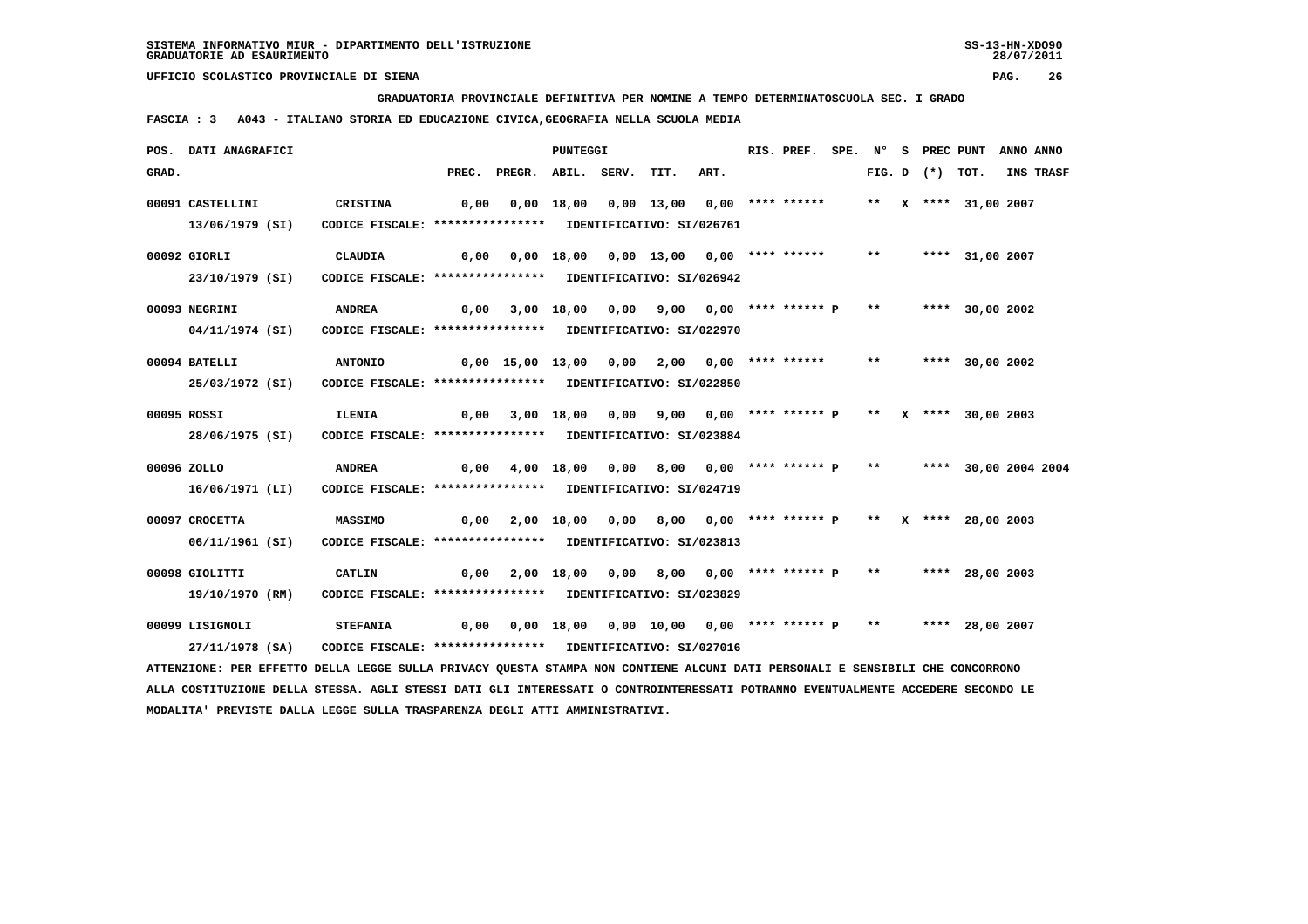**GRADUATORIA PROVINCIALE DEFINITIVA PER NOMINE A TEMPO DETERMINATOSCUOLA SEC. I GRADO**

 **FASCIA : 3 A043 - ITALIANO STORIA ED EDUCAZIONE CIVICA,GEOGRAFIA NELLA SCUOLA MEDIA**

|       | POS. DATI ANAGRAFICI                                                                                                          |                                                                        |      |                                                                      | PUNTEGGI |                                                              |      | RIS. PREF. |       |                   | SPE. N° S PREC PUNT  | ANNO ANNO |
|-------|-------------------------------------------------------------------------------------------------------------------------------|------------------------------------------------------------------------|------|----------------------------------------------------------------------|----------|--------------------------------------------------------------|------|------------|-------|-------------------|----------------------|-----------|
| GRAD. |                                                                                                                               |                                                                        |      | PREC. PREGR. ABIL. SERV.                                             |          | TIT.                                                         | ART. |            |       | FIG. D $(*)$ TOT. |                      | INS TRASF |
|       | 00091 CASTELLINI<br>13/06/1979 (SI)                                                                                           | CRISTINA<br>CODICE FISCALE: **************** IDENTIFICATIVO: SI/026761 | 0,00 |                                                                      |          | $0,00$ 18,00 0,00 13,00 0,00 **** ******                     |      |            |       |                   | ** X **** 31,00 2007 |           |
|       |                                                                                                                               |                                                                        |      |                                                                      |          |                                                              |      |            |       |                   |                      |           |
|       | 00092 GIORLI                                                                                                                  | CLAUDIA                                                                | 0,00 |                                                                      |          | 0,00 18,00 0,00 13,00 0,00 **** ******                       |      |            | $***$ |                   | **** 31,00 2007      |           |
|       | 23/10/1979 (SI)                                                                                                               | CODICE FISCALE: **************** IDENTIFICATIVO: SI/026942             |      |                                                                      |          |                                                              |      |            |       |                   |                      |           |
|       | 00093 NEGRINI                                                                                                                 | <b>ANDREA</b>                                                          |      | $0,00$ 3,00 18,00 0,00 9,00 0,00 **** ****** P ** **** 30,00 2002    |          |                                                              |      |            |       |                   |                      |           |
|       | 04/11/1974 (SI)                                                                                                               | CODICE FISCALE: **************** IDENTIFICATIVO: SI/022970             |      |                                                                      |          |                                                              |      |            |       |                   |                      |           |
|       | 00094 BATELLI                                                                                                                 | <b>ANTONIO</b>                                                         |      | 0,00 15,00 13,00 0,00 2,00 0,00 **** ****** ** **** 30,00 2002       |          |                                                              |      |            |       |                   |                      |           |
|       | 25/03/1972 (SI)                                                                                                               | CODICE FISCALE: **************** IDENTIFICATIVO: SI/022850             |      |                                                                      |          |                                                              |      |            |       |                   |                      |           |
|       |                                                                                                                               |                                                                        |      |                                                                      |          |                                                              |      |            |       |                   |                      |           |
|       | 00095 ROSSI                                                                                                                   | <b>ILENIA</b>                                                          | 0,00 |                                                                      |          | 3,00 18,00 0,00 9,00 0,00 **** ****** P ** X **** 30,00 2003 |      |            |       |                   |                      |           |
|       | 28/06/1975 (SI)                                                                                                               | CODICE FISCALE: **************** IDENTIFICATIVO: SI/023884             |      |                                                                      |          |                                                              |      |            |       |                   |                      |           |
|       | 00096 ZOLLO                                                                                                                   | <b>ANDREA</b>                                                          |      | 0,00 4,00 18,00 0,00 8,00 0,00 **** ****** P ** **** 30,00 2004 2004 |          |                                                              |      |            |       |                   |                      |           |
|       | 16/06/1971 (LI)                                                                                                               | CODICE FISCALE: **************** IDENTIFICATIVO: SI/024719             |      |                                                                      |          |                                                              |      |            |       |                   |                      |           |
|       | 00097 CROCETTA                                                                                                                | <b>MASSIMO</b>                                                         | 0,00 |                                                                      |          | 2,00 18,00 0,00 8,00 0,00 **** ****** P ** X **** 28,00 2003 |      |            |       |                   |                      |           |
|       | 06/11/1961 (SI)                                                                                                               | CODICE FISCALE: **************** IDENTIFICATIVO: SI/023813             |      |                                                                      |          |                                                              |      |            |       |                   |                      |           |
|       | 00098 GIOLITTI                                                                                                                | CATLIN                                                                 | 0,00 |                                                                      |          | 2,00 18,00 0,00 8,00 0,00 **** ****** P ** ***** 28,00 2003  |      |            |       |                   |                      |           |
|       | 19/10/1970 (RM)                                                                                                               | CODICE FISCALE: **************** IDENTIFICATIVO: SI/023829             |      |                                                                      |          |                                                              |      |            |       |                   |                      |           |
|       | 00099 LISIGNOLI                                                                                                               | <b>STEFANIA</b>                                                        |      | 0,00 0,00 18,00 0,00 10,00 0,00 **** ****** P ** ***** 28,00 2007    |          |                                                              |      |            |       |                   |                      |           |
|       | 27/11/1978 (SA)                                                                                                               | CODICE FISCALE: **************** IDENTIFICATIVO: SI/027016             |      |                                                                      |          |                                                              |      |            |       |                   |                      |           |
|       | ATTENZIONE: PER EFFETTO DELLA LEGGE SULLA PRIVACY QUESTA STAMPA NON CONTIENE ALCUNI DATI PERSONALI E SENSIBILI CHE CONCORRONO |                                                                        |      |                                                                      |          |                                                              |      |            |       |                   |                      |           |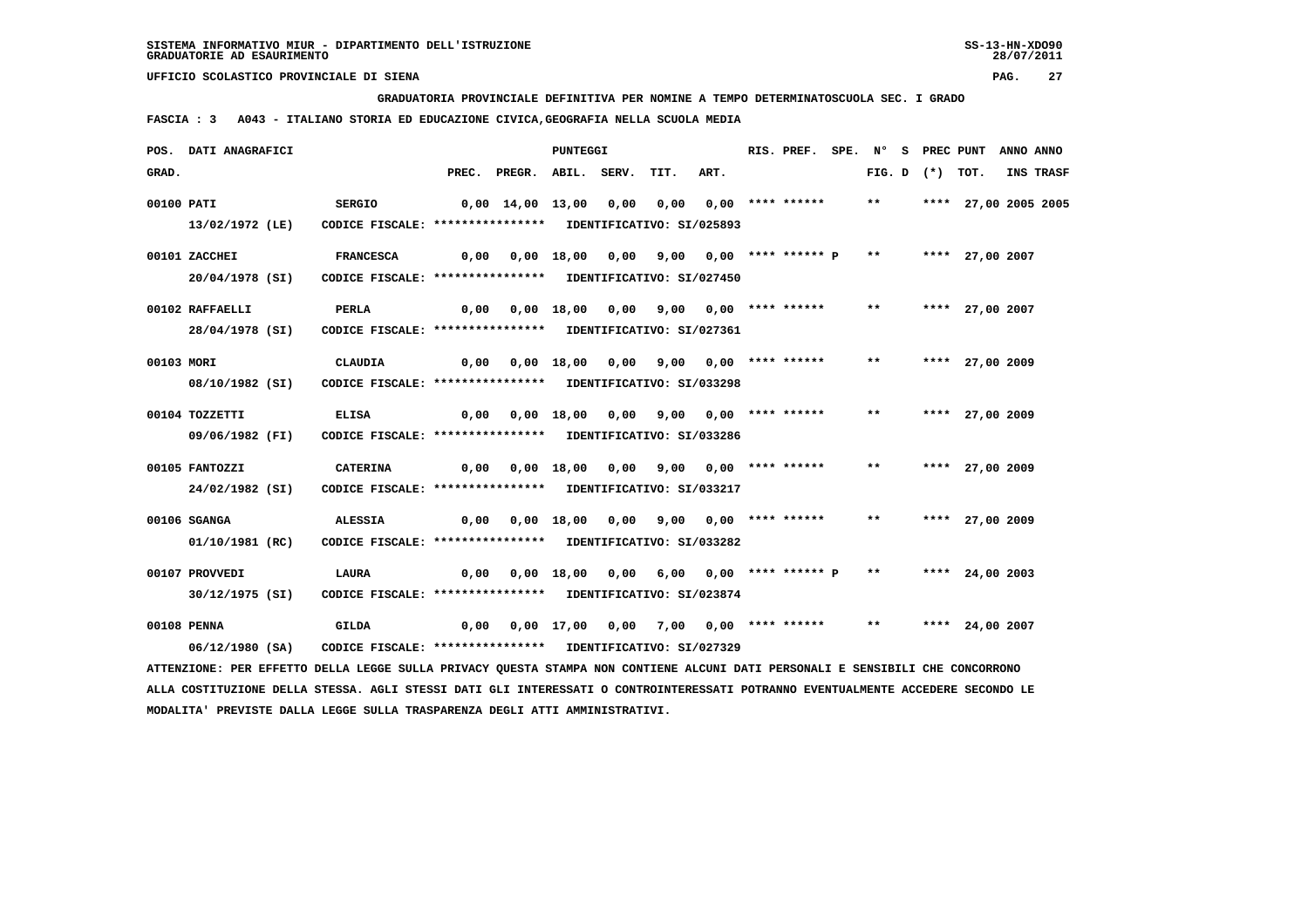**GRADUATORIA PROVINCIALE DEFINITIVA PER NOMINE A TEMPO DETERMINATOSCUOLA SEC. I GRADO**

 **FASCIA : 3 A043 - ITALIANO STORIA ED EDUCAZIONE CIVICA,GEOGRAFIA NELLA SCUOLA MEDIA**

|            | POS. DATI ANAGRAFICI                                                                                                          |                                                            |                                             |                                                               | <b>PUNTEGGI</b> |                                                              |      | RIS. PREF. SPE. N° S PREC PUNT |       |                   |                      | ANNO ANNO |
|------------|-------------------------------------------------------------------------------------------------------------------------------|------------------------------------------------------------|---------------------------------------------|---------------------------------------------------------------|-----------------|--------------------------------------------------------------|------|--------------------------------|-------|-------------------|----------------------|-----------|
| GRAD.      |                                                                                                                               |                                                            |                                             | PREC. PREGR. ABIL. SERV.                                      |                 | TIT.                                                         | ART. |                                |       | FIG. D $(*)$ TOT. |                      | INS TRASF |
| 00100 PATI |                                                                                                                               | <b>SERGIO</b>                                              | 0,00 14,00 13,00 0,00 0,00 0,00 **** ****** |                                                               |                 |                                                              |      |                                | $***$ |                   | **** 27,00 2005 2005 |           |
|            | 13/02/1972 (LE)                                                                                                               | CODICE FISCALE: **************** IDENTIFICATIVO: SI/025893 |                                             |                                                               |                 |                                                              |      |                                |       |                   |                      |           |
|            | 00101 ZACCHEI                                                                                                                 | <b>FRANCESCA</b>                                           | 0,00                                        |                                                               |                 | 0,00 18,00 0,00 9,00 0,00 **** ****** P ** **** 27,00 2007   |      |                                |       |                   |                      |           |
|            | 20/04/1978 (SI)                                                                                                               | CODICE FISCALE: **************** IDENTIFICATIVO: SI/027450 |                                             |                                                               |                 |                                                              |      |                                |       |                   |                      |           |
|            | 00102 RAFFAELLI                                                                                                               | <b>PERLA</b>                                               |                                             | 0,00  0,00  18,00  0,00  9,00  0,00  ****  ******             |                 |                                                              |      |                                | $***$ |                   | **** 27,00 2007      |           |
|            | 28/04/1978 (SI)                                                                                                               | CODICE FISCALE: **************** IDENTIFICATIVO: SI/027361 |                                             |                                                               |                 |                                                              |      |                                |       |                   |                      |           |
| 00103 MORI |                                                                                                                               | <b>CLAUDIA</b>                                             |                                             | 0,00  0,00  18,00  0,00  9,00  0,00  ****  ******             |                 |                                                              |      |                                | $***$ |                   | **** 27,00 2009      |           |
|            | 08/10/1982 (SI)                                                                                                               | CODICE FISCALE: **************** IDENTIFICATIVO: SI/033298 |                                             |                                                               |                 |                                                              |      |                                |       |                   |                      |           |
|            | 00104 TOZZETTI                                                                                                                | <b>ELISA</b>                                               | 0,00                                        |                                                               |                 | $0,00$ 18,00 0,00 9,00 0,00 **** ******                      |      |                                | $***$ |                   | **** 27,00 2009      |           |
|            | 09/06/1982 (FI)                                                                                                               | CODICE FISCALE: **************** IDENTIFICATIVO: SI/033286 |                                             |                                                               |                 |                                                              |      |                                |       |                   |                      |           |
|            | 00105 FANTOZZI                                                                                                                | <b>CATERINA</b>                                            |                                             | 0,00  0,00  18,00  0,00  9,00  0,00  ****  ******             |                 |                                                              |      |                                | $***$ |                   | **** 27,00 2009      |           |
|            | 24/02/1982 (SI)                                                                                                               | CODICE FISCALE: **************** IDENTIFICATIVO: SI/033217 |                                             |                                                               |                 |                                                              |      |                                |       |                   |                      |           |
|            | 00106 SGANGA                                                                                                                  | ALESSIA                                                    |                                             |                                                               |                 |                                                              |      |                                | $***$ |                   | **** 27,00 2009      |           |
|            | 01/10/1981 (RC)                                                                                                               | CODICE FISCALE: **************** IDENTIFICATIVO: SI/033282 |                                             |                                                               |                 |                                                              |      |                                |       |                   |                      |           |
|            | 00107 PROVVEDI                                                                                                                | LAURA                                                      | 0,00                                        |                                                               |                 | $0,00$ 18,00 0,00 6,00 0,00 **** ****** P ** **** 24,00 2003 |      |                                |       |                   |                      |           |
|            | 30/12/1975 (SI)                                                                                                               | CODICE FISCALE: **************** IDENTIFICATIVO: SI/023874 |                                             |                                                               |                 |                                                              |      |                                |       |                   |                      |           |
|            | 00108 PENNA                                                                                                                   | GILDA                                                      |                                             | 0,00 0,00 17,00 0,00 7,00 0,00 **** ****** ** **** 24,00 2007 |                 |                                                              |      |                                |       |                   |                      |           |
|            | 06/12/1980 (SA)                                                                                                               | CODICE FISCALE: **************** IDENTIFICATIVO: SI/027329 |                                             |                                                               |                 |                                                              |      |                                |       |                   |                      |           |
|            | ATTENZIONE: PER EFFETTO DELLA LEGGE SULLA PRIVACY QUESTA STAMPA NON CONTIENE ALCUNI DATI PERSONALI E SENSIBILI CHE CONCORRONO |                                                            |                                             |                                                               |                 |                                                              |      |                                |       |                   |                      |           |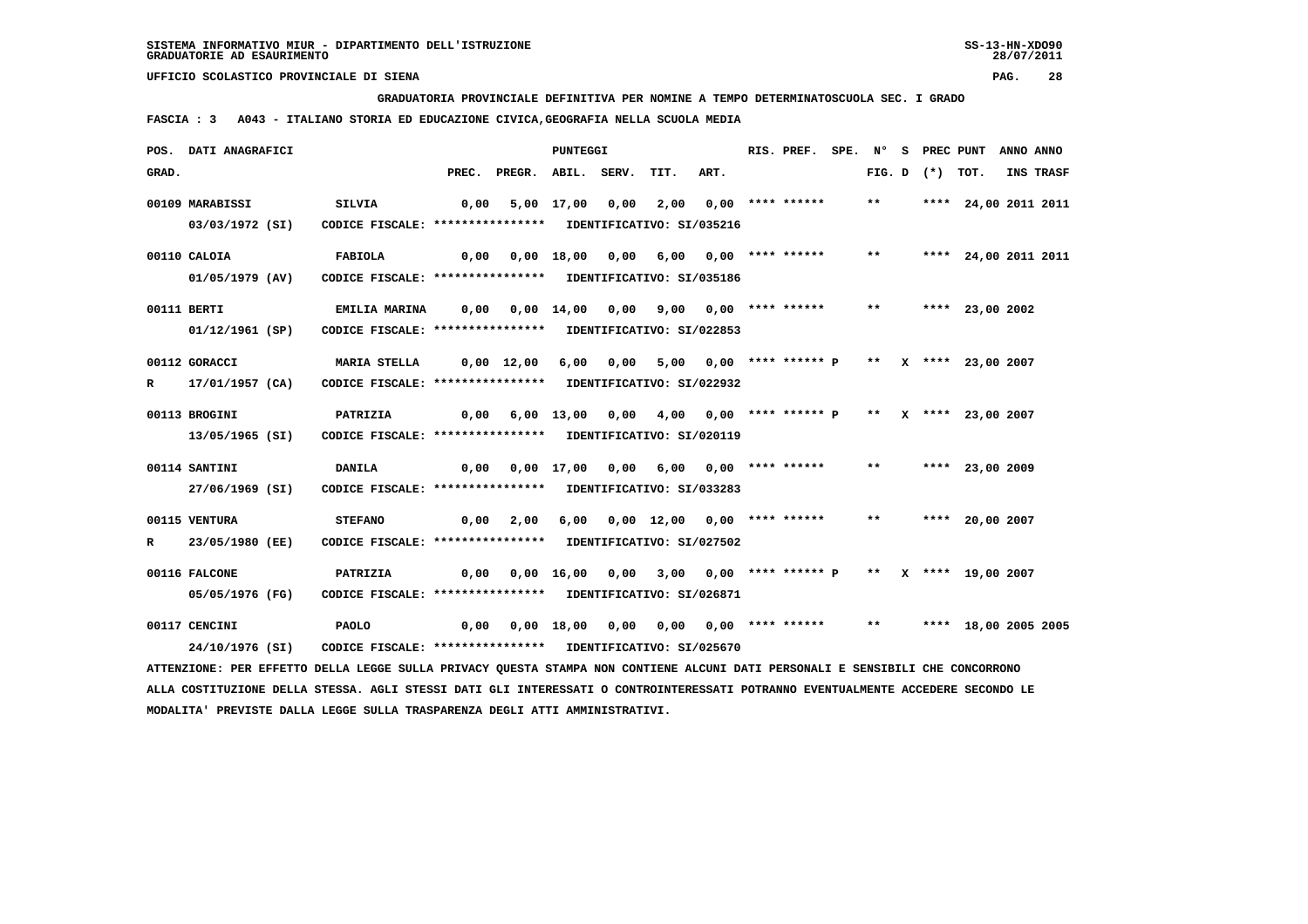**GRADUATORIA PROVINCIALE DEFINITIVA PER NOMINE A TEMPO DETERMINATOSCUOLA SEC. I GRADO**

 **FASCIA : 3 A043 - ITALIANO STORIA ED EDUCAZIONE CIVICA,GEOGRAFIA NELLA SCUOLA MEDIA**

|       | POS. DATI ANAGRAFICI                                                                                                            |                                                            |            |                                                                               | <b>PUNTEGGI</b> |                                                   |      | RIS. PREF. |       |                   | SPE. N° S PREC PUNT  | ANNO ANNO |
|-------|---------------------------------------------------------------------------------------------------------------------------------|------------------------------------------------------------|------------|-------------------------------------------------------------------------------|-----------------|---------------------------------------------------|------|------------|-------|-------------------|----------------------|-----------|
| GRAD. |                                                                                                                                 |                                                            | PREC.      | PREGR. ABIL. SERV.                                                            |                 | TIT.                                              | ART. |            |       | FIG. D $(*)$ TOT. |                      | INS TRASF |
|       | 00109 MARABISSI                                                                                                                 | <b>SILVIA</b>                                              | 0,00       |                                                                               |                 | 5,00 17,00 0,00 2,00 0,00 **** ******             |      |            | $***$ |                   | **** 24,00 2011 2011 |           |
|       | 03/03/1972 (SI)                                                                                                                 | CODICE FISCALE: **************** IDENTIFICATIVO: SI/035216 |            |                                                                               |                 |                                                   |      |            |       |                   |                      |           |
|       | 00110 CALOIA                                                                                                                    | FABIOLA                                                    |            | 0,00  0,00  18,00  0,00  6,00  0,00  ****  ******                             |                 |                                                   |      |            | $***$ |                   | **** 24,00 2011 2011 |           |
|       | 01/05/1979 (AV)                                                                                                                 | CODICE FISCALE: **************** IDENTIFICATIVO: SI/035186 |            |                                                                               |                 |                                                   |      |            |       |                   |                      |           |
|       | 00111 BERTI                                                                                                                     | <b>EMILIA MARINA</b>                                       |            |                                                                               |                 |                                                   |      |            |       |                   | **** 23,00 2002      |           |
|       | 01/12/1961 (SP)                                                                                                                 | CODICE FISCALE: **************** IDENTIFICATIVO: SI/022853 |            |                                                                               |                 |                                                   |      |            |       |                   |                      |           |
|       | 00112 GORACCI                                                                                                                   | MARIA STELLA                                               | 0,00 12,00 |                                                                               | 6,00            | 0,00 5,00 0,00 **** ****** P ** X **** 23,00 2007 |      |            |       |                   |                      |           |
| R     | 17/01/1957 (CA)                                                                                                                 | CODICE FISCALE: **************** IDENTIFICATIVO: SI/022932 |            |                                                                               |                 |                                                   |      |            |       |                   |                      |           |
|       | 00113 BROGINI                                                                                                                   | PATRIZIA                                                   |            | 0,00 6,00 13,00 0,00 4,00 0,00 **** ****** P ** X **** 23,00 2007             |                 |                                                   |      |            |       |                   |                      |           |
|       | 13/05/1965 (SI)                                                                                                                 | CODICE FISCALE: **************** IDENTIFICATIVO: SI/020119 |            |                                                                               |                 |                                                   |      |            |       |                   |                      |           |
|       | 00114 SANTINI                                                                                                                   | <b>DANILA</b>                                              | 0,00       |                                                                               |                 | 0,00 17,00 0,00 6,00 0,00 **** ******             |      |            |       |                   | ** **** 23,00 2009   |           |
|       | 27/06/1969 (SI)                                                                                                                 | CODICE FISCALE: **************** IDENTIFICATIVO: SI/033283 |            |                                                                               |                 |                                                   |      |            |       |                   |                      |           |
|       | 00115 VENTURA                                                                                                                   | <b>STEFANO</b>                                             |            | 0,00 2,00                                                                     |                 | 6,00 0,00 12,00 0,00 **** ******                  |      |            | $***$ |                   | **** 20,00 2007      |           |
| R     | 23/05/1980 (EE)                                                                                                                 | CODICE FISCALE: **************** IDENTIFICATIVO: SI/027502 |            |                                                                               |                 |                                                   |      |            |       |                   |                      |           |
|       | 00116 FALCONE                                                                                                                   | PATRIZIA                                                   |            | $0,00$ $0,00$ $16,00$ $0,00$ $3,00$ $0,00$ **** ****** P ** X **** 19,00 2007 |                 |                                                   |      |            |       |                   |                      |           |
|       | 05/05/1976 (FG)                                                                                                                 | CODICE FISCALE: **************** IDENTIFICATIVO: SI/026871 |            |                                                                               |                 |                                                   |      |            |       |                   |                      |           |
|       | 00117 CENCINI                                                                                                                   | <b>PAOLO</b>                                               |            |                                                                               |                 |                                                   |      |            | $***$ |                   | **** 18,00 2005 2005 |           |
|       | 24/10/1976 (SI)                                                                                                                 | CODICE FISCALE: **************** IDENTIFICATIVO: SI/025670 |            |                                                                               |                 |                                                   |      |            |       |                   |                      |           |
|       | ATTENZIONE: PER EFFETTO DELLA LEGGE SULLA PRIVACY QUESTA STAMPA NON CONTIENE ALCUNI DATI PERSONALI E SENSIBILI CHE CONCORRONO   |                                                            |            |                                                                               |                 |                                                   |      |            |       |                   |                      |           |
|       | ALLA COSTITUZIONE DELLA STESSA. AGLI STESSI DATI GLI INTERESSATI O CONTROINTERESSATI POTRANNO EVENTUALMENTE ACCEDERE SECONDO LE |                                                            |            |                                                                               |                 |                                                   |      |            |       |                   |                      |           |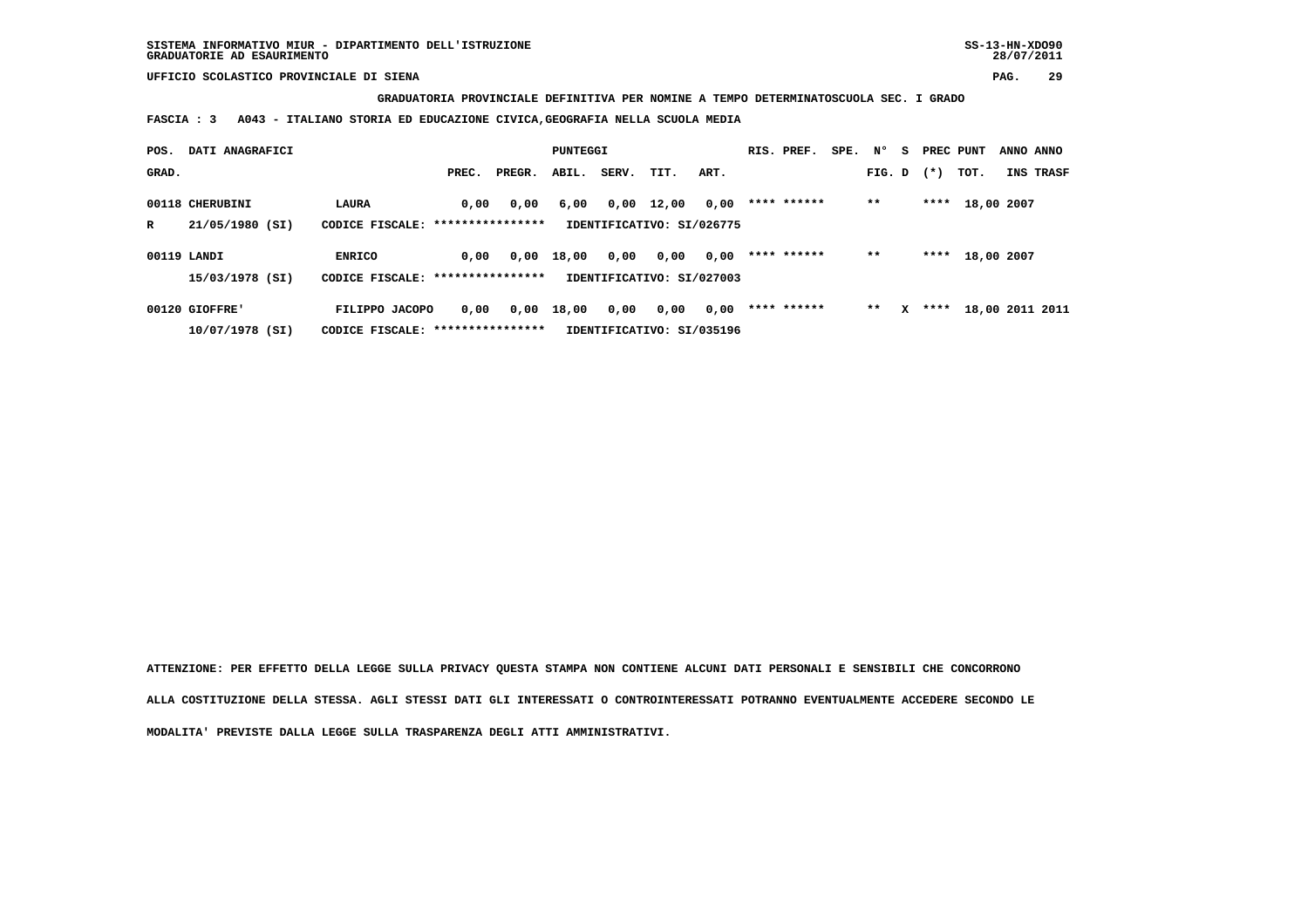**GRADUATORIA PROVINCIALE DEFINITIVA PER NOMINE A TEMPO DETERMINATOSCUOLA SEC. I GRADO**

 **FASCIA : 3 A043 - ITALIANO STORIA ED EDUCAZIONE CIVICA,GEOGRAFIA NELLA SCUOLA MEDIA**

| POS.  | DATI ANAGRAFICI |                                   |                  | <b>PUNTEGGI</b> |       |       |                           | RIS. PREF. | SPE.        | N° | s.     | PREC PUNT |        | ANNO ANNO  |                 |
|-------|-----------------|-----------------------------------|------------------|-----------------|-------|-------|---------------------------|------------|-------------|----|--------|-----------|--------|------------|-----------------|
| GRAD. |                 |                                   | PREC.            | PREGR.          | ABIL. | SERV. | TIT.                      | ART.       |             |    | FIG. D |           | $(* )$ | TOT.       | INS TRASF       |
|       | 00118 CHERUBINI | LAURA                             | 0,00             | 0,00            | 6,00  | 0,00  | 12,00                     | 0,00       | **** ****** |    | $***$  |           | ****   | 18,00 2007 |                 |
| R     | 21/05/1980 (SI) | CODICE FISCALE:                   | **************** |                 |       |       | IDENTIFICATIVO: SI/026775 |            |             |    |        |           |        |            |                 |
|       | 00119 LANDI     | <b>ENRICO</b>                     | 0,00             | 0,00            | 18,00 | 0,00  | 0,00                      | 0,00       | **** ****** |    | $***$  |           | ****   | 18,00 2007 |                 |
|       | 15/03/1978 (SI) | CODICE FISCALE: ***************** |                  |                 |       |       | IDENTIFICATIVO: SI/027003 |            |             |    |        |           |        |            |                 |
|       | 00120 GIOFFRE'  | FILIPPO JACOPO                    | 0,00             | 0,00            | 18,00 | 0,00  | 0,00                      | 0,00       | **** ****** |    | **     | x         | ****   |            | 18,00 2011 2011 |
|       | 10/07/1978 (SI) | CODICE FISCALE:                   | **************** |                 |       |       | IDENTIFICATIVO: SI/035196 |            |             |    |        |           |        |            |                 |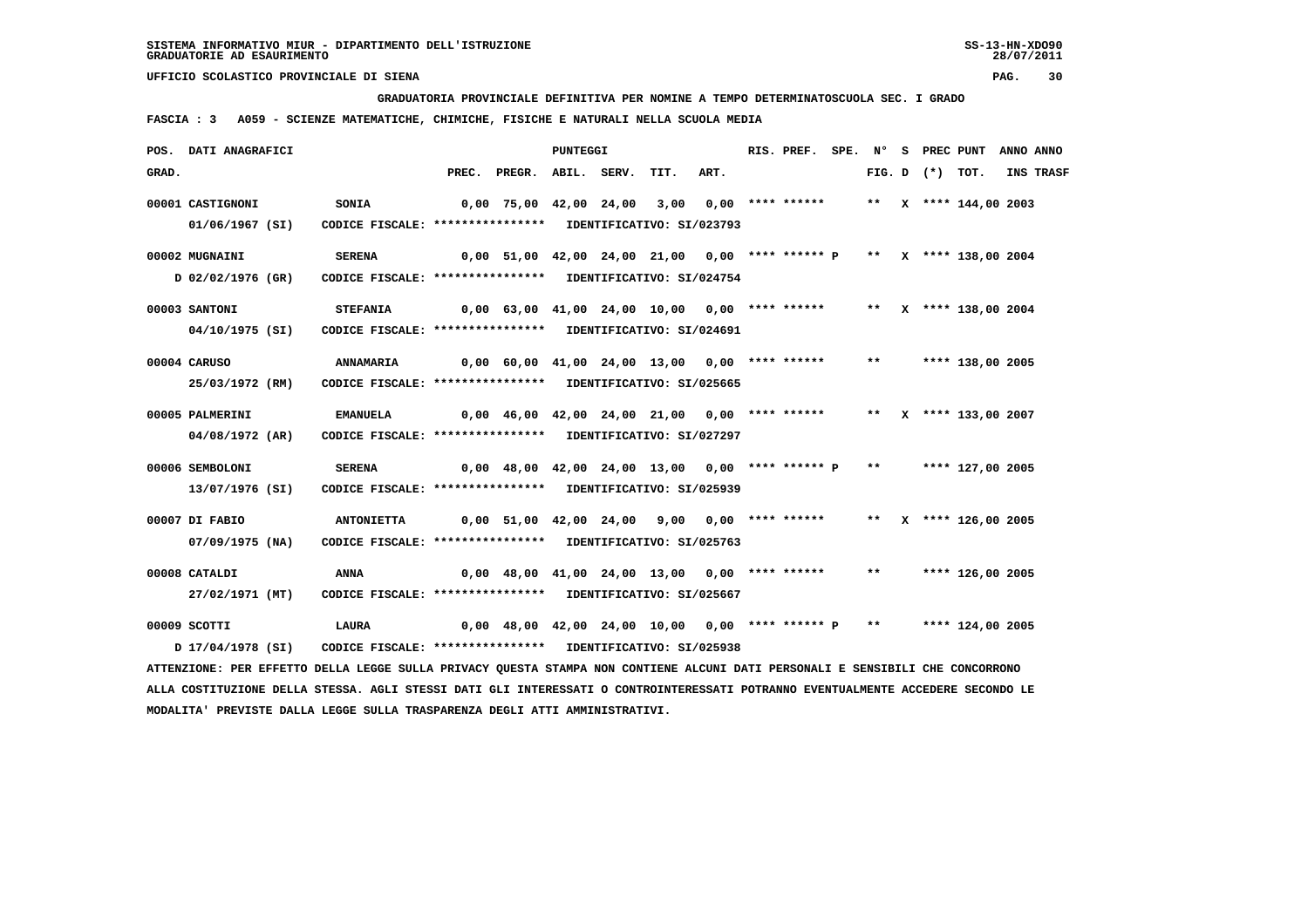**GRADUATORIA PROVINCIALE DEFINITIVA PER NOMINE A TEMPO DETERMINATOSCUOLA SEC. I GRADO**

 **FASCIA : 3 A059 - SCIENZE MATEMATICHE, CHIMICHE, FISICHE E NATURALI NELLA SCUOLA MEDIA**

|       | POS. DATI ANAGRAFICI                                                                                                          |                                                            |       |                                                                        | PUNTEGGI |      |      | RIS. PREF. | $SPE.$ N° |                     | <b>S</b> PREC PUNT      | ANNO ANNO |
|-------|-------------------------------------------------------------------------------------------------------------------------------|------------------------------------------------------------|-------|------------------------------------------------------------------------|----------|------|------|------------|-----------|---------------------|-------------------------|-----------|
| GRAD. |                                                                                                                               |                                                            | PREC. | PREGR. ABIL. SERV.                                                     |          | TIT. | ART. |            |           | FIG. $D$ $(*)$ TOT. |                         | INS TRASF |
|       | 00001 CASTIGNONI                                                                                                              | <b>SONIA</b>                                               |       | 0,00 75,00 42,00 24,00 3,00 0,00 **** ******                           |          |      |      |            |           |                     | ** X **** 144,00 2003   |           |
|       | 01/06/1967 (SI)                                                                                                               | CODICE FISCALE: **************** IDENTIFICATIVO: SI/023793 |       |                                                                        |          |      |      |            |           |                     |                         |           |
|       | 00002 MUGNAINI                                                                                                                | <b>SERENA</b>                                              |       | 0,00 51,00 42,00 24,00 21,00 0,00 **** ****** P ** X **** 138,00 2004  |          |      |      |            |           |                     |                         |           |
|       | D 02/02/1976 (GR)                                                                                                             | CODICE FISCALE: **************** IDENTIFICATIVO: SI/024754 |       |                                                                        |          |      |      |            |           |                     |                         |           |
|       | 00003 SANTONI                                                                                                                 | <b>STEFANIA</b>                                            |       | 0,00 63,00 41,00 24,00 10,00 0,00 **** ******                          |          |      |      |            |           |                     | ** $X$ **** 138,00 2004 |           |
|       | 04/10/1975 (SI)                                                                                                               | CODICE FISCALE: **************** IDENTIFICATIVO: SI/024691 |       |                                                                        |          |      |      |            |           |                     |                         |           |
|       | 00004 CARUSO                                                                                                                  | <b>ANNAMARIA</b>                                           |       | $0,00$ 60,00 41,00 24,00 13,00 0,00 **** ******                        |          |      |      |            | $***$     |                     | **** 138,00 2005        |           |
|       | 25/03/1972 (RM)                                                                                                               | CODICE FISCALE: **************** IDENTIFICATIVO: SI/025665 |       |                                                                        |          |      |      |            |           |                     |                         |           |
|       | 00005 PALMERINI                                                                                                               | <b>EMANUELA</b>                                            |       | 0,00 46,00 42,00 24,00 21,00 0,00 **** ******                          |          |      |      |            |           |                     | ** X **** 133,00 2007   |           |
|       | 04/08/1972 (AR)                                                                                                               | CODICE FISCALE: **************** IDENTIFICATIVO: SI/027297 |       |                                                                        |          |      |      |            |           |                     |                         |           |
|       | 00006 SEMBOLONI                                                                                                               | <b>SERENA</b>                                              |       | $0,00$ 48,00 42,00 24,00 13,00 0,00 **** ****** P                      |          |      |      |            | $***$     |                     | **** 127,00 2005        |           |
|       | 13/07/1976 (SI)                                                                                                               | CODICE FISCALE: **************** IDENTIFICATIVO: SI/025939 |       |                                                                        |          |      |      |            |           |                     |                         |           |
|       | 00007 DI FABIO                                                                                                                | <b>ANTONIETTA</b>                                          |       | 0,00 51,00 42,00 24,00 9,00 0,00 **** ****** ** ** ** **** 126,00 2005 |          |      |      |            |           |                     |                         |           |
|       | $07/09/1975$ (NA)                                                                                                             | CODICE FISCALE: **************** IDENTIFICATIVO: SI/025763 |       |                                                                        |          |      |      |            |           |                     |                         |           |
|       | 00008 CATALDI                                                                                                                 | ANNA                                                       |       | 0,00 48,00 41,00 24,00 13,00 0,00 **** ******                          |          |      |      |            | $***$     |                     | **** 126,00 2005        |           |
|       | 27/02/1971 (MT)                                                                                                               | CODICE FISCALE: **************** IDENTIFICATIVO: SI/025667 |       |                                                                        |          |      |      |            |           |                     |                         |           |
|       | 00009 SCOTTI                                                                                                                  | LAURA                                                      |       | $0,00$ 48,00 42,00 24,00 10,00 0,00 **** ****** P **                   |          |      |      |            |           |                     | **** 124,00 2005        |           |
|       | D 17/04/1978 (SI)                                                                                                             | CODICE FISCALE: **************** IDENTIFICATIVO: SI/025938 |       |                                                                        |          |      |      |            |           |                     |                         |           |
|       | ATTENZIONE: PER EFFETTO DELLA LEGGE SULLA PRIVACY QUESTA STAMPA NON CONTIENE ALCUNI DATI PERSONALI E SENSIBILI CHE CONCORRONO |                                                            |       |                                                                        |          |      |      |            |           |                     |                         |           |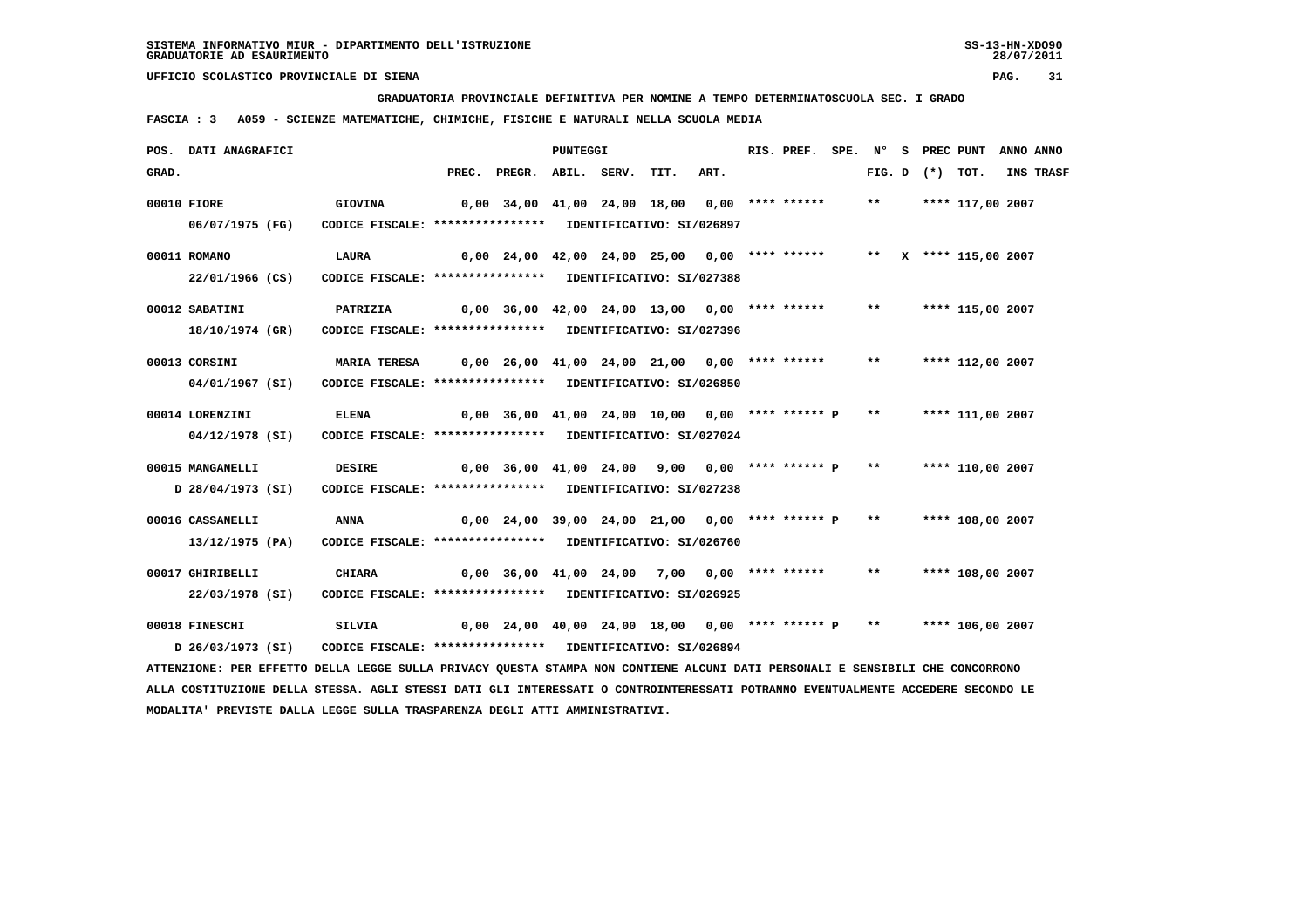**GRADUATORIA PROVINCIALE DEFINITIVA PER NOMINE A TEMPO DETERMINATOSCUOLA SEC. I GRADO**

 **FASCIA : 3 A059 - SCIENZE MATEMATICHE, CHIMICHE, FISICHE E NATURALI NELLA SCUOLA MEDIA**

|       | POS. DATI ANAGRAFICI                                                                                                            |                                                            |                                                      | <b>PUNTEGGI</b> |      |      | RIS. PREF.         | SPE. N° |               |                   | S PREC PUNT ANNO ANNO |           |
|-------|---------------------------------------------------------------------------------------------------------------------------------|------------------------------------------------------------|------------------------------------------------------|-----------------|------|------|--------------------|---------|---------------|-------------------|-----------------------|-----------|
| GRAD. |                                                                                                                                 |                                                            | PREC. PREGR. ABIL. SERV.                             |                 | TIT. | ART. |                    |         |               | FIG. D $(*)$ TOT. |                       | INS TRASF |
|       | 00010 FIORE                                                                                                                     | <b>GIOVINA</b>                                             | 0,00 34,00 41,00 24,00 18,00                         |                 |      |      | $0.00$ **** ****** |         | $***$         |                   | **** 117,00 2007      |           |
|       | 06/07/1975 (FG)                                                                                                                 | CODICE FISCALE: **************** IDENTIFICATIVO: SI/026897 |                                                      |                 |      |      |                    |         |               |                   |                       |           |
|       | 00011 ROMANO                                                                                                                    | LAURA                                                      | $0.00$ 24.00 42.00 24.00 25.00 0.00 **** ******      |                 |      |      |                    |         |               |                   | ** X **** 115,00 2007 |           |
|       | 22/01/1966 (CS)                                                                                                                 | CODICE FISCALE: **************** IDENTIFICATIVO: SI/027388 |                                                      |                 |      |      |                    |         |               |                   |                       |           |
|       | 00012 SABATINI                                                                                                                  | PATRIZIA                                                   | $0,00$ 36,00 42,00 24,00 13,00 0,00 **** ******      |                 |      |      |                    |         | $***$         |                   | **** 115,00 2007      |           |
|       | 18/10/1974 (GR)                                                                                                                 | CODICE FISCALE: **************** IDENTIFICATIVO: SI/027396 |                                                      |                 |      |      |                    |         |               |                   |                       |           |
|       | 00013 CORSINI                                                                                                                   | <b>MARIA TERESA</b>                                        | $0,00$ 26,00 41,00 24,00 21,00 0,00 **** ******      |                 |      |      |                    |         | $***$         |                   | **** 112,00 2007      |           |
|       | 04/01/1967 (SI)                                                                                                                 | CODICE FISCALE: **************** IDENTIFICATIVO: SI/026850 |                                                      |                 |      |      |                    |         |               |                   |                       |           |
|       | 00014 LORENZINI                                                                                                                 | <b>ELENA</b>                                               | $0,00$ 36,00 41,00 24,00 10,00 0,00 **** ****** P    |                 |      |      |                    |         | $* *$         |                   | **** 111,00 2007      |           |
|       | 04/12/1978 (SI)                                                                                                                 | CODICE FISCALE: **************** IDENTIFICATIVO: SI/027024 |                                                      |                 |      |      |                    |         |               |                   |                       |           |
|       | 00015 MANGANELLI                                                                                                                | <b>DESIRE</b>                                              |                                                      |                 |      |      |                    |         | $\star \star$ |                   | **** 110,00 2007      |           |
|       |                                                                                                                                 | CODICE FISCALE: **************** IDENTIFICATIVO: SI/027238 | $0,00$ 36,00 41,00 24,00 9,00 0,00 **** ****** P     |                 |      |      |                    |         |               |                   |                       |           |
|       | D 28/04/1973 (SI)                                                                                                               |                                                            |                                                      |                 |      |      |                    |         |               |                   |                       |           |
|       | 00016 CASSANELLI                                                                                                                | <b>ANNA</b>                                                | $0.00$ 24.00 39.00 24.00 21.00 0.00 **** ****** P    |                 |      |      |                    |         | **            |                   | **** 108,00 2007      |           |
|       | 13/12/1975 (PA)                                                                                                                 | CODICE FISCALE: **************** IDENTIFICATIVO: SI/026760 |                                                      |                 |      |      |                    |         |               |                   |                       |           |
|       | 00017 GHIRIBELLI                                                                                                                | <b>CHIARA</b>                                              | $0,00$ 36,00 41,00 24,00 7,00 0,00 **** ******       |                 |      |      |                    |         | $***$         |                   | **** 108,00 2007      |           |
|       | 22/03/1978 (SI)                                                                                                                 | CODICE FISCALE: **************** IDENTIFICATIVO: SI/026925 |                                                      |                 |      |      |                    |         |               |                   |                       |           |
|       | 00018 FINESCHI                                                                                                                  | SILVIA                                                     | $0,00$ 24,00 40,00 24,00 18,00 0,00 **** ****** P ** |                 |      |      |                    |         |               |                   | **** 106,00 2007      |           |
|       | D 26/03/1973 (SI)                                                                                                               | CODICE FISCALE: **************** IDENTIFICATIVO: SI/026894 |                                                      |                 |      |      |                    |         |               |                   |                       |           |
|       | ATTENZIONE: PER EFFETTO DELLA LEGGE SULLA PRIVACY QUESTA STAMPA NON CONTIENE ALCUNI DATI PERSONALI E SENSIBILI CHE CONCORRONO   |                                                            |                                                      |                 |      |      |                    |         |               |                   |                       |           |
|       | ALLA COSTITUZIONE DELLA STESSA. AGLI STESSI DATI GLI INTERESSATI O CONTROINTERESSATI POTRANNO EVENTUALMENTE ACCEDERE SECONDO LE |                                                            |                                                      |                 |      |      |                    |         |               |                   |                       |           |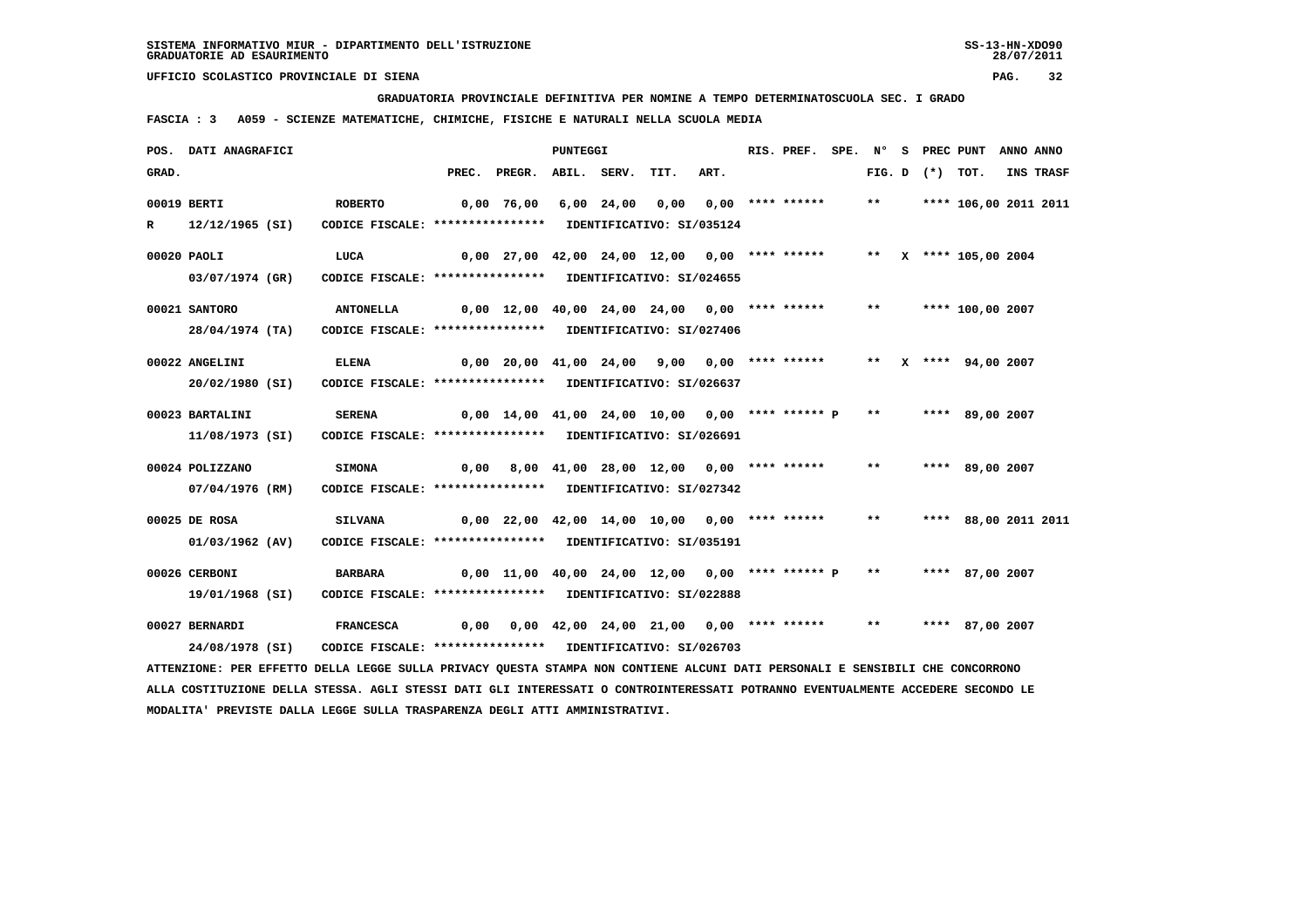**GRADUATORIA PROVINCIALE DEFINITIVA PER NOMINE A TEMPO DETERMINATOSCUOLA SEC. I GRADO**

 **FASCIA : 3 A059 - SCIENZE MATEMATICHE, CHIMICHE, FISICHE E NATURALI NELLA SCUOLA MEDIA**

|       | POS. DATI ANAGRAFICI                                                                                                          |                                                            |                                               |                                                                         | <b>PUNTEGGI</b> |            |      |      | RIS. PREF.         | SPE. N°      |                   | S PREC PUNT           | ANNO ANNO |
|-------|-------------------------------------------------------------------------------------------------------------------------------|------------------------------------------------------------|-----------------------------------------------|-------------------------------------------------------------------------|-----------------|------------|------|------|--------------------|--------------|-------------------|-----------------------|-----------|
| GRAD. |                                                                                                                               |                                                            |                                               | PREC. PREGR. ABIL. SERV.                                                |                 |            | TIT. | ART. |                    |              | FIG. D $(*)$ TOT. |                       | INS TRASF |
|       | 00019 BERTI                                                                                                                   | <b>ROBERTO</b>                                             |                                               | 0,00 76,00                                                              |                 | 6,00 24,00 | 0,00 |      | $0.00$ **** ****** | $\star\star$ |                   | **** 106,00 2011 2011 |           |
| R     | 12/12/1965 (SI)                                                                                                               | CODICE FISCALE: **************** IDENTIFICATIVO: SI/035124 |                                               |                                                                         |                 |            |      |      |                    |              |                   |                       |           |
|       | 00020 PAOLI                                                                                                                   | LUCA                                                       |                                               | 0,00 27,00 42,00 24,00 12,00 0,00 **** ******                           |                 |            |      |      |                    |              |                   | ** X **** 105,00 2004 |           |
|       | 03/07/1974 (GR)                                                                                                               | CODICE FISCALE: **************** IDENTIFICATIVO: SI/024655 |                                               |                                                                         |                 |            |      |      |                    |              |                   |                       |           |
|       | 00021 SANTORO                                                                                                                 | <b>ANTONELLA</b>                                           |                                               | 0,00 12,00 40,00 24,00 24,00 0,00 **** ******                           |                 |            |      |      |                    | $***$        |                   | **** 100,00 2007      |           |
|       | 28/04/1974 (TA)                                                                                                               | CODICE FISCALE: **************** IDENTIFICATIVO: SI/027406 |                                               |                                                                         |                 |            |      |      |                    |              |                   |                       |           |
|       | 00022 ANGELINI                                                                                                                | <b>ELENA</b>                                               |                                               | 0,00 20,00 41,00 24,00 9,00 0,00 **** ******     **   X **** 94,00 2007 |                 |            |      |      |                    |              |                   |                       |           |
|       | 20/02/1980 (SI)                                                                                                               | CODICE FISCALE: **************** IDENTIFICATIVO: SI/026637 |                                               |                                                                         |                 |            |      |      |                    |              |                   |                       |           |
|       | 00023 BARTALINI                                                                                                               | <b>SERENA</b>                                              |                                               | $0,00$ 14,00 41,00 24,00 10,00 0,00 **** ****** P                       |                 |            |      |      |                    | $***$        |                   | **** 89,00 2007       |           |
|       | 11/08/1973 (SI)                                                                                                               | CODICE FISCALE: **************** IDENTIFICATIVO: SI/026691 |                                               |                                                                         |                 |            |      |      |                    |              |                   |                       |           |
|       | 00024 POLIZZANO                                                                                                               | <b>SIMONA</b>                                              |                                               | $0,00$ 8,00 41,00 28,00 12,00 0,00 **** ****** ***                      |                 |            |      |      |                    |              |                   | **** 89,00 2007       |           |
|       | 07/04/1976 (RM)                                                                                                               | CODICE FISCALE: **************** IDENTIFICATIVO: SI/027342 |                                               |                                                                         |                 |            |      |      |                    |              |                   |                       |           |
|       | 00025 DE ROSA                                                                                                                 | <b>SILVANA</b>                                             | 0,00 22,00 42,00 14,00 10,00 0,00 **** ****** |                                                                         |                 |            |      |      |                    | $***$        |                   | **** 88,00 2011 2011  |           |
|       | 01/03/1962 (AV)                                                                                                               | CODICE FISCALE: **************** IDENTIFICATIVO: SI/035191 |                                               |                                                                         |                 |            |      |      |                    |              |                   |                       |           |
|       | 00026 CERBONI                                                                                                                 | <b>BARBARA</b>                                             |                                               | $0,00$ 11,00 40,00 24,00 12,00 0,00 **** ****** P **                    |                 |            |      |      |                    |              |                   | **** 87,00 2007       |           |
|       | 19/01/1968 (SI)                                                                                                               | CODICE FISCALE: **************** IDENTIFICATIVO: SI/022888 |                                               |                                                                         |                 |            |      |      |                    |              |                   |                       |           |
|       | 00027 BERNARDI                                                                                                                | <b>FRANCESCA</b>                                           |                                               | $0,00$ $0,00$ $42,00$ $24,00$ $21,00$ $0,00$ **** ****** **             |                 |            |      |      |                    |              |                   | **** 87,00 2007       |           |
|       | 24/08/1978 (SI)                                                                                                               | CODICE FISCALE: **************** IDENTIFICATIVO: SI/026703 |                                               |                                                                         |                 |            |      |      |                    |              |                   |                       |           |
|       | ATTENZIONE: PER EFFETTO DELLA LEGGE SULLA PRIVACY QUESTA STAMPA NON CONTIENE ALCUNI DATI PERSONALI E SENSIBILI CHE CONCORRONO |                                                            |                                               |                                                                         |                 |            |      |      |                    |              |                   |                       |           |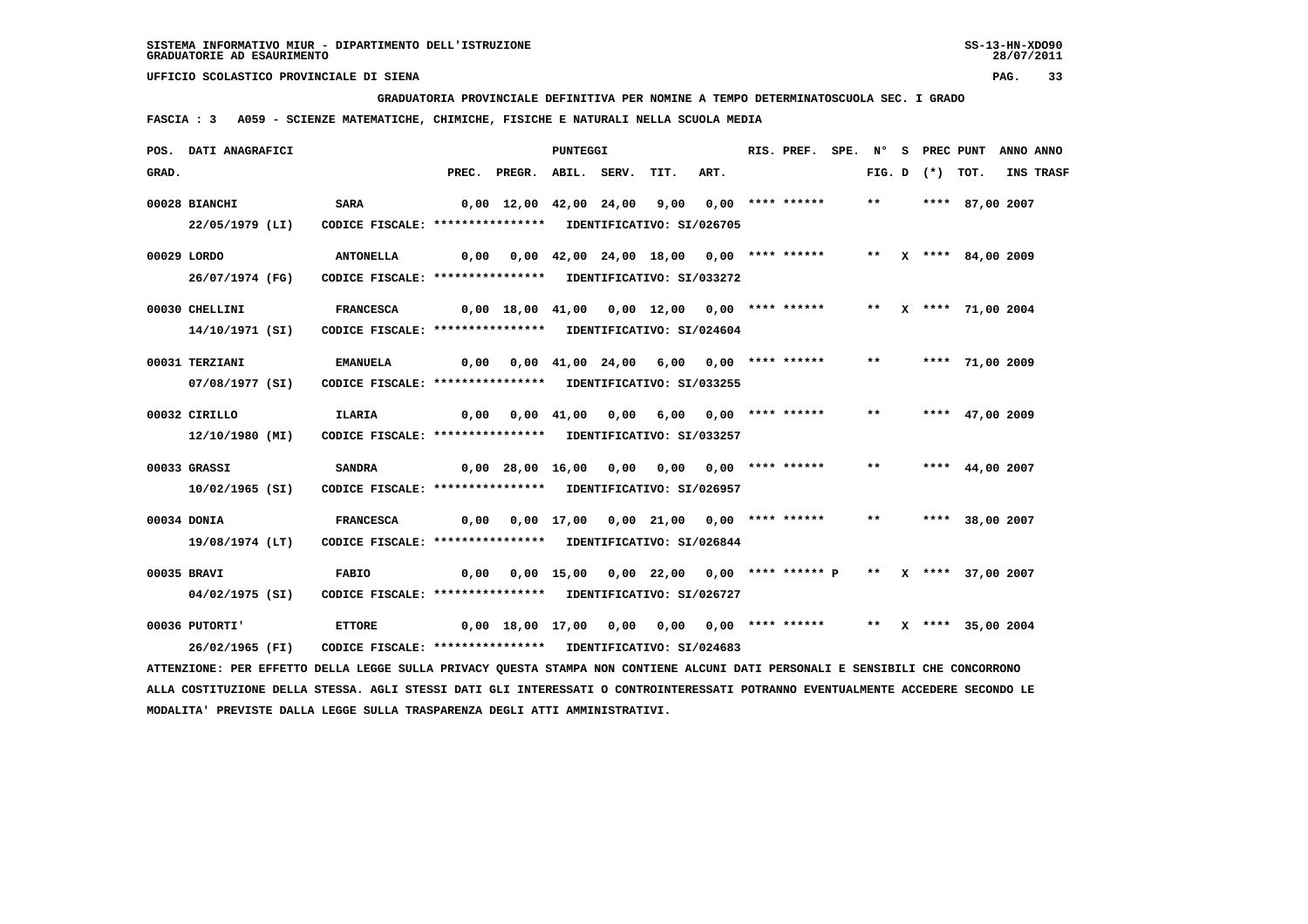**GRADUATORIA PROVINCIALE DEFINITIVA PER NOMINE A TEMPO DETERMINATOSCUOLA SEC. I GRADO**

 **FASCIA : 3 A059 - SCIENZE MATEMATICHE, CHIMICHE, FISICHE E NATURALI NELLA SCUOLA MEDIA**

|       | POS. DATI ANAGRAFICI                                                                                                          |                                                            |                                                                      |                                                                     | PUNTEGGI |      |      | RIS. PREF. |       |                   | SPE. N° S PREC PUNT ANNO ANNO |           |
|-------|-------------------------------------------------------------------------------------------------------------------------------|------------------------------------------------------------|----------------------------------------------------------------------|---------------------------------------------------------------------|----------|------|------|------------|-------|-------------------|-------------------------------|-----------|
| GRAD. |                                                                                                                               |                                                            |                                                                      | PREC. PREGR. ABIL. SERV.                                            |          | TIT. | ART. |            |       | FIG. D $(*)$ TOT. |                               | INS TRASF |
|       | 00028 BIANCHI                                                                                                                 | <b>SARA</b>                                                | 0,00 12,00 42,00 24,00 9,00 0,00 **** ******                         |                                                                     |          |      |      |            |       |                   | ** **** 87,00 2007            |           |
|       | 22/05/1979 (LI)                                                                                                               | CODICE FISCALE: **************** IDENTIFICATIVO: SI/026705 |                                                                      |                                                                     |          |      |      |            |       |                   |                               |           |
|       | 00029 LORDO                                                                                                                   | <b>ANTONELLA</b>                                           |                                                                      |                                                                     |          |      |      |            |       |                   | ** X **** 84,00 2009          |           |
|       | 26/07/1974 (FG)                                                                                                               | CODICE FISCALE: **************** IDENTIFICATIVO: SI/033272 |                                                                      |                                                                     |          |      |      |            |       |                   |                               |           |
|       | 00030 CHELLINI                                                                                                                | <b>FRANCESCA</b>                                           |                                                                      | 0,00 18,00 41,00 0,00 12,00 0,00 **** ****** ** ** **** 71,00 2004  |          |      |      |            |       |                   |                               |           |
|       | 14/10/1971 (SI)                                                                                                               | CODICE FISCALE: **************** IDENTIFICATIVO: SI/024604 |                                                                      |                                                                     |          |      |      |            |       |                   |                               |           |
|       | 00031 TERZIANI                                                                                                                | <b>EMANUELA</b>                                            |                                                                      | 0,00 0,00 41,00 24,00 6,00 0,00 **** ******   **   **** 71,00 2009  |          |      |      |            |       |                   |                               |           |
|       | 07/08/1977 (SI)                                                                                                               | CODICE FISCALE: **************** IDENTIFICATIVO: SI/033255 |                                                                      |                                                                     |          |      |      |            |       |                   |                               |           |
|       | 00032 CIRILLO                                                                                                                 | ILARIA                                                     |                                                                      |                                                                     |          |      |      |            | $***$ |                   | **** 47,00 2009               |           |
|       | 12/10/1980 (MI)                                                                                                               | CODICE FISCALE: **************** IDENTIFICATIVO: SI/033257 |                                                                      |                                                                     |          |      |      |            |       |                   |                               |           |
|       | 00033 GRASSI                                                                                                                  | <b>SANDRA</b>                                              |                                                                      | 0,00 28,00 16,00 0,00 0,00 0,00 **** ******                         |          |      |      |            | $***$ |                   | **** $44,00$ 2007             |           |
|       | 10/02/1965 (SI)                                                                                                               | CODICE FISCALE: **************** IDENTIFICATIVO: SI/026957 |                                                                      |                                                                     |          |      |      |            |       |                   |                               |           |
|       | 00034 DONIA                                                                                                                   | <b>FRANCESCA</b>                                           |                                                                      | 0,00 0,00 17,00 0,00 21,00 0,00 **** ****** ** **** 38,00 2007      |          |      |      |            |       |                   |                               |           |
|       | 19/08/1974 (LT)                                                                                                               | CODICE FISCALE: **************** IDENTIFICATIVO: SI/026844 |                                                                      |                                                                     |          |      |      |            |       |                   |                               |           |
|       | 00035 BRAVI                                                                                                                   | FABIO                                                      | 0,00 0,00 15,00 0,00 22,00 0,00 **** ****** P  **  x **** 37,00 2007 |                                                                     |          |      |      |            |       |                   |                               |           |
|       | 04/02/1975 (SI)                                                                                                               | CODICE FISCALE: **************** IDENTIFICATIVO: SI/026727 |                                                                      |                                                                     |          |      |      |            |       |                   |                               |           |
|       | 00036 PUTORTI'                                                                                                                | <b>ETTORE</b>                                              |                                                                      | 0,00 18,00 17,00 0,00 0,00 0,00 **** ****** ** ** ** *** 35,00 2004 |          |      |      |            |       |                   |                               |           |
|       | 26/02/1965 (FI)                                                                                                               | CODICE FISCALE: **************** IDENTIFICATIVO: SI/024683 |                                                                      |                                                                     |          |      |      |            |       |                   |                               |           |
|       | ATTENZIONE: PER EFFETTO DELLA LEGGE SULLA PRIVACY QUESTA STAMPA NON CONTIENE ALCUNI DATI PERSONALI E SENSIBILI CHE CONCORRONO |                                                            |                                                                      |                                                                     |          |      |      |            |       |                   |                               |           |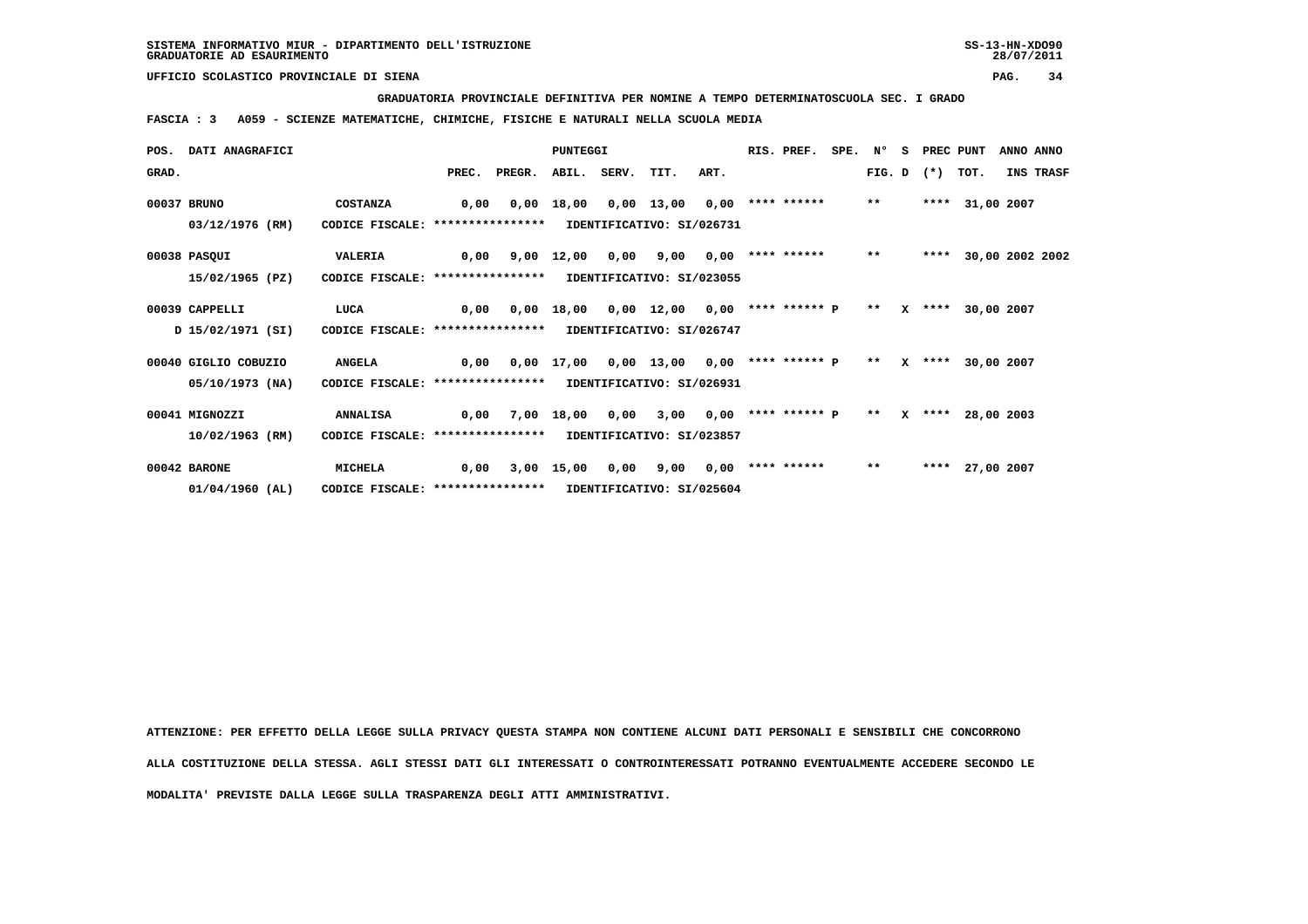**GRADUATORIA PROVINCIALE DEFINITIVA PER NOMINE A TEMPO DETERMINATOSCUOLA SEC. I GRADO**

 **FASCIA : 3 A059 - SCIENZE MATEMATICHE, CHIMICHE, FISICHE E NATURALI NELLA SCUOLA MEDIA**

|       | POS. DATI ANAGRAFICI |                                                            |      |                               | <b>PUNTEGGI</b> |      |                           |      | RIS. PREF.           | SPE. N° |        | -S | PREC PUNT |                   | ANNO ANNO  |                 |
|-------|----------------------|------------------------------------------------------------|------|-------------------------------|-----------------|------|---------------------------|------|----------------------|---------|--------|----|-----------|-------------------|------------|-----------------|
| GRAD. |                      |                                                            |      | PREC. PREGR. ABIL. SERV. TIT. |                 |      |                           | ART. |                      |         | FIG. D |    | $(*)$     | TOT.              |            | INS TRASF       |
|       | 00037 BRUNO          | <b>COSTANZA</b>                                            | 0,00 | 0,00                          | 18,00           |      | $0,00$ 13,00              | 0,00 | **** ******          |         | $***$  |    |           | **** 31,00 2007   |            |                 |
|       | 03/12/1976 (RM)      | CODICE FISCALE: ****************                           |      |                               |                 |      | IDENTIFICATIVO: SI/026731 |      |                      |         |        |    |           |                   |            |                 |
|       | 00038 PASQUI         | VALERIA                                                    | 0,00 |                               | 9,00 12,00      | 0,00 | 9,00                      |      | $0,00$ **** ******   |         | $***$  |    | ****      |                   |            | 30,00 2002 2002 |
|       | 15/02/1965 (PZ)      | CODICE FISCALE: *****************                          |      |                               |                 |      | IDENTIFICATIVO: SI/023055 |      |                      |         |        |    |           |                   |            |                 |
|       | 00039 CAPPELLI       | LUCA                                                       | 0.00 | 0,00                          | 18,00           |      | 0,00 12,00                |      | $0.00$ **** ****** P |         | $**$   |    | $X$ ****  |                   | 30,00 2007 |                 |
|       | D 15/02/1971 (SI)    | CODICE FISCALE: ****************                           |      |                               |                 |      | IDENTIFICATIVO: SI/026747 |      |                      |         |        |    |           |                   |            |                 |
|       | 00040 GIGLIO COBUZIO | <b>ANGELA</b>                                              | 0,00 |                               |                 |      | 0,00 17,00 0,00 13,00     |      | $0.00$ **** ****** P |         | $***$  |    |           | X **** 30,00 2007 |            |                 |
|       | 05/10/1973 (NA)      | CODICE FISCALE: ****************                           |      |                               |                 |      | IDENTIFICATIVO: SI/026931 |      |                      |         |        |    |           |                   |            |                 |
|       | 00041 MIGNOZZI       | <b>ANNALISA</b>                                            | 0,00 |                               | 7,00 18,00 0,00 |      | 3,00                      |      | $0,00$ **** ****** P |         | $***$  |    |           | X **** 28,00 2003 |            |                 |
|       | 10/02/1963 (RM)      | CODICE FISCALE: **************** IDENTIFICATIVO: SI/023857 |      |                               |                 |      |                           |      |                      |         |        |    |           |                   |            |                 |
|       | 00042 BARONE         | <b>MICHELA</b>                                             | 0.00 |                               | 3,00 15,00      | 0,00 | 9,00                      | 0.00 | **** ******          |         | $***$  |    |           | **** 27,00 2007   |            |                 |
|       | $01/04/1960$ (AL)    | CODICE FISCALE: ****************                           |      |                               |                 |      | IDENTIFICATIVO: SI/025604 |      |                      |         |        |    |           |                   |            |                 |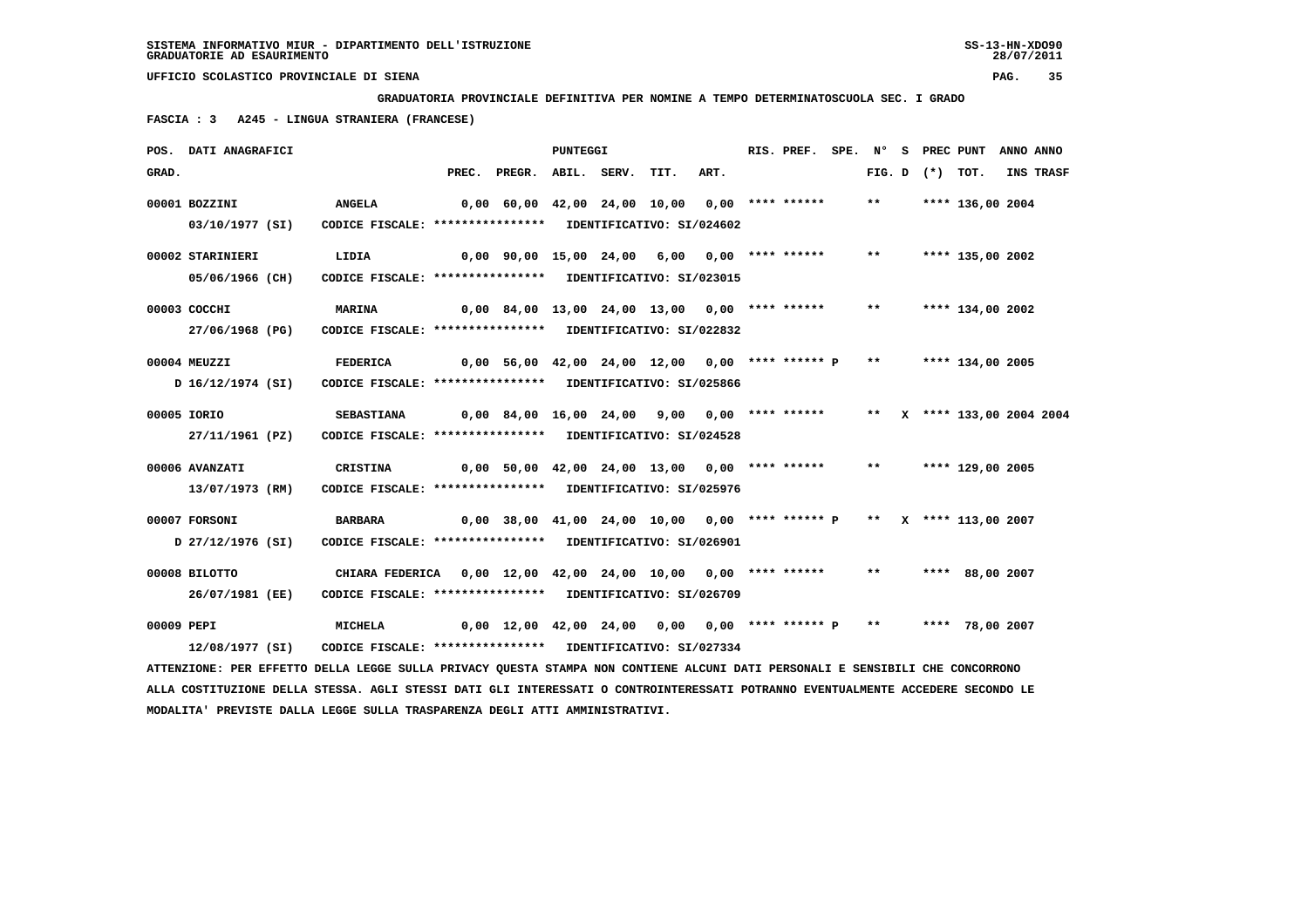**GRADUATORIA PROVINCIALE DEFINITIVA PER NOMINE A TEMPO DETERMINATOSCUOLA SEC. I GRADO**

 **FASCIA : 3 A245 - LINGUA STRANIERA (FRANCESE)**

|            | POS. DATI ANAGRAFICI                                                                                                            |                                                               |                                                                       | PUNTEGGI |      |      | RIS. PREF. | SPE. N° |                   | S PREC PUNT                | ANNO ANNO |           |
|------------|---------------------------------------------------------------------------------------------------------------------------------|---------------------------------------------------------------|-----------------------------------------------------------------------|----------|------|------|------------|---------|-------------------|----------------------------|-----------|-----------|
| GRAD.      |                                                                                                                                 |                                                               | PREC. PREGR. ABIL. SERV.                                              |          | TIT. | ART. |            |         | FIG. D $(*)$ TOT. |                            |           | INS TRASF |
|            | 00001 BOZZINI                                                                                                                   | <b>ANGELA</b>                                                 | 0,00 60,00 42,00 24,00 10,00 0,00 **** ******                         |          |      |      |            | $***$   |                   | **** 136,00 2004           |           |           |
|            | 03/10/1977 (SI)                                                                                                                 | CODICE FISCALE: **************** IDENTIFICATIVO: SI/024602    |                                                                       |          |      |      |            |         |                   |                            |           |           |
|            | 00002 STARINIERI                                                                                                                | LIDIA                                                         | $0,00$ 90,00 15,00 24,00 6,00 0,00 **** ******                        |          |      |      |            | $***$   |                   | **** 135,00 2002           |           |           |
|            | 05/06/1966 (CH)                                                                                                                 | CODICE FISCALE: **************** IDENTIFICATIVO: SI/023015    |                                                                       |          |      |      |            |         |                   |                            |           |           |
|            | 00003 COCCHI                                                                                                                    | <b>MARINA</b>                                                 | $0,00$ 84,00 13,00 24,00 13,00 0,00 **** ******                       |          |      |      |            | $***$   |                   | **** 134,00 2002           |           |           |
|            | 27/06/1968 (PG)                                                                                                                 | CODICE FISCALE: **************** IDENTIFICATIVO: SI/022832    |                                                                       |          |      |      |            |         |                   |                            |           |           |
|            | 00004 MEUZZI                                                                                                                    | FEDERICA                                                      | 0,00 56,00 42,00 24,00 12,00 0,00 **** ****** P **                    |          |      |      |            |         |                   | **** 134,00 2005           |           |           |
|            | D 16/12/1974 (SI)                                                                                                               | CODICE FISCALE: **************** IDENTIFICATIVO: SI/025866    |                                                                       |          |      |      |            |         |                   |                            |           |           |
|            | 00005 IORIO                                                                                                                     | <b>SEBASTIANA</b>                                             | 0,00 84,00 16,00 24,00 9,00 0,00 **** ******                          |          |      |      |            |         |                   | ** X **** 133,00 2004 2004 |           |           |
|            | 27/11/1961 (PZ)                                                                                                                 | CODICE FISCALE: **************** IDENTIFICATIVO: SI/024528    |                                                                       |          |      |      |            |         |                   |                            |           |           |
|            | 00006 AVANZATI                                                                                                                  | <b>CRISTINA</b>                                               | $0,00$ 50,00 42,00 24,00 13,00 0,00 **** ******                       |          |      |      |            | $***$   |                   | **** 129,00 2005           |           |           |
|            | 13/07/1973 (RM)                                                                                                                 | CODICE FISCALE: **************** IDENTIFICATIVO: SI/025976    |                                                                       |          |      |      |            |         |                   |                            |           |           |
|            | 00007 FORSONI                                                                                                                   | <b>BARBARA</b>                                                | 0,00 38,00 41,00 24,00 10,00 0,00 **** ****** P ** X **** 113,00 2007 |          |      |      |            |         |                   |                            |           |           |
|            | D 27/12/1976 (SI)                                                                                                               | CODICE FISCALE: **************** IDENTIFICATIVO: SI/026901    |                                                                       |          |      |      |            |         |                   |                            |           |           |
|            | 00008 BILOTTO                                                                                                                   | CHIARA FEDERICA 0,00 12,00 42,00 24,00 10,00 0,00 **** ****** |                                                                       |          |      |      |            | $***$   |                   | **** 88,00 2007            |           |           |
|            | 26/07/1981 (EE)                                                                                                                 | CODICE FISCALE: **************** IDENTIFICATIVO: SI/026709    |                                                                       |          |      |      |            |         |                   |                            |           |           |
| 00009 PEPI |                                                                                                                                 | <b>MICHELA</b>                                                | $0,00$ 12,00 42,00 24,00 0,00 0,00 **** ****** P **                   |          |      |      |            |         |                   | **** 78,00 2007            |           |           |
|            | 12/08/1977 (SI)                                                                                                                 | CODICE FISCALE: **************** IDENTIFICATIVO: SI/027334    |                                                                       |          |      |      |            |         |                   |                            |           |           |
|            | ATTENZIONE: PER EFFETTO DELLA LEGGE SULLA PRIVACY QUESTA STAMPA NON CONTIENE ALCUNI DATI PERSONALI E SENSIBILI CHE CONCORRONO   |                                                               |                                                                       |          |      |      |            |         |                   |                            |           |           |
|            | ALLA COSTITUZIONE DELLA STESSA. AGLI STESSI DATI GLI INTERESSATI O CONTROINTERESSATI POTRANNO EVENTUALMENTE ACCEDERE SECONDO LE |                                                               |                                                                       |          |      |      |            |         |                   |                            |           |           |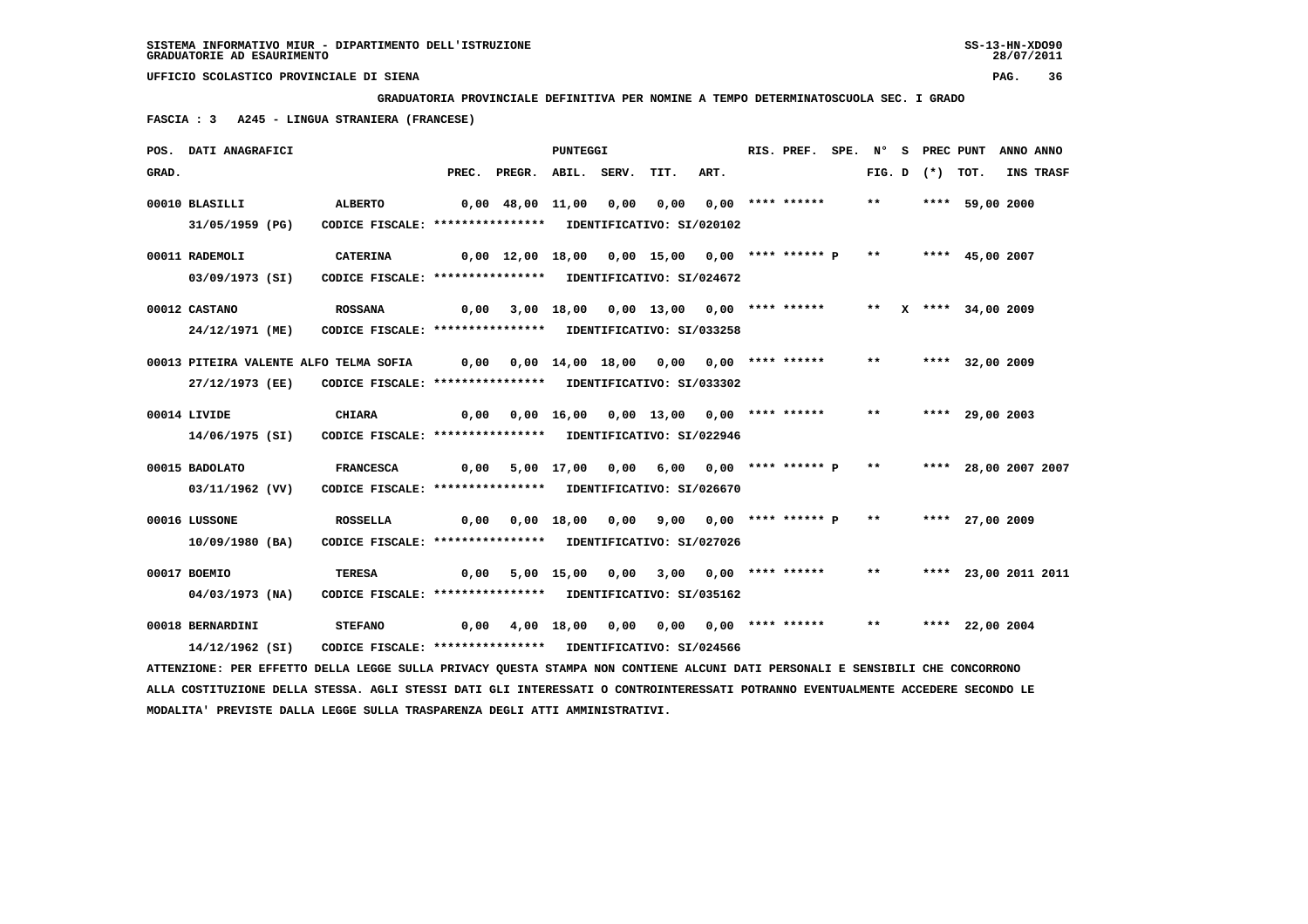**GRADUATORIA PROVINCIALE DEFINITIVA PER NOMINE A TEMPO DETERMINATOSCUOLA SEC. I GRADO**

 **FASCIA : 3 A245 - LINGUA STRANIERA (FRANCESE)**

|       | POS. DATI ANAGRAFICI                                                                                                            |                                                            |      |                                                               | <b>PUNTEGGI</b> |                                                                  |                         | RIS. PREF. |       |                   | SPE. N° S PREC PUNT ANNO ANNO |           |
|-------|---------------------------------------------------------------------------------------------------------------------------------|------------------------------------------------------------|------|---------------------------------------------------------------|-----------------|------------------------------------------------------------------|-------------------------|------------|-------|-------------------|-------------------------------|-----------|
| GRAD. |                                                                                                                                 |                                                            |      | PREC. PREGR. ABIL. SERV.                                      |                 | TIT.                                                             | ART.                    |            |       | FIG. D $(*)$ TOT. |                               | INS TRASF |
|       | 00010 BLASILLI                                                                                                                  | <b>ALBERTO</b>                                             |      | 0,00 48,00 11,00 0,00 0,00 0,00 **** ******                   |                 |                                                                  |                         |            | $***$ |                   | **** 59,00 2000               |           |
|       | 31/05/1959 (PG)                                                                                                                 | CODICE FISCALE: **************** IDENTIFICATIVO: SI/020102 |      |                                                               |                 |                                                                  |                         |            |       |                   |                               |           |
|       | 00011 RADEMOLI                                                                                                                  | <b>CATERINA</b>                                            |      | $0,00$ 12,00 18,00 0,00 15,00 0,00 **** ****** P **           |                 |                                                                  |                         |            |       |                   | **** 45,00 2007               |           |
|       | 03/09/1973 (SI)                                                                                                                 | CODICE FISCALE: **************** IDENTIFICATIVO: SI/024672 |      |                                                               |                 |                                                                  |                         |            |       |                   |                               |           |
|       | 00012 CASTANO                                                                                                                   | <b>ROSSANA</b>                                             |      | $0,00$ 3,00 18,00 0,00 13,00 0,00 **** ******                 |                 |                                                                  |                         |            |       |                   | ** X **** 34,00 2009          |           |
|       | 24/12/1971 (ME)                                                                                                                 | CODICE FISCALE: **************** IDENTIFICATIVO: SI/033258 |      |                                                               |                 |                                                                  |                         |            |       |                   |                               |           |
|       | 00013 PITEIRA VALENTE ALFO TELMA SOFIA 0,00 0,00 14,00 18,00 0,00 0,00 **** ******                                              |                                                            |      |                                                               |                 |                                                                  |                         |            | $***$ |                   | **** 32,00 2009               |           |
|       | 27/12/1973 (EE)                                                                                                                 | CODICE FISCALE: **************** IDENTIFICATIVO: SI/033302 |      |                                                               |                 |                                                                  |                         |            |       |                   |                               |           |
|       | 00014 LIVIDE                                                                                                                    | <b>CHIARA</b>                                              |      | $0,00$ $0,00$ $16,00$ $0,00$ $13,00$ $0,00$ $***$             |                 |                                                                  |                         |            | $***$ |                   | **** 29,00 2003               |           |
|       | 14/06/1975 (SI)                                                                                                                 | CODICE FISCALE: **************** IDENTIFICATIVO: SI/022946 |      |                                                               |                 |                                                                  |                         |            |       |                   |                               |           |
|       | 00015 BADOLATO                                                                                                                  | <b>FRANCESCA</b>                                           | 0,00 |                                                               |                 | 5,00 17,00 0,00 6,00 0,00 **** ****** P ** ***** 28,00 2007 2007 |                         |            |       |                   |                               |           |
|       | 03/11/1962 (VV)                                                                                                                 | CODICE FISCALE: **************** IDENTIFICATIVO: SI/026670 |      |                                                               |                 |                                                                  |                         |            |       |                   |                               |           |
|       | 00016 LUSSONE                                                                                                                   | ROSSELLA                                                   |      | $0,00$ $0,00$ $18,00$ $0,00$ $9,00$ $0,00$ **** ****** $P$ ** |                 |                                                                  |                         |            |       |                   | **** 27,00 2009               |           |
|       | 10/09/1980 (BA)                                                                                                                 | CODICE FISCALE: **************** IDENTIFICATIVO: SI/027026 |      |                                                               |                 |                                                                  |                         |            |       |                   |                               |           |
|       | 00017 BOEMIO                                                                                                                    | <b>TERESA</b>                                              | 0,00 |                                                               | 5,00 15,00 0,00 |                                                                  | $3,00$ 0,00 **** ****** |            | $***$ |                   | **** 23,00 2011 2011          |           |
|       | 04/03/1973 (NA)                                                                                                                 | CODICE FISCALE: **************** IDENTIFICATIVO: SI/035162 |      |                                                               |                 |                                                                  |                         |            |       |                   |                               |           |
|       | 00018 BERNARDINI                                                                                                                | <b>STEFANO</b>                                             | 0,00 |                                                               |                 | 4,00 18,00 0,00 0,00 0,00 **** ******                            |                         |            | $***$ |                   | **** 22,00 2004               |           |
|       | 14/12/1962 (SI)                                                                                                                 | CODICE FISCALE: **************** IDENTIFICATIVO: SI/024566 |      |                                                               |                 |                                                                  |                         |            |       |                   |                               |           |
|       | ATTENZIONE: PER EFFETTO DELLA LEGGE SULLA PRIVACY QUESTA STAMPA NON CONTIENE ALCUNI DATI PERSONALI E SENSIBILI CHE CONCORRONO   |                                                            |      |                                                               |                 |                                                                  |                         |            |       |                   |                               |           |
|       | ALLA COSTITUZIONE DELLA STESSA. AGLI STESSI DATI GLI INTERESSATI O CONTROINTERESSATI POTRANNO EVENTUALMENTE ACCEDERE SECONDO LE |                                                            |      |                                                               |                 |                                                                  |                         |            |       |                   |                               |           |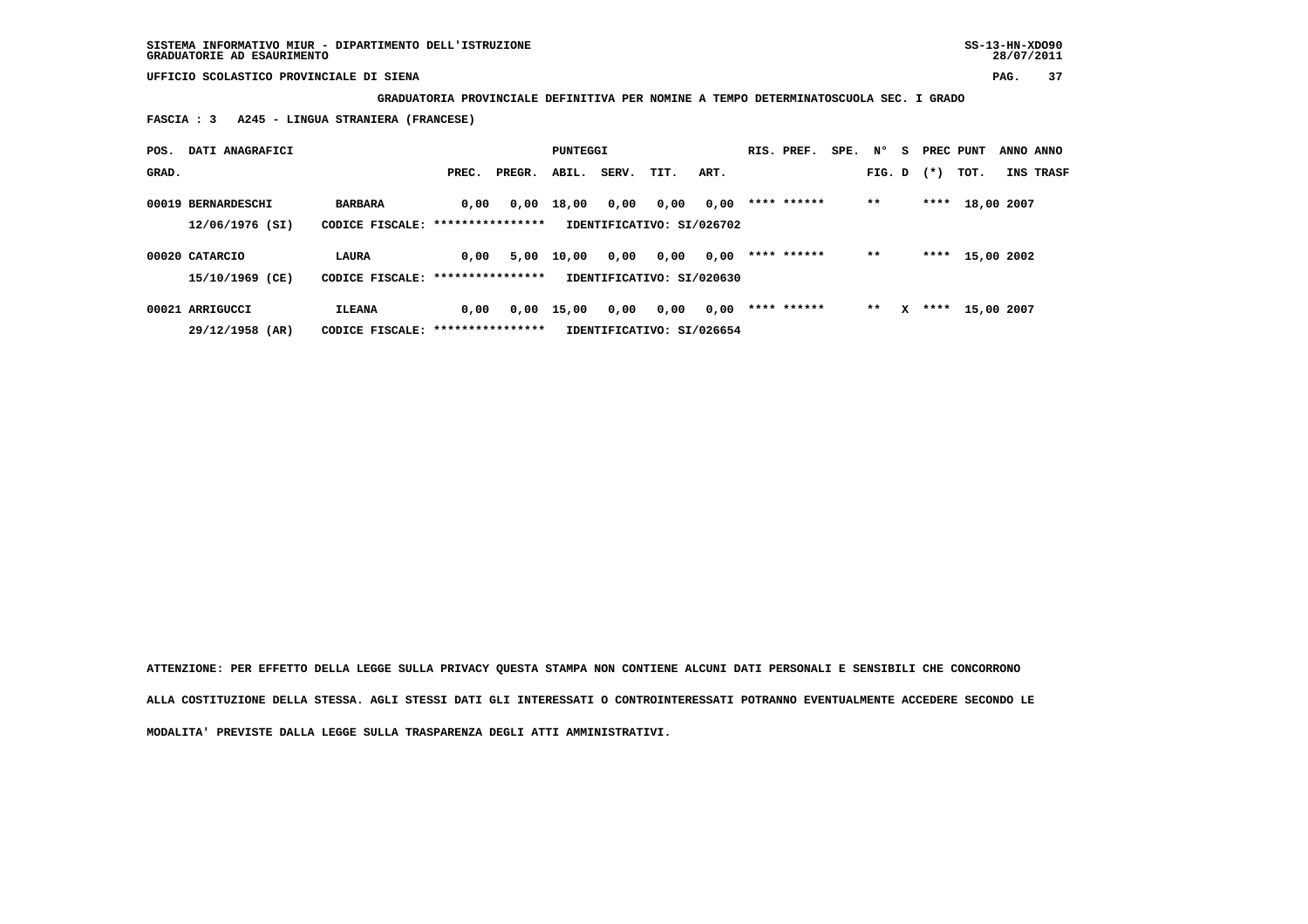**GRADUATORIA PROVINCIALE DEFINITIVA PER NOMINE A TEMPO DETERMINATOSCUOLA SEC. I GRADO**

 **FASCIA : 3 A245 - LINGUA STRANIERA (FRANCESE)**

| POS.  | DATI ANAGRAFICI    |                                   |       |        | PUNTEGGI |       |                           |      | RIS. PREF.  | SPE. | $N^{\circ}$ | - S | PREC PUNT |            | ANNO ANNO |
|-------|--------------------|-----------------------------------|-------|--------|----------|-------|---------------------------|------|-------------|------|-------------|-----|-----------|------------|-----------|
| GRAD. |                    |                                   | PREC. | PREGR. | ABIL.    | SERV. | TIT.                      | ART. |             |      | FIG. D      |     | $(*)$     | TOT.       | INS TRASF |
|       | 00019 BERNARDESCHI | <b>BARBARA</b>                    | 0.00  | 0,00   | 18,00    | 0,00  | 0,00                      | 0,00 | **** ****** |      | $***$       |     | ****      | 18,00 2007 |           |
|       | 12/06/1976 (SI)    | CODICE FISCALE: ***************** |       |        |          |       | IDENTIFICATIVO: SI/026702 |      |             |      |             |     |           |            |           |
|       | 00020 CATARCIO     | LAURA                             | 0,00  | 5,00   | 10,00    | 0,00  | 0,00                      | 0,00 | **** ****** |      | $* *$       |     | ****      | 15,00 2002 |           |
|       | 15/10/1969 (CE)    | CODICE FISCALE: ***************** |       |        |          |       | IDENTIFICATIVO: SI/020630 |      |             |      |             |     |           |            |           |
|       | 00021 ARRIGUCCI    | <b>ILEANA</b>                     | 0,00  | 0,00   | 15,00    | 0,00  | 0,00                      | 0,00 | **** ****** |      | $* *$       | x   | ****      | 15,00 2007 |           |
|       | 29/12/1958 (AR)    | CODICE FISCALE: ****************  |       |        |          |       | IDENTIFICATIVO: SI/026654 |      |             |      |             |     |           |            |           |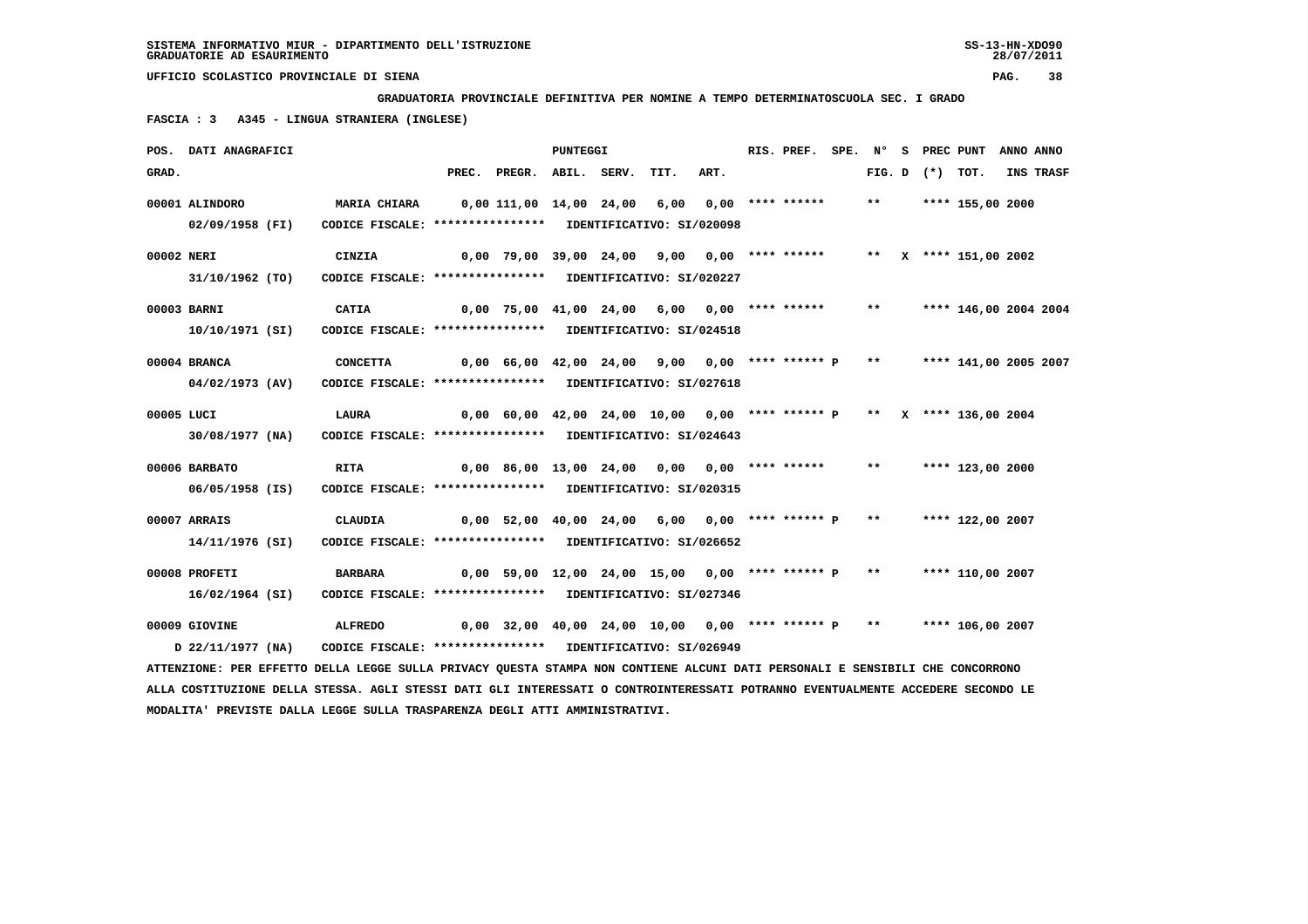**MODALITA' PREVISTE DALLA LEGGE SULLA TRASPARENZA DEGLI ATTI AMMINISTRATIVI.**

 **UFFICIO SCOLASTICO PROVINCIALE DI SIENA PAG. 38**

 **GRADUATORIA PROVINCIALE DEFINITIVA PER NOMINE A TEMPO DETERMINATOSCUOLA SEC. I GRADO**

 **FASCIA : 3 A345 - LINGUA STRANIERA (INGLESE)**

|            | POS. DATI ANAGRAFICI                                                                                                            |                                                                                 |                                                                         |                                                                         | PUNTEGGI |      |      | RIS. PREF. |       |                   | SPE. N° S PREC PUNT   | ANNO ANNO |           |
|------------|---------------------------------------------------------------------------------------------------------------------------------|---------------------------------------------------------------------------------|-------------------------------------------------------------------------|-------------------------------------------------------------------------|----------|------|------|------------|-------|-------------------|-----------------------|-----------|-----------|
| GRAD.      |                                                                                                                                 |                                                                                 |                                                                         | PREC. PREGR. ABIL. SERV.                                                |          | TIT. | ART. |            |       | FIG. D $(*)$ TOT. |                       |           | INS TRASF |
|            | 00001 ALINDORO                                                                                                                  | MARIA CHIARA        0,00 111,00   14,00   24,00     6,00    0,00   ****  ****** |                                                                         |                                                                         |          |      |      |            | $***$ |                   | **** 155,00 2000      |           |           |
|            | 02/09/1958 (FI)                                                                                                                 | CODICE FISCALE: **************** IDENTIFICATIVO: SI/020098                      |                                                                         |                                                                         |          |      |      |            |       |                   |                       |           |           |
| 00002 NERI |                                                                                                                                 | CINZIA                                                                          |                                                                         | $0,00$ 79,00 39,00 24,00 9,00 0,00 **** ******                          |          |      |      |            |       |                   | ** X **** 151,00 2002 |           |           |
|            | 31/10/1962 (TO)                                                                                                                 | CODICE FISCALE: **************** IDENTIFICATIVO: SI/020227                      |                                                                         |                                                                         |          |      |      |            |       |                   |                       |           |           |
|            | 00003 BARNI                                                                                                                     | CATIA                                                                           |                                                                         | 0,00 75,00 41,00 24,00 6,00 0,00 **** ****** **                         |          |      |      |            |       |                   | **** 146,00 2004 2004 |           |           |
|            | 10/10/1971 (SI)                                                                                                                 | CODICE FISCALE: **************** IDENTIFICATIVO: SI/024518                      |                                                                         |                                                                         |          |      |      |            |       |                   |                       |           |           |
|            | 00004 BRANCA                                                                                                                    | <b>CONCETTA</b>                                                                 |                                                                         | 0,00 66,00 42,00 24,00 9,00 0,00 **** ****** P ** **** 141,00 2005 2007 |          |      |      |            |       |                   |                       |           |           |
|            | 04/02/1973 (AV)                                                                                                                 | CODICE FISCALE: **************** IDENTIFICATIVO: SI/027618                      |                                                                         |                                                                         |          |      |      |            |       |                   |                       |           |           |
| 00005 LUCI |                                                                                                                                 | <b>LAURA</b>                                                                    |                                                                         | $0,00$ 60,00 42,00 24,00 10,00 0,00 **** ****** P ** X **** 136,00 2004 |          |      |      |            |       |                   |                       |           |           |
|            | 30/08/1977 (NA)                                                                                                                 | CODICE FISCALE: **************** IDENTIFICATIVO: SI/024643                      |                                                                         |                                                                         |          |      |      |            |       |                   |                       |           |           |
|            | 00006 BARBATO                                                                                                                   | <b>RITA</b>                                                                     | 0,00 86,00 13,00 24,00 0,00 0,00 **** ******                            |                                                                         |          |      |      |            | $***$ |                   | **** 123,00 2000      |           |           |
|            | 06/05/1958 (IS)                                                                                                                 | CODICE FISCALE: **************** IDENTIFICATIVO: SI/020315                      |                                                                         |                                                                         |          |      |      |            |       |                   |                       |           |           |
|            | 00007 ARRAIS                                                                                                                    | <b>CLAUDIA</b>                                                                  |                                                                         | $0,00$ 52,00 40,00 24,00 6,00 0,00 **** ****** P **                     |          |      |      |            |       |                   | **** 122,00 2007      |           |           |
|            | 14/11/1976 (SI)                                                                                                                 | CODICE FISCALE: **************** IDENTIFICATIVO: SI/026652                      |                                                                         |                                                                         |          |      |      |            |       |                   |                       |           |           |
|            | 00008 PROFETI                                                                                                                   | <b>BARBARA</b>                                                                  | 0,00 59,00 12,00 24,00 15,00 0,00 **** ****** P **     **** 110,00 2007 |                                                                         |          |      |      |            |       |                   |                       |           |           |
|            | 16/02/1964 (SI)                                                                                                                 | CODICE FISCALE: **************** IDENTIFICATIVO: SI/027346                      |                                                                         |                                                                         |          |      |      |            |       |                   |                       |           |           |
|            | 00009 GIOVINE                                                                                                                   | <b>ALFREDO</b>                                                                  |                                                                         | $0,00$ 32,00 40,00 24,00 10,00 0,00 **** ****** P **                    |          |      |      |            |       |                   | **** 106,00 2007      |           |           |
|            | D 22/11/1977 (NA)                                                                                                               | CODICE FISCALE: **************** IDENTIFICATIVO: SI/026949                      |                                                                         |                                                                         |          |      |      |            |       |                   |                       |           |           |
|            | ATTENZIONE: PER EFFETTO DELLA LEGGE SULLA PRIVACY QUESTA STAMPA NON CONTIENE ALCUNI DATI PERSONALI E SENSIBILI CHE CONCORRONO   |                                                                                 |                                                                         |                                                                         |          |      |      |            |       |                   |                       |           |           |
|            | ALLA COSTITUZIONE DELLA STESSA. AGLI STESSI DATI GLI INTERESSATI O CONTROINTERESSATI POTRANNO EVENTUALMENTE ACCEDERE SECONDO LE |                                                                                 |                                                                         |                                                                         |          |      |      |            |       |                   |                       |           |           |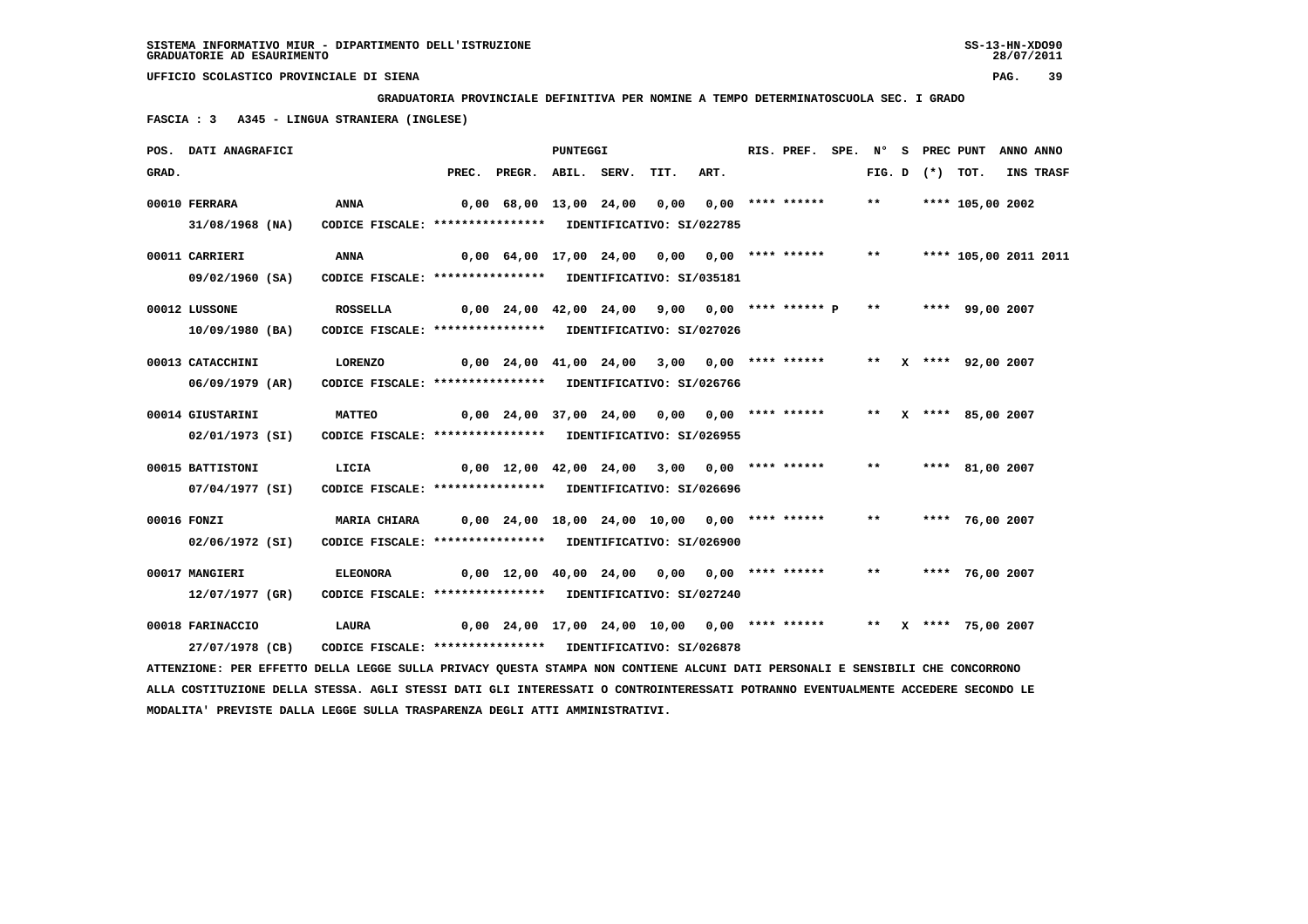**GRADUATORIA PROVINCIALE DEFINITIVA PER NOMINE A TEMPO DETERMINATOSCUOLA SEC. I GRADO**

 **FASCIA : 3 A345 - LINGUA STRANIERA (INGLESE)**

|       | POS. DATI ANAGRAFICI                                                                                                          |                                                            |                                                                            |                                                                      | PUNTEGGI |      |      | RIS. PREF. | $SPE.$ N° |                   | S PREC PUNT           | ANNO ANNO |                  |
|-------|-------------------------------------------------------------------------------------------------------------------------------|------------------------------------------------------------|----------------------------------------------------------------------------|----------------------------------------------------------------------|----------|------|------|------------|-----------|-------------------|-----------------------|-----------|------------------|
| GRAD. |                                                                                                                               |                                                            |                                                                            | PREC. PREGR. ABIL. SERV.                                             |          | TIT. | ART. |            |           | FIG. D $(*)$ TOT. |                       |           | <b>INS TRASF</b> |
|       | 00010 FERRARA                                                                                                                 | <b>ANNA</b>                                                |                                                                            | 0,00 68,00 13,00 24,00 0,00 0,00 **** ******                         |          |      |      |            | $***$     |                   | **** 105,00 2002      |           |                  |
|       |                                                                                                                               |                                                            |                                                                            |                                                                      |          |      |      |            |           |                   |                       |           |                  |
|       | 31/08/1968 (NA)                                                                                                               | CODICE FISCALE: **************** IDENTIFICATIVO: SI/022785 |                                                                            |                                                                      |          |      |      |            |           |                   |                       |           |                  |
|       | 00011 CARRIERI                                                                                                                | <b>ANNA</b>                                                |                                                                            | 0,00 64,00 17,00 24,00 0,00 0,00 **** ******                         |          |      |      |            | $***$     |                   | **** 105,00 2011 2011 |           |                  |
|       | 09/02/1960 (SA)                                                                                                               | CODICE FISCALE: **************** IDENTIFICATIVO: SI/035181 |                                                                            |                                                                      |          |      |      |            |           |                   |                       |           |                  |
|       |                                                                                                                               |                                                            |                                                                            |                                                                      |          |      |      |            |           |                   |                       |           |                  |
|       | 00012 LUSSONE                                                                                                                 | <b>ROSSELLA</b>                                            |                                                                            | $0,00$ 24,00 42,00 24,00 9,00 0,00 **** ****** P                     |          |      |      |            | $***$     |                   | **** 99,00 2007       |           |                  |
|       | 10/09/1980 (BA)                                                                                                               | CODICE FISCALE: **************** IDENTIFICATIVO: SI/027026 |                                                                            |                                                                      |          |      |      |            |           |                   |                       |           |                  |
|       |                                                                                                                               |                                                            |                                                                            |                                                                      |          |      |      |            |           |                   |                       |           |                  |
|       | 00013 CATACCHINI                                                                                                              | LORENZO                                                    |                                                                            | 0,00 24,00 41,00 24,00 3,00 0,00 **** ******                         |          |      |      |            |           |                   | ** X **** 92,00 2007  |           |                  |
|       | 06/09/1979 (AR)                                                                                                               | CODICE FISCALE: **************** IDENTIFICATIVO: SI/026766 |                                                                            |                                                                      |          |      |      |            |           |                   |                       |           |                  |
|       | 00014 GIUSTARINI                                                                                                              | <b>MATTEO</b>                                              |                                                                            | 0,00 24,00 37,00 24,00 0,00 0,00 **** ****** ** ** ** *** 85,00 2007 |          |      |      |            |           |                   |                       |           |                  |
|       |                                                                                                                               | CODICE FISCALE: **************** IDENTIFICATIVO: SI/026955 |                                                                            |                                                                      |          |      |      |            |           |                   |                       |           |                  |
|       | 02/01/1973 (SI)                                                                                                               |                                                            |                                                                            |                                                                      |          |      |      |            |           |                   |                       |           |                  |
|       | 00015 BATTISTONI                                                                                                              | LICIA                                                      |                                                                            | $0,00$ 12,00 42,00 24,00 3,00 0,00 **** ******                       |          |      |      |            | $***$     |                   | **** 81,00 2007       |           |                  |
|       | 07/04/1977 (SI)                                                                                                               | CODICE FISCALE: **************** IDENTIFICATIVO: SI/026696 |                                                                            |                                                                      |          |      |      |            |           |                   |                       |           |                  |
|       |                                                                                                                               |                                                            |                                                                            |                                                                      |          |      |      |            |           |                   |                       |           |                  |
|       | 00016 FONZI                                                                                                                   | <b>MARIA CHIARA</b>                                        |                                                                            | $0,00$ 24,00 18,00 24,00 10,00 0,00 **** ******                      |          |      |      |            | $***$     |                   | **** 76,00 2007       |           |                  |
|       | 02/06/1972 (SI)                                                                                                               | CODICE FISCALE: **************** IDENTIFICATIVO: SI/026900 |                                                                            |                                                                      |          |      |      |            |           |                   |                       |           |                  |
|       |                                                                                                                               |                                                            |                                                                            |                                                                      |          |      |      |            |           |                   |                       |           |                  |
|       | 00017 MANGIERI                                                                                                                | <b>ELEONORA</b>                                            |                                                                            | $0,00$ 12,00 40,00 24,00 0,00 0,00 **** ******                       |          |      |      |            | $***$     |                   | **** 76,00 2007       |           |                  |
|       | 12/07/1977 (GR)                                                                                                               | CODICE FISCALE: **************** IDENTIFICATIVO: SI/027240 |                                                                            |                                                                      |          |      |      |            |           |                   |                       |           |                  |
|       | 00018 FARINACCIO                                                                                                              | <b>LAURA</b>                                               | 0,00 24,00 17,00 24,00 10,00  0,00 **** ******       **  x **** 75,00 2007 |                                                                      |          |      |      |            |           |                   |                       |           |                  |
|       | 27/07/1978 (CB)                                                                                                               | CODICE FISCALE: **************** IDENTIFICATIVO: SI/026878 |                                                                            |                                                                      |          |      |      |            |           |                   |                       |           |                  |
|       |                                                                                                                               |                                                            |                                                                            |                                                                      |          |      |      |            |           |                   |                       |           |                  |
|       | ATTENZIONE: PER EFFETTO DELLA LEGGE SULLA PRIVACY QUESTA STAMPA NON CONTIENE ALCUNI DATI PERSONALI E SENSIBILI CHE CONCORRONO |                                                            |                                                                            |                                                                      |          |      |      |            |           |                   |                       |           |                  |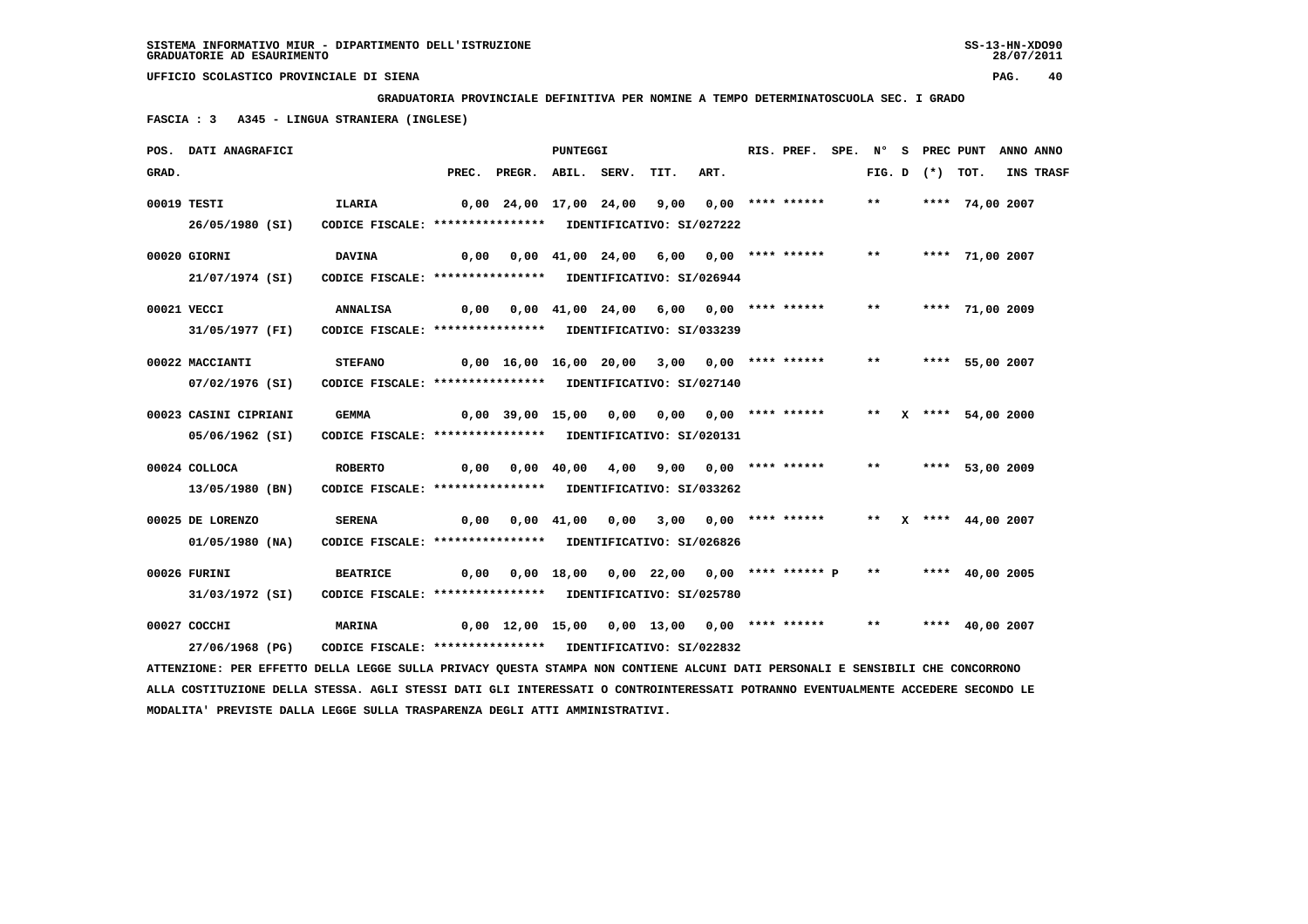**GRADUATORIA PROVINCIALE DEFINITIVA PER NOMINE A TEMPO DETERMINATOSCUOLA SEC. I GRADO**

 **FASCIA : 3 A345 - LINGUA STRANIERA (INGLESE)**

|       | POS. DATI ANAGRAFICI                                                                                                          |                                                            |      |                                                    | <b>PUNTEGGI</b> |                                                             |      | RIS. PREF. |       |                   | SPE. N° S PREC PUNT ANNO ANNO |           |
|-------|-------------------------------------------------------------------------------------------------------------------------------|------------------------------------------------------------|------|----------------------------------------------------|-----------------|-------------------------------------------------------------|------|------------|-------|-------------------|-------------------------------|-----------|
| GRAD. |                                                                                                                               |                                                            |      | PREC. PREGR. ABIL. SERV.                           |                 | TIT.                                                        | ART. |            |       | FIG. D $(*)$ TOT. |                               | INS TRASF |
|       | 00019 TESTI                                                                                                                   | ILARIA                                                     |      | 0,00 24,00 17,00 24,00 9,00 0,00 **** ******       |                 |                                                             |      |            | $***$ |                   | **** 74,00 2007               |           |
|       | 26/05/1980 (SI)                                                                                                               | CODICE FISCALE: **************** IDENTIFICATIVO: SI/027222 |      |                                                    |                 |                                                             |      |            |       |                   |                               |           |
|       | 00020 GIORNI                                                                                                                  | <b>DAVINA</b>                                              | 0,00 |                                                    |                 | 0,00 41,00 24,00 6,00 0,00 **** ******                      |      |            | $***$ |                   | **** 71,00 2007               |           |
|       | 21/07/1974 (SI)                                                                                                               | CODICE FISCALE: **************** IDENTIFICATIVO: SI/026944 |      |                                                    |                 |                                                             |      |            |       |                   |                               |           |
|       | 00021 VECCI                                                                                                                   | <b>ANNALISA</b>                                            | 0,00 |                                                    |                 | 0,00 41,00 24,00 6,00 0,00 **** ******                      |      |            | $***$ |                   | **** 71,00 2009               |           |
|       | 31/05/1977 (FI)                                                                                                               | CODICE FISCALE: **************** IDENTIFICATIVO: SI/033239 |      |                                                    |                 |                                                             |      |            |       |                   |                               |           |
|       | 00022 MACCIANTI                                                                                                               | <b>STEFANO</b>                                             |      | 0,00 16,00 16,00 20,00 3,00 0,00 **** ******       |                 |                                                             |      |            | $***$ |                   | **** 55,00 2007               |           |
|       | 07/02/1976 (SI)                                                                                                               | CODICE FISCALE: **************** IDENTIFICATIVO: SI/027140 |      |                                                    |                 |                                                             |      |            |       |                   |                               |           |
|       | 00023 CASINI CIPRIANI                                                                                                         | <b>GEMMA</b>                                               |      | 0,00 39,00 15,00 0,00 0,00 0,00 **** ******        |                 |                                                             |      |            |       |                   | ** X **** 54,00 2000          |           |
|       | 05/06/1962 (SI)                                                                                                               | CODICE FISCALE: **************** IDENTIFICATIVO: SI/020131 |      |                                                    |                 |                                                             |      |            |       |                   |                               |           |
|       | 00024 COLLOCA                                                                                                                 | <b>ROBERTO</b>                                             | 0,00 |                                                    |                 | 0,00 40,00 4,00 9,00 0,00 **** ******                       |      |            |       |                   | ** **** 53,00 2009            |           |
|       | 13/05/1980 (BN)                                                                                                               | CODICE FISCALE: **************** IDENTIFICATIVO: SI/033262 |      |                                                    |                 |                                                             |      |            |       |                   |                               |           |
|       | 00025 DE LORENZO                                                                                                              | <b>SERENA</b>                                              |      | $0,00$ $0,00$ $41,00$ $0,00$ $3,00$ $0,00$ $***$   |                 |                                                             |      |            |       |                   | ** X **** 44,00 2007          |           |
|       | 01/05/1980 (NA)                                                                                                               | CODICE FISCALE: **************** IDENTIFICATIVO: SI/026826 |      |                                                    |                 |                                                             |      |            |       |                   |                               |           |
|       | 00026 FURINI                                                                                                                  | <b>BEATRICE</b>                                            | 0,00 |                                                    |                 | 0,00 18,00 0,00 22,00 0,00 **** ****** P ** **** 40,00 2005 |      |            |       |                   |                               |           |
|       | 31/03/1972 (SI)                                                                                                               | CODICE FISCALE: **************** IDENTIFICATIVO: SI/025780 |      |                                                    |                 |                                                             |      |            |       |                   |                               |           |
|       | 00027 COCCHI                                                                                                                  | <b>MARINA</b>                                              |      | 0,00 12,00 15,00 0,00 13,00 0,00 **** ****** ** ** |                 |                                                             |      |            |       |                   | **** 40,00 2007               |           |
|       | 27/06/1968 (PG)                                                                                                               | CODICE FISCALE: **************** IDENTIFICATIVO: SI/022832 |      |                                                    |                 |                                                             |      |            |       |                   |                               |           |
|       | ATTENZIONE: PER EFFETTO DELLA LEGGE SULLA PRIVACY QUESTA STAMPA NON CONTIENE ALCUNI DATI PERSONALI E SENSIBILI CHE CONCORRONO |                                                            |      |                                                    |                 |                                                             |      |            |       |                   |                               |           |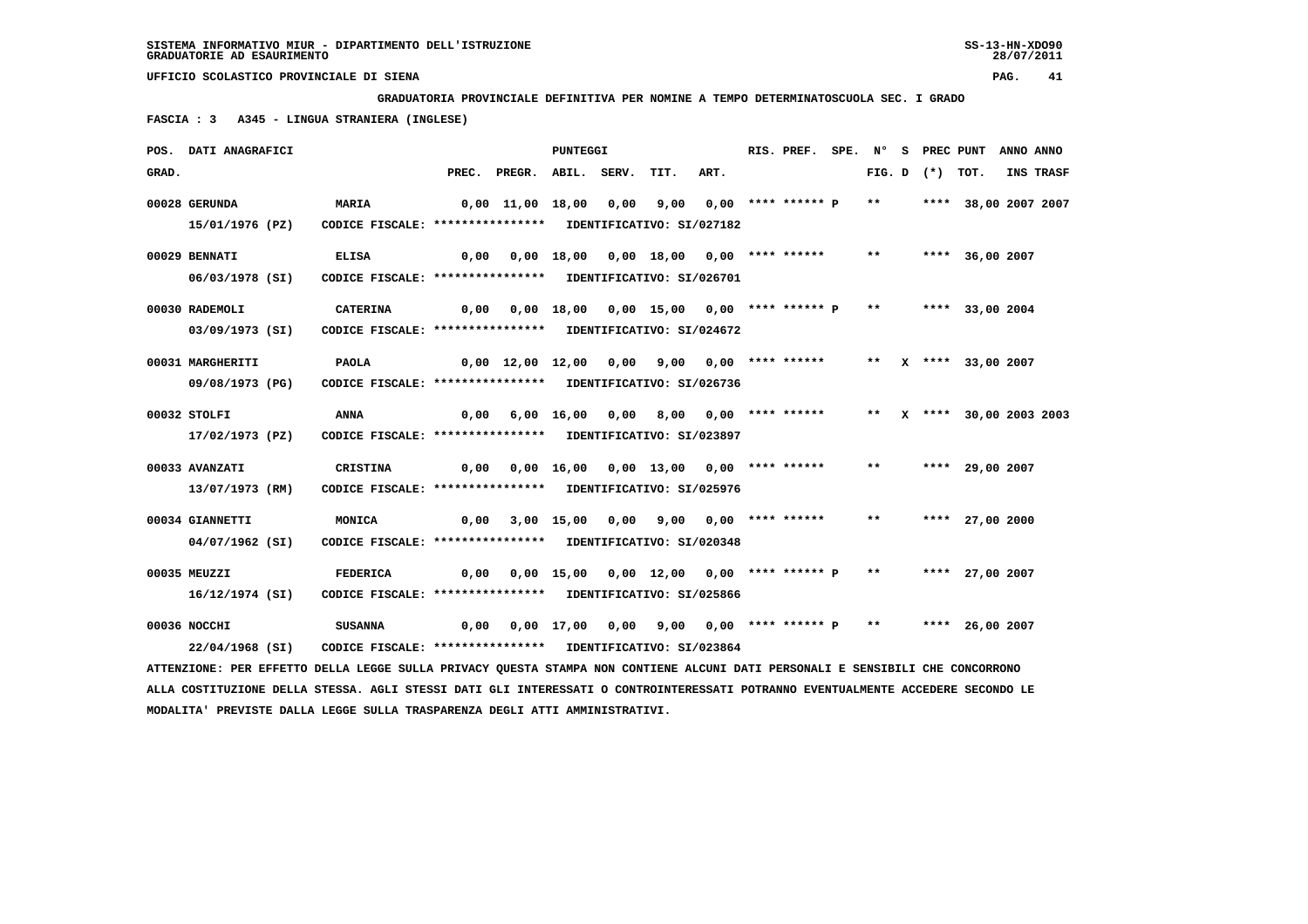**GRADUATORIA PROVINCIALE DEFINITIVA PER NOMINE A TEMPO DETERMINATOSCUOLA SEC. I GRADO**

 **FASCIA : 3 A345 - LINGUA STRANIERA (INGLESE)**

|       | POS. DATI ANAGRAFICI                                                                                                          |                                                            |      |                                                                     | <b>PUNTEGGI</b> |                                              |                       | RIS. PREF. | SPE. N° |       |                   | S PREC PUNT ANNO ANNO     |           |
|-------|-------------------------------------------------------------------------------------------------------------------------------|------------------------------------------------------------|------|---------------------------------------------------------------------|-----------------|----------------------------------------------|-----------------------|------------|---------|-------|-------------------|---------------------------|-----------|
| GRAD. |                                                                                                                               |                                                            |      | PREC. PREGR. ABIL. SERV.                                            |                 | TIT.                                         | ART.                  |            |         |       | FIG. D $(*)$ TOT. |                           | INS TRASF |
|       | 00028 GERUNDA                                                                                                                 | <b>MARIA</b>                                               |      | $0,00$ 11,00 18,00 0,00 9,00 0,00 **** ****** P                     |                 |                                              |                       |            |         | $***$ |                   | **** 38,00 2007 2007      |           |
|       | 15/01/1976 (PZ)                                                                                                               | CODICE FISCALE: **************** IDENTIFICATIVO: SI/027182 |      |                                                                     |                 |                                              |                       |            |         |       |                   |                           |           |
|       | 00029 BENNATI                                                                                                                 | <b>ELISA</b>                                               | 0,00 |                                                                     |                 | 0,00 18,00 0,00 18,00 0,00 **** ******       |                       |            |         | $***$ |                   | **** 36,00 2007           |           |
|       | 06/03/1978 (SI)                                                                                                               | CODICE FISCALE: **************** IDENTIFICATIVO: SI/026701 |      |                                                                     |                 |                                              |                       |            |         |       |                   |                           |           |
|       | 00030 RADEMOLI                                                                                                                | <b>CATERINA</b>                                            |      | 0,00 0,00 18,00 0,00 15,00 0,00 **** ****** P ** ***** 33,00 2004   |                 |                                              |                       |            |         |       |                   |                           |           |
|       | 03/09/1973 (SI)                                                                                                               | CODICE FISCALE: **************** IDENTIFICATIVO: SI/024672 |      |                                                                     |                 |                                              |                       |            |         |       |                   |                           |           |
|       | 00031 MARGHERITI                                                                                                              | <b>PAOLA</b>                                               |      | 0,00 12,00 12,00 0,00 9,00 0,00 **** ******                         |                 |                                              |                       |            |         |       |                   | ** X **** 33,00 2007      |           |
|       | 09/08/1973 (PG)                                                                                                               | CODICE FISCALE: **************** IDENTIFICATIVO: SI/026736 |      |                                                                     |                 |                                              |                       |            |         |       |                   |                           |           |
|       | 00032 STOLFI                                                                                                                  | ANNA                                                       | 0,00 |                                                                     | 6,00 16,00 0,00 |                                              | 8,00 0,00 **** ****** |            |         |       |                   | ** X **** 30,00 2003 2003 |           |
|       | 17/02/1973 (PZ)                                                                                                               | CODICE FISCALE: **************** IDENTIFICATIVO: SI/023897 |      |                                                                     |                 |                                              |                       |            |         |       |                   |                           |           |
|       | 00033 AVANZATI                                                                                                                | <b>CRISTINA</b>                                            |      | $0,00$ $0,00$ $16,00$ $0,00$ $13,00$ $0,00$ $***$ **** ******       |                 |                                              |                       |            |         | $***$ |                   | **** 29,00 2007           |           |
|       | 13/07/1973 (RM)                                                                                                               | CODICE FISCALE: **************** IDENTIFICATIVO: SI/025976 |      |                                                                     |                 |                                              |                       |            |         |       |                   |                           |           |
|       | 00034 GIANNETTI                                                                                                               | MONICA                                                     | 0,00 |                                                                     |                 | 3,00 15,00 0,00 9,00 0,00 **** ******        |                       |            |         | $***$ |                   | **** 27,00 2000           |           |
|       | 04/07/1962 (SI)                                                                                                               | CODICE FISCALE: **************** IDENTIFICATIVO: SI/020348 |      |                                                                     |                 |                                              |                       |            |         |       |                   |                           |           |
|       | 00035 MEUZZI                                                                                                                  | FEDERICA                                                   |      | $0,00$ $0,00$ $15,00$ $0,00$ $12,00$ $0,00$ $***$ **** ***** $P$ ** |                 |                                              |                       |            |         |       |                   | **** 27,00 2007           |           |
|       | 16/12/1974 (SI)                                                                                                               | CODICE FISCALE: **************** IDENTIFICATIVO: SI/025866 |      |                                                                     |                 |                                              |                       |            |         |       |                   |                           |           |
|       | 00036 NOCCHI                                                                                                                  | <b>SUSANNA</b>                                             | 0,00 |                                                                     |                 | $0,00$ 17,00 0,00 9,00 0,00 **** ****** P ** |                       |            |         |       |                   | **** 26,00 2007           |           |
|       | 22/04/1968 (SI)                                                                                                               | CODICE FISCALE: **************** IDENTIFICATIVO: SI/023864 |      |                                                                     |                 |                                              |                       |            |         |       |                   |                           |           |
|       | ATTENZIONE: PER EFFETTO DELLA LEGGE SULLA PRIVACY QUESTA STAMPA NON CONTIENE ALCUNI DATI PERSONALI E SENSIBILI CHE CONCORRONO |                                                            |      |                                                                     |                 |                                              |                       |            |         |       |                   |                           |           |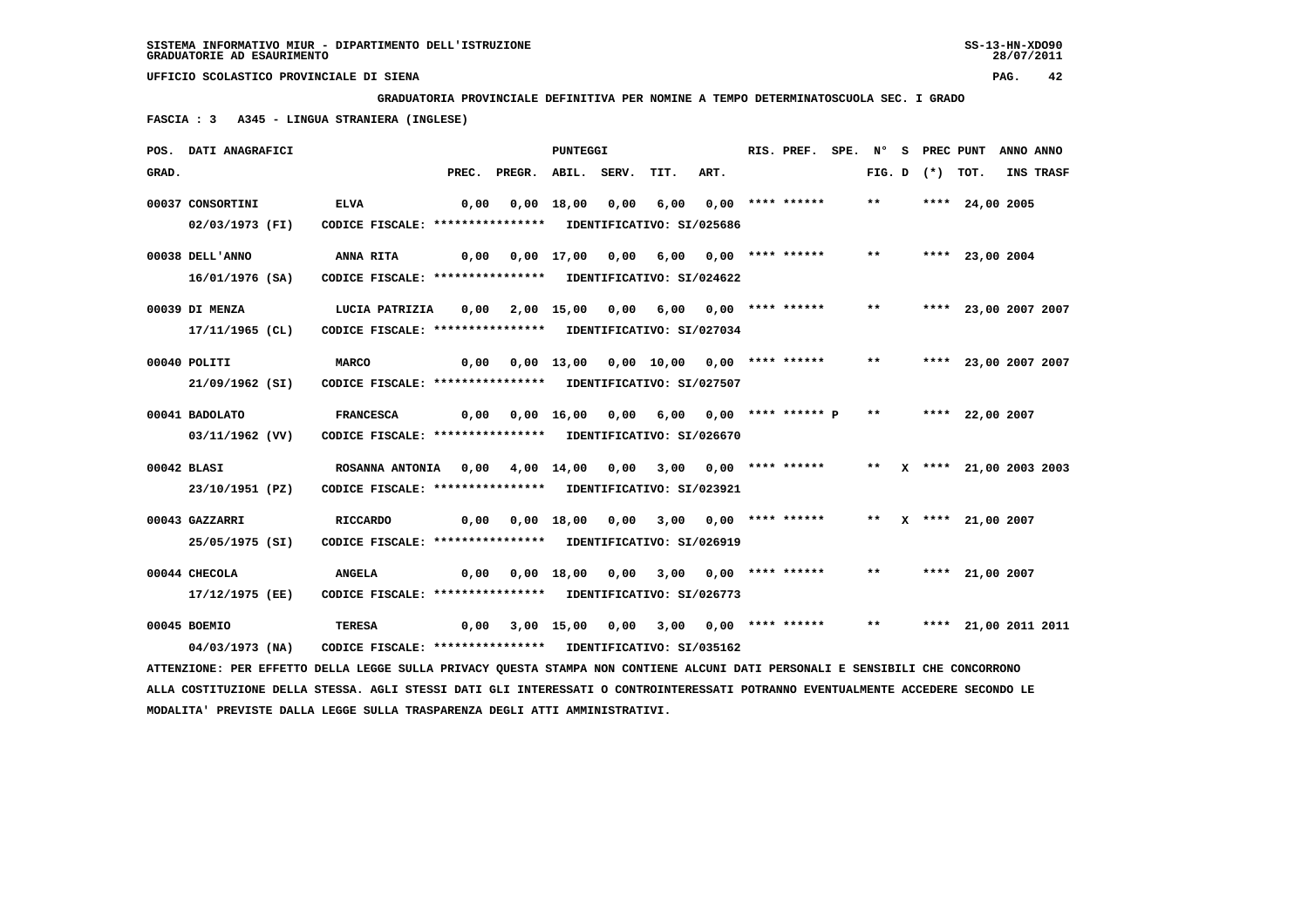**GRADUATORIA PROVINCIALE DEFINITIVA PER NOMINE A TEMPO DETERMINATOSCUOLA SEC. I GRADO**

 **FASCIA : 3 A345 - LINGUA STRANIERA (INGLESE)**

|       | POS. DATI ANAGRAFICI                                                                                                            |                                                            |       |                                                                   | PUNTEGGI   |      |                                                 |      | RIS. PREF. SPE. Nº |        |          | S PREC PUNT          | ANNO ANNO |           |
|-------|---------------------------------------------------------------------------------------------------------------------------------|------------------------------------------------------------|-------|-------------------------------------------------------------------|------------|------|-------------------------------------------------|------|--------------------|--------|----------|----------------------|-----------|-----------|
| GRAD. |                                                                                                                                 |                                                            | PREC. | PREGR. ABIL. SERV.                                                |            |      | TIT.                                            | ART. |                    | FIG. D | (*) TOT. |                      |           | INS TRASF |
|       | 00037 CONSORTINI                                                                                                                | <b>ELVA</b>                                                | 0,00  |                                                                   | 0,00 18,00 | 0,00 | 6,00                                            |      | $0.00$ **** ****** | $***$  |          | **** 24,00 2005      |           |           |
|       | 02/03/1973 (FI)                                                                                                                 | CODICE FISCALE: **************** IDENTIFICATIVO: SI/025686 |       |                                                                   |            |      |                                                 |      |                    |        |          |                      |           |           |
|       | 00038 DELL'ANNO                                                                                                                 | <b>ANNA RITA</b>                                           |       | $0,00$ $0,00$ $17,00$ $0,00$                                      |            |      | 6,00 0,00 **** ******                           |      |                    | $***$  |          | **** 23,00 2004      |           |           |
|       | 16/01/1976 (SA)                                                                                                                 | CODICE FISCALE: **************** IDENTIFICATIVO: SI/024622 |       |                                                                   |            |      |                                                 |      |                    |        |          |                      |           |           |
|       | 00039 DI MENZA                                                                                                                  | LUCIA PATRIZIA                                             |       | $0,00$ $2,00$ $15,00$ $0,00$ $6,00$ $0,00$ $***$ **** *****       |            |      |                                                 |      |                    | $***$  |          | **** 23,00 2007 2007 |           |           |
|       | 17/11/1965 (CL)                                                                                                                 | CODICE FISCALE: **************** IDENTIFICATIVO: SI/027034 |       |                                                                   |            |      |                                                 |      |                    |        |          |                      |           |           |
|       | 00040 POLITI                                                                                                                    | <b>MARCO</b>                                               |       | 0,00 0,00 13,00 0,00 10,00 0,00 **** ******                       |            |      |                                                 |      |                    | $***$  |          | **** 23,00 2007 2007 |           |           |
|       | 21/09/1962 (SI)                                                                                                                 | CODICE FISCALE: **************** IDENTIFICATIVO: SI/027507 |       |                                                                   |            |      |                                                 |      |                    |        |          |                      |           |           |
|       | 00041 BADOLATO                                                                                                                  | <b>FRANCESCA</b>                                           |       | $0,00$ $0,00$ $16,00$ $0,00$ $6,00$ $0,00$ $***$ *** ***** $P$ ** |            |      |                                                 |      |                    |        |          | **** 22,00 2007      |           |           |
|       | 03/11/1962 (VV)                                                                                                                 | CODICE FISCALE: **************** IDENTIFICATIVO: SI/026670 |       |                                                                   |            |      |                                                 |      |                    |        |          |                      |           |           |
|       | $00042$ BLASI                                                                                                                   | ROSANNA ANTONIA 0,00 4,00 14,00 0,00                       |       |                                                                   |            |      | 3,00 0,00 **** ****** ** x **** 21,00 2003 2003 |      |                    |        |          |                      |           |           |
|       | 23/10/1951 (PZ)                                                                                                                 | CODICE FISCALE: **************** IDENTIFICATIVO: SI/023921 |       |                                                                   |            |      |                                                 |      |                    |        |          |                      |           |           |
|       | 00043 GAZZARRI                                                                                                                  | <b>RICCARDO</b>                                            |       | 0,00 0,00 18,00 0,00 3,00 0,00 **** ****** ** X **** 21,00 2007   |            |      |                                                 |      |                    |        |          |                      |           |           |
|       | 25/05/1975 (SI)                                                                                                                 | CODICE FISCALE: **************** IDENTIFICATIVO: SI/026919 |       |                                                                   |            |      |                                                 |      |                    |        |          |                      |           |           |
|       | 00044 CHECOLA                                                                                                                   | <b>ANGELA</b>                                              | 0,00  |                                                                   |            |      | 0,00 18,00 0,00 3,00 0,00 **** ******           |      |                    | $***$  |          | **** 21,00 2007      |           |           |
|       | 17/12/1975 (EE)                                                                                                                 | CODICE FISCALE: **************** IDENTIFICATIVO: SI/026773 |       |                                                                   |            |      |                                                 |      |                    |        |          |                      |           |           |
|       | 00045 BOEMIO                                                                                                                    | TERESA                                                     | 0,00  |                                                                   |            |      | 3,00 15,00 0,00 3,00 0,00 **** ****** **        |      |                    |        |          | **** 21,00 2011 2011 |           |           |
|       | 04/03/1973 (NA)                                                                                                                 | CODICE FISCALE: **************** IDENTIFICATIVO: SI/035162 |       |                                                                   |            |      |                                                 |      |                    |        |          |                      |           |           |
|       | ATTENZIONE: PER EFFETTO DELLA LEGGE SULLA PRIVACY QUESTA STAMPA NON CONTIENE ALCUNI DATI PERSONALI E SENSIBILI CHE CONCORRONO   |                                                            |       |                                                                   |            |      |                                                 |      |                    |        |          |                      |           |           |
|       | ALLA COSTITUZIONE DELLA STESSA. AGLI STESSI DATI GLI INTERESSATI O CONTROINTERESSATI POTRANNO EVENTUALMENTE ACCEDERE SECONDO LE |                                                            |       |                                                                   |            |      |                                                 |      |                    |        |          |                      |           |           |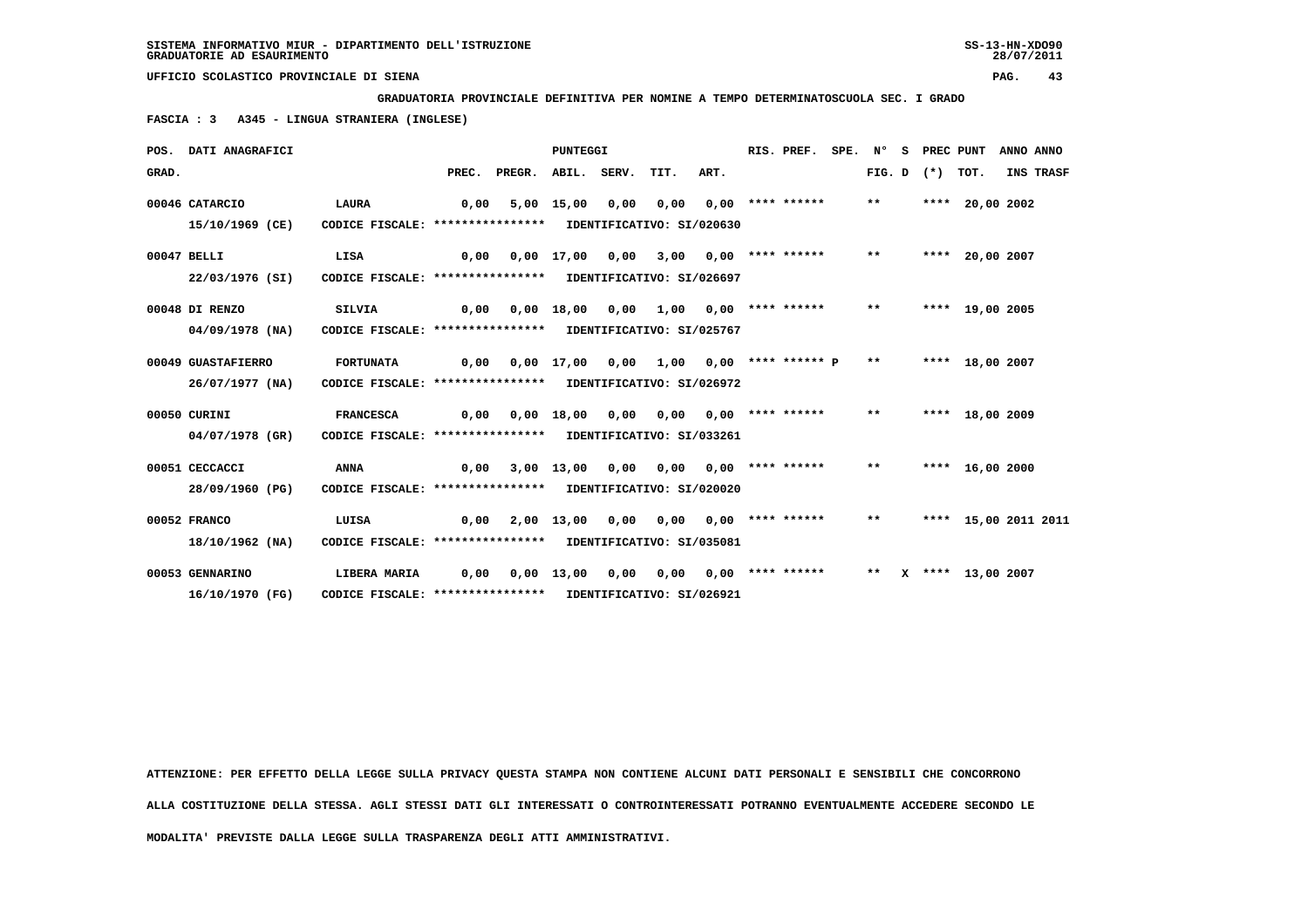**GRADUATORIA PROVINCIALE DEFINITIVA PER NOMINE A TEMPO DETERMINATOSCUOLA SEC. I GRADO**

 **FASCIA : 3 A345 - LINGUA STRANIERA (INGLESE)**

|       | POS. DATI ANAGRAFICI |                                                            |       |                    | <b>PUNTEGGI</b>       |                       |                                            |      | RIS. PREF.            | SPE. | Ν°     | S. | PREC PUNT  |                      | ANNO ANNO |
|-------|----------------------|------------------------------------------------------------|-------|--------------------|-----------------------|-----------------------|--------------------------------------------|------|-----------------------|------|--------|----|------------|----------------------|-----------|
| GRAD. |                      |                                                            | PREC. | PREGR. ABIL. SERV. |                       |                       | TIT.                                       | ART. |                       |      | FIG. D |    | $(*)$ TOT. |                      | INS TRASF |
|       | 00046 CATARCIO       | <b>LAURA</b>                                               | 0,00  |                    | 5,00 15,00 0,00       |                       | 0,00                                       |      | $0.00$ **** ******    |      | $***$  |    |            | **** 20,00 2002      |           |
|       | 15/10/1969 (CE)      | CODICE FISCALE: **************** IDENTIFICATIVO: SI/020630 |       |                    |                       |                       |                                            |      |                       |      |        |    |            |                      |           |
|       | 00047 BELLI          | LISA                                                       | 0,00  |                    |                       | $0,00$ $17,00$ $0,00$ | 3,00                                       |      | $0.00$ **** ****** ** |      |        |    |            | **** 20,00 2007      |           |
|       | 22/03/1976 (SI)      | CODICE FISCALE: **************** IDENTIFICATIVO: SI/026697 |       |                    |                       |                       |                                            |      |                       |      |        |    |            |                      |           |
|       | 00048 DI RENZO       | <b>SILVIA</b>                                              | 0,00  |                    | 0,00 18,00            | 0,00                  | 1,00                                       |      | $0,00$ **** ******    |      | $***$  |    |            | **** 19,00 2005      |           |
|       | $04/09/1978$ (NA)    | CODICE FISCALE: **************** IDENTIFICATIVO: SI/025767 |       |                    |                       |                       |                                            |      |                       |      |        |    |            |                      |           |
|       | 00049 GUASTAFIERRO   | <b>FORTUNATA</b>                                           | 0,00  |                    |                       |                       | 0,00 17,00 0,00 1,00 0,00 **** ****** P ** |      |                       |      |        |    |            | **** 18,00 2007      |           |
|       | $26/07/1977$ (NA)    | CODICE FISCALE: **************** IDENTIFICATIVO: SI/026972 |       |                    |                       |                       |                                            |      |                       |      |        |    |            |                      |           |
|       | 00050 CURINI         | <b>FRANCESCA</b>                                           | 0,00  |                    | $0,00$ $18,00$ $0,00$ |                       | 0,00                                       |      | $0,00$ **** ****** ** |      |        |    |            | **** 18,00 2009      |           |
|       | 04/07/1978 (GR)      | CODICE FISCALE: **************** IDENTIFICATIVO: SI/033261 |       |                    |                       |                       |                                            |      |                       |      |        |    |            |                      |           |
|       | 00051 CECCACCI       | <b>ANNA</b>                                                | 0.00  |                    | 3,00 13,00            | 0,00                  | 0,00                                       |      | $0.00$ **** ******    |      | $***$  |    |            | **** 16,00 2000      |           |
|       | 28/09/1960 (PG)      | CODICE FISCALE: **************** IDENTIFICATIVO: SI/020020 |       |                    |                       |                       |                                            |      |                       |      |        |    |            |                      |           |
|       | 00052 FRANCO         | LUISA                                                      | 0,00  |                    |                       |                       | 2,00 13,00 0,00 0,00 0,00 **** ******      |      |                       |      | $***$  |    |            | **** 15,00 2011 2011 |           |
|       | 18/10/1962 (NA)      | CODICE FISCALE: **************** IDENTIFICATIVO: SI/035081 |       |                    |                       |                       |                                            |      |                       |      |        |    |            |                      |           |
|       | 00053 GENNARINO      | LIBERA MARIA                                               | 0,00  |                    | $0,00$ 13,00          | 0,00                  | 0.00                                       |      | 0,00 **** ******      |      | $***$  |    |            | X **** 13,00 2007    |           |
|       | 16/10/1970 (FG)      | CODICE FISCALE: **************** IDENTIFICATIVO: SI/026921 |       |                    |                       |                       |                                            |      |                       |      |        |    |            |                      |           |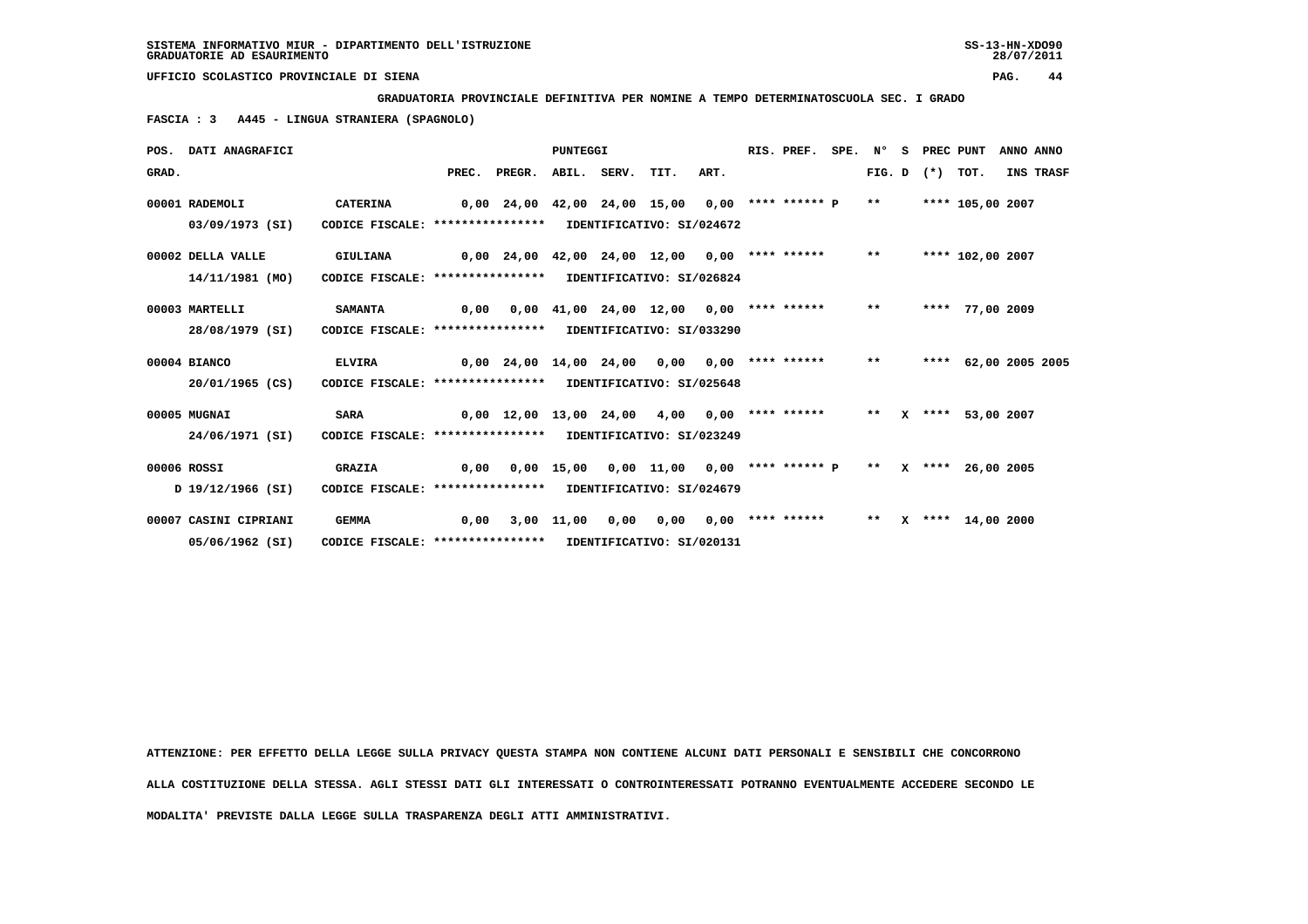**GRADUATORIA PROVINCIALE DEFINITIVA PER NOMINE A TEMPO DETERMINATOSCUOLA SEC. I GRADO**

 **FASCIA : 3 A445 - LINGUA STRANIERA (SPAGNOLO)**

|       | POS. DATI ANAGRAFICI  |                                                            |      |                                                    | <b>PUNTEGGI</b> |                                                                 |      | RIS. PREF.            | SPE. N° |       | - S | PREC PUNT         |                      | ANNO ANNO |           |
|-------|-----------------------|------------------------------------------------------------|------|----------------------------------------------------|-----------------|-----------------------------------------------------------------|------|-----------------------|---------|-------|-----|-------------------|----------------------|-----------|-----------|
| GRAD. |                       |                                                            |      | PREC. PREGR. ABIL. SERV. TIT.                      |                 |                                                                 | ART. |                       |         |       |     | FIG. D $(*)$ TOT. |                      |           | INS TRASF |
|       | 00001 RADEMOLI        | <b>CATERINA</b>                                            |      | $0,00$ 24,00 42,00 24,00 15,00 0,00 **** ****** P  |                 |                                                                 |      |                       |         | $***$ |     |                   | **** 105,00 2007     |           |           |
|       | 03/09/1973 (SI)       | CODICE FISCALE: **************** IDENTIFICATIVO: SI/024672 |      |                                                    |                 |                                                                 |      |                       |         |       |     |                   |                      |           |           |
|       | 00002 DELLA VALLE     | GIULIANA                                                   |      | 0,00 24,00 42,00 24,00 12,00                       |                 |                                                                 |      | $0,00$ **** ****** ** |         |       |     |                   | **** 102,00 2007     |           |           |
|       | 14/11/1981 (MO)       | CODICE FISCALE: **************** IDENTIFICATIVO: SI/026824 |      |                                                    |                 |                                                                 |      |                       |         |       |     |                   |                      |           |           |
|       | 00003 MARTELLI        | <b>SAMANTA</b>                                             | 0,00 |                                                    |                 | $0,00$ 41,00 24,00 12,00 0,00 **** ****** **                    |      |                       |         |       |     |                   | **** 77,00 2009      |           |           |
|       | 28/08/1979 (SI)       | CODICE FISCALE: **************** IDENTIFICATIVO: SI/033290 |      |                                                    |                 |                                                                 |      |                       |         |       |     |                   |                      |           |           |
|       | 00004 BIANCO          | <b>ELVIRA</b>                                              |      | 0,00 24,00 14,00 24,00 0,00                        |                 |                                                                 |      | $0.00$ **** ****** ** |         |       |     |                   | **** 62,00 2005 2005 |           |           |
|       | 20/01/1965 (CS)       | CODICE FISCALE: **************** IDENTIFICATIVO: SI/025648 |      |                                                    |                 |                                                                 |      |                       |         |       |     |                   |                      |           |           |
|       | 00005 MUGNAI          | <b>SARA</b>                                                |      | $0,00$ 12,00 13,00 24,00 4,00 0,00 **** ****** *** |                 |                                                                 |      |                       |         |       |     |                   | X **** 53,00 2007    |           |           |
|       | 24/06/1971 (SI)       | CODICE FISCALE: **************** IDENTIFICATIVO: SI/023249 |      |                                                    |                 |                                                                 |      |                       |         |       |     |                   |                      |           |           |
|       | 00006 ROSSI           | <b>GRAZIA</b>                                              | 0,00 |                                                    |                 | $0,00$ 15,00 0,00 11,00 0,00 **** ****** P ** X **** 26,00 2005 |      |                       |         |       |     |                   |                      |           |           |
|       | D 19/12/1966 (SI)     | CODICE FISCALE: **************** IDENTIFICATIVO: SI/024679 |      |                                                    |                 |                                                                 |      |                       |         |       |     |                   |                      |           |           |
|       | 00007 CASINI CIPRIANI | <b>GEMMA</b>                                               | 0,00 |                                                    | 3,00 11,00 0,00 | 0,00                                                            |      | $0,00$ **** ******    |         | $***$ |     |                   | X **** 14,00 2000    |           |           |
|       | 05/06/1962 (SI)       | CODICE FISCALE: **************** IDENTIFICATIVO: SI/020131 |      |                                                    |                 |                                                                 |      |                       |         |       |     |                   |                      |           |           |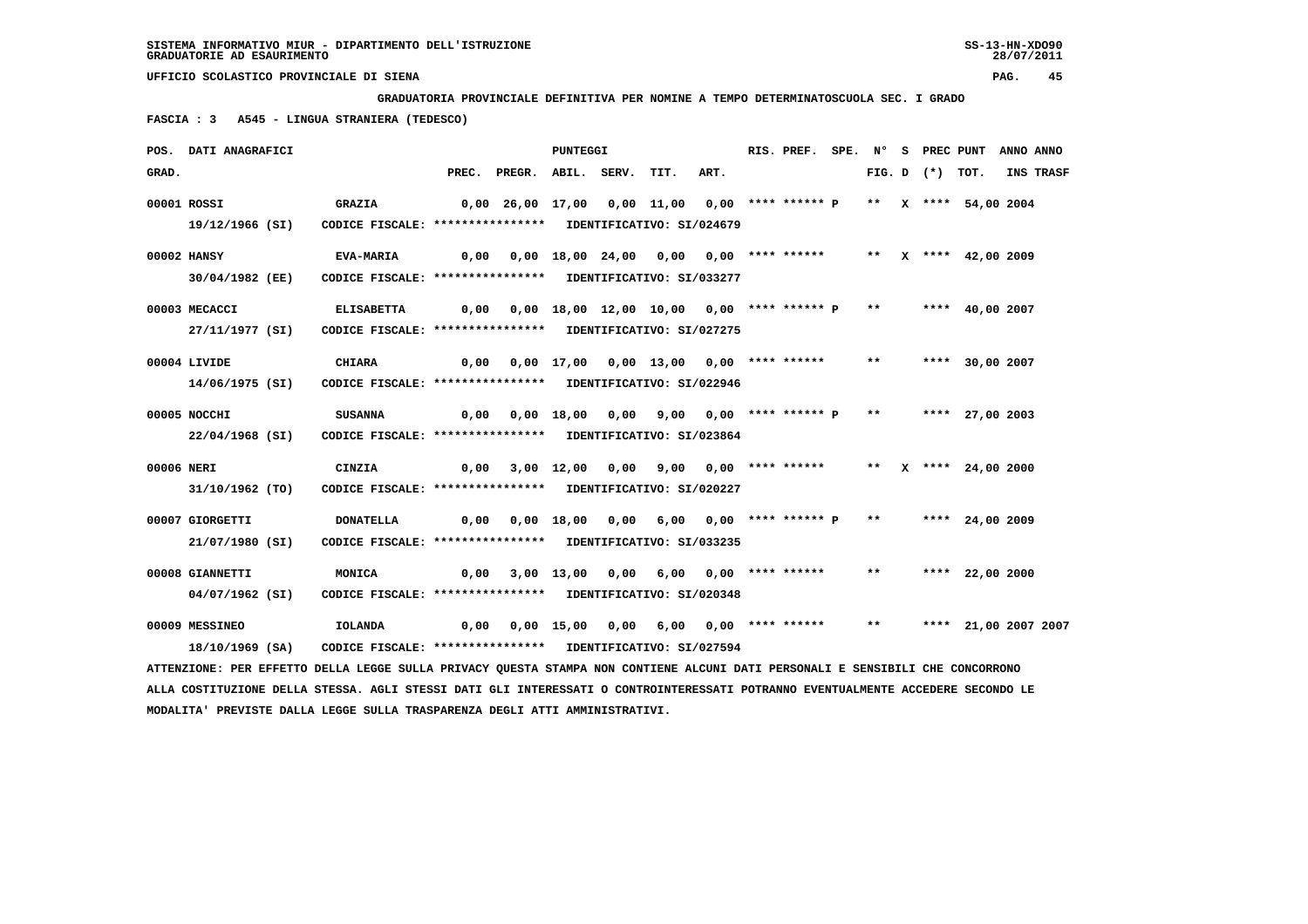**GRADUATORIA PROVINCIALE DEFINITIVA PER NOMINE A TEMPO DETERMINATOSCUOLA SEC. I GRADO**

 **FASCIA : 3 A545 - LINGUA STRANIERA (TEDESCO)**

|            | POS. DATI ANAGRAFICI                                                                                                            |                                                            |      |                                                                         | <b>PUNTEGGI</b> |  |                                                                  | RIS. PREF. SPE. N° S PREC PUNT ANNO ANNO |       |                   |                        |           |
|------------|---------------------------------------------------------------------------------------------------------------------------------|------------------------------------------------------------|------|-------------------------------------------------------------------------|-----------------|--|------------------------------------------------------------------|------------------------------------------|-------|-------------------|------------------------|-----------|
| GRAD.      |                                                                                                                                 |                                                            |      | PREC. PREGR. ABIL. SERV. TIT.                                           |                 |  | ART.                                                             |                                          |       | FIG. D $(*)$ TOT. |                        | INS TRASF |
|            | 00001 ROSSI                                                                                                                     | <b>GRAZIA</b>                                              |      | 0,00 26,00 17,00  0,00 11,00  0,00 **** ****** P  **  x **** 54,00 2004 |                 |  |                                                                  |                                          |       |                   |                        |           |
|            | 19/12/1966 (SI)                                                                                                                 | CODICE FISCALE: **************** IDENTIFICATIVO: SI/024679 |      |                                                                         |                 |  |                                                                  |                                          |       |                   |                        |           |
|            | 00002 HANSY                                                                                                                     | <b>EVA-MARIA</b>                                           |      | 0,00  0,00  18,00  24,00  0,00  0,00  ****  ******                      |                 |  |                                                                  |                                          |       |                   | ** $X$ **** 42,00 2009 |           |
|            | 30/04/1982 (EE)                                                                                                                 | CODICE FISCALE: **************** IDENTIFICATIVO: SI/033277 |      |                                                                         |                 |  |                                                                  |                                          |       |                   |                        |           |
|            | 00003 MECACCI                                                                                                                   | <b>ELISABETTA</b>                                          |      | $0,00$ $0,00$ $18,00$ $12,00$ $10,00$ $0,00$ **** ****** P **           |                 |  |                                                                  |                                          |       |                   | **** 40,00 2007        |           |
|            | 27/11/1977 (SI)                                                                                                                 | CODICE FISCALE: **************** IDENTIFICATIVO: SI/027275 |      |                                                                         |                 |  |                                                                  |                                          |       |                   |                        |           |
|            | 00004 LIVIDE                                                                                                                    | <b>CHIARA</b>                                              |      | $0,00$ $0,00$ $17,00$ $0,00$ $13,00$ $0,00$ $***$ **** ******           |                 |  |                                                                  |                                          | $***$ |                   | **** 30,00 2007        |           |
|            | 14/06/1975 (SI)                                                                                                                 | CODICE FISCALE: **************** IDENTIFICATIVO: SI/022946 |      |                                                                         |                 |  |                                                                  |                                          |       |                   |                        |           |
|            | 00005 NOCCHI                                                                                                                    | <b>SUSANNA</b>                                             |      | 0,00 0,00 18,00 0,00 9,00 0,00 **** ****** P ** **** 27,00 2003         |                 |  |                                                                  |                                          |       |                   |                        |           |
|            | 22/04/1968 (SI)                                                                                                                 | CODICE FISCALE: **************** IDENTIFICATIVO: SI/023864 |      |                                                                         |                 |  |                                                                  |                                          |       |                   |                        |           |
| 00006 NERI |                                                                                                                                 | CINZIA                                                     | 0,00 |                                                                         |                 |  | 3,00 12,00 0,00 9,00 0,00 **** ******     **   x **** 24,00 2000 |                                          |       |                   |                        |           |
|            | 31/10/1962 (TO)                                                                                                                 | CODICE FISCALE: **************** IDENTIFICATIVO: SI/020227 |      |                                                                         |                 |  |                                                                  |                                          |       |                   |                        |           |
|            | 00007 GIORGETTI                                                                                                                 | <b>DONATELLA</b>                                           |      | 0,00 0,00 18,00 0,00 6,00 0,00 **** ****** P ** **** 24,00 2009         |                 |  |                                                                  |                                          |       |                   |                        |           |
|            | 21/07/1980 (SI)                                                                                                                 | CODICE FISCALE: **************** IDENTIFICATIVO: SI/033235 |      |                                                                         |                 |  |                                                                  |                                          |       |                   |                        |           |
|            | 00008 GIANNETTI                                                                                                                 | MONICA                                                     | 0,00 |                                                                         |                 |  | 3,00 13,00 0,00 6,00 0,00 **** ******                            |                                          |       |                   | ** **** 22,00 2000     |           |
|            | 04/07/1962 (SI)                                                                                                                 | CODICE FISCALE: **************** IDENTIFICATIVO: SI/020348 |      |                                                                         |                 |  |                                                                  |                                          |       |                   |                        |           |
|            | 00009 MESSINEO                                                                                                                  | <b>IOLANDA</b>                                             |      |                                                                         |                 |  |                                                                  |                                          | $***$ |                   | **** 21,00 2007 2007   |           |
|            | 18/10/1969 (SA)                                                                                                                 | CODICE FISCALE: **************** IDENTIFICATIVO: SI/027594 |      |                                                                         |                 |  |                                                                  |                                          |       |                   |                        |           |
|            | ATTENZIONE: PER EFFETTO DELLA LEGGE SULLA PRIVACY QUESTA STAMPA NON CONTIENE ALCUNI DATI PERSONALI E SENSIBILI CHE CONCORRONO   |                                                            |      |                                                                         |                 |  |                                                                  |                                          |       |                   |                        |           |
|            | ALLA COSTITUZIONE DELLA STESSA. AGLI STESSI DATI GLI INTERESSATI O CONTROINTERESSATI POTRANNO EVENTUALMENTE ACCEDERE SECONDO LE |                                                            |      |                                                                         |                 |  |                                                                  |                                          |       |                   |                        |           |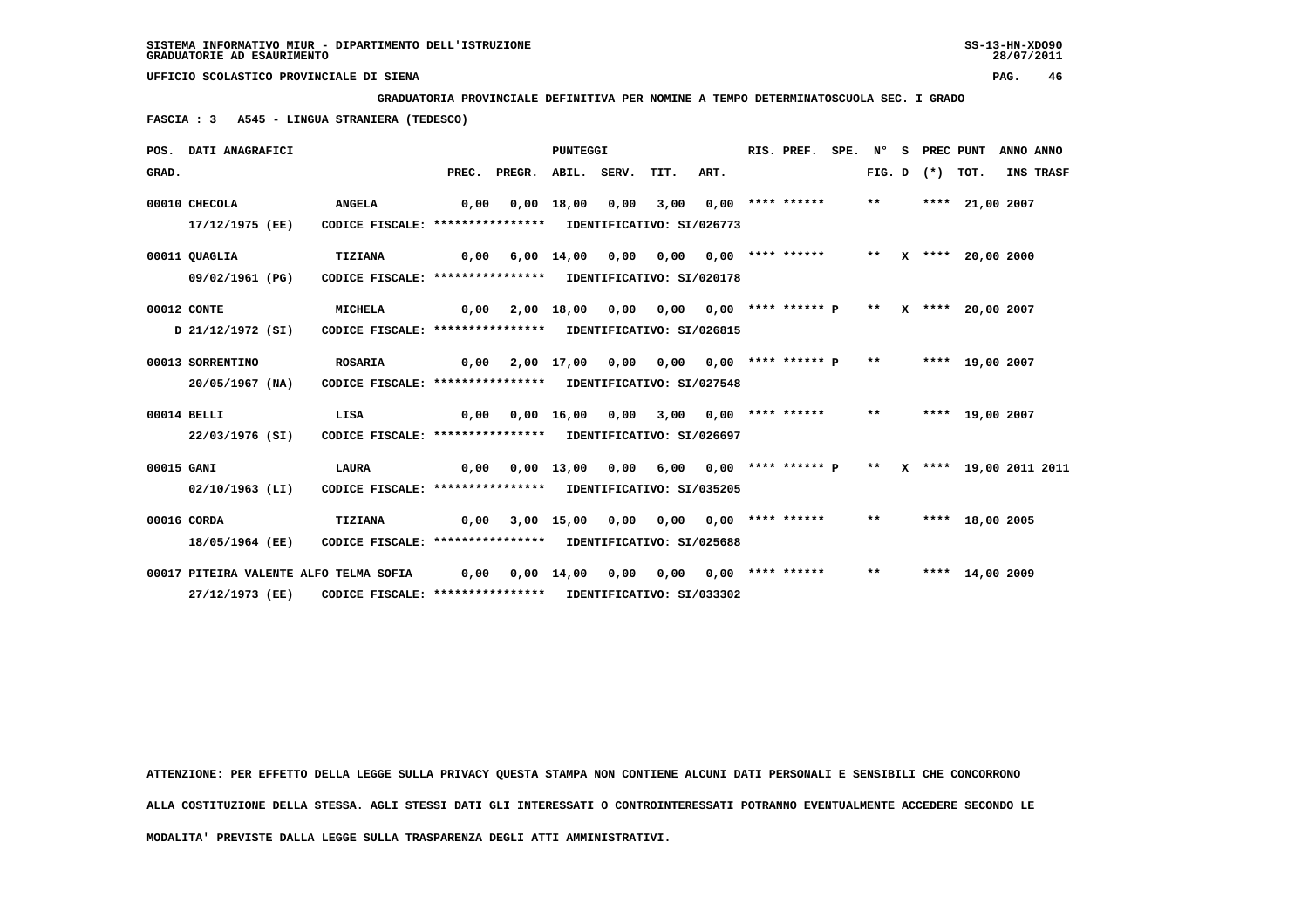**GRADUATORIA PROVINCIALE DEFINITIVA PER NOMINE A TEMPO DETERMINATOSCUOLA SEC. I GRADO**

 **FASCIA : 3 A545 - LINGUA STRANIERA (TEDESCO)**

|            | POS. DATI ANAGRAFICI                                      |                                                                              |       |                    | <b>PUNTEGGI</b>               |      |                                            |                                                   | RIS. PREF.                              | SPE. N° |        | - S |            | PREC PUNT       | ANNO ANNO |
|------------|-----------------------------------------------------------|------------------------------------------------------------------------------|-------|--------------------|-------------------------------|------|--------------------------------------------|---------------------------------------------------|-----------------------------------------|---------|--------|-----|------------|-----------------|-----------|
| GRAD.      |                                                           |                                                                              | PREC. | PREGR. ABIL. SERV. |                               |      | TIT.                                       | ART.                                              |                                         |         | FIG. D |     | $(*)$ TOT. |                 | INS TRASF |
|            | 00010 CHECOLA<br>17/12/1975 (EE)                          | <b>ANGELA</b><br>CODICE FISCALE: **************** IDENTIFICATIVO: SI/026773  | 0,00  |                    | $0,00$ $18,00$ $0,00$         |      | 3,00                                       |                                                   | $0.00$ **** ******                      |         | $***$  |     |            | **** 21,00 2007 |           |
|            | 00011 QUAGLIA<br>09/02/1961 (PG)                          | TIZIANA<br>CODICE FISCALE: **************** IDENTIFICATIVO: SI/020178        | 0,00  |                    |                               |      | 6,00 14,00 0,00 0,00                       |                                                   | $0.00$ **** ****** ** X **** 20.00 2000 |         |        |     |            |                 |           |
|            | 00012 CONTE<br>D 21/12/1972 (SI)                          | MICHELA<br>CODICE FISCALE: **************** IDENTIFICATIVO: SI/026815        | 0,00  |                    | 2,00 18,00                    | 0,00 |                                            | 0,00 0,00 **** ****** P ** X **** 20,00 2007      |                                         |         |        |     |            |                 |           |
|            | 00013 SORRENTINO<br>$20/05/1967$ (NA)                     | <b>ROSARIA</b><br>CODICE FISCALE: **************** IDENTIFICATIVO: SI/027548 | 0,00  |                    |                               |      | 2,00 17,00 0,00 0,00 0,00 **** ****** P ** |                                                   |                                         |         |        |     |            | **** 19,00 2007 |           |
|            | 00014 BELLI<br>22/03/1976 (SI)                            | LISA<br>CODICE FISCALE: **************** IDENTIFICATIVO: SI/026697           | 0,00  |                    | $0,00 \quad 16,00 \quad 0,00$ |      |                                            | $3,00$ $0,00$ **** ****** **                      |                                         |         |        |     |            | **** 19,00 2007 |           |
| 00015 GANI | $02/10/1963$ (LI)                                         | LAURA<br>CODICE FISCALE: **************** IDENTIFICATIVO: SI/035205          | 0,00  |                    | 0,00 13,00                    | 0,00 |                                            | 6,00 0,00 **** ****** P ** X **** 19,00 2011 2011 |                                         |         |        |     |            |                 |           |
|            | 00016 CORDA<br>18/05/1964 (EE)                            | TIZIANA<br>CODICE FISCALE: **************** IDENTIFICATIVO: SI/025688        | 0,00  |                    |                               |      | 3,00 15,00 0,00 0,00                       |                                                   | 0,00 **** ****** **                     |         |        |     |            | **** 18,00 2005 |           |
|            | 00017 PITEIRA VALENTE ALFO TELMA SOFIA<br>27/12/1973 (RR) | CODICE FISCALE: **************** IDENTIFICATIVO: SI/033302                   | 0,00  |                    | $0,00 \quad 14,00$            | 0,00 | 0,00                                       |                                                   | $0,00$ **** ******                      |         | $***$  |     |            | **** 14,00 2009 |           |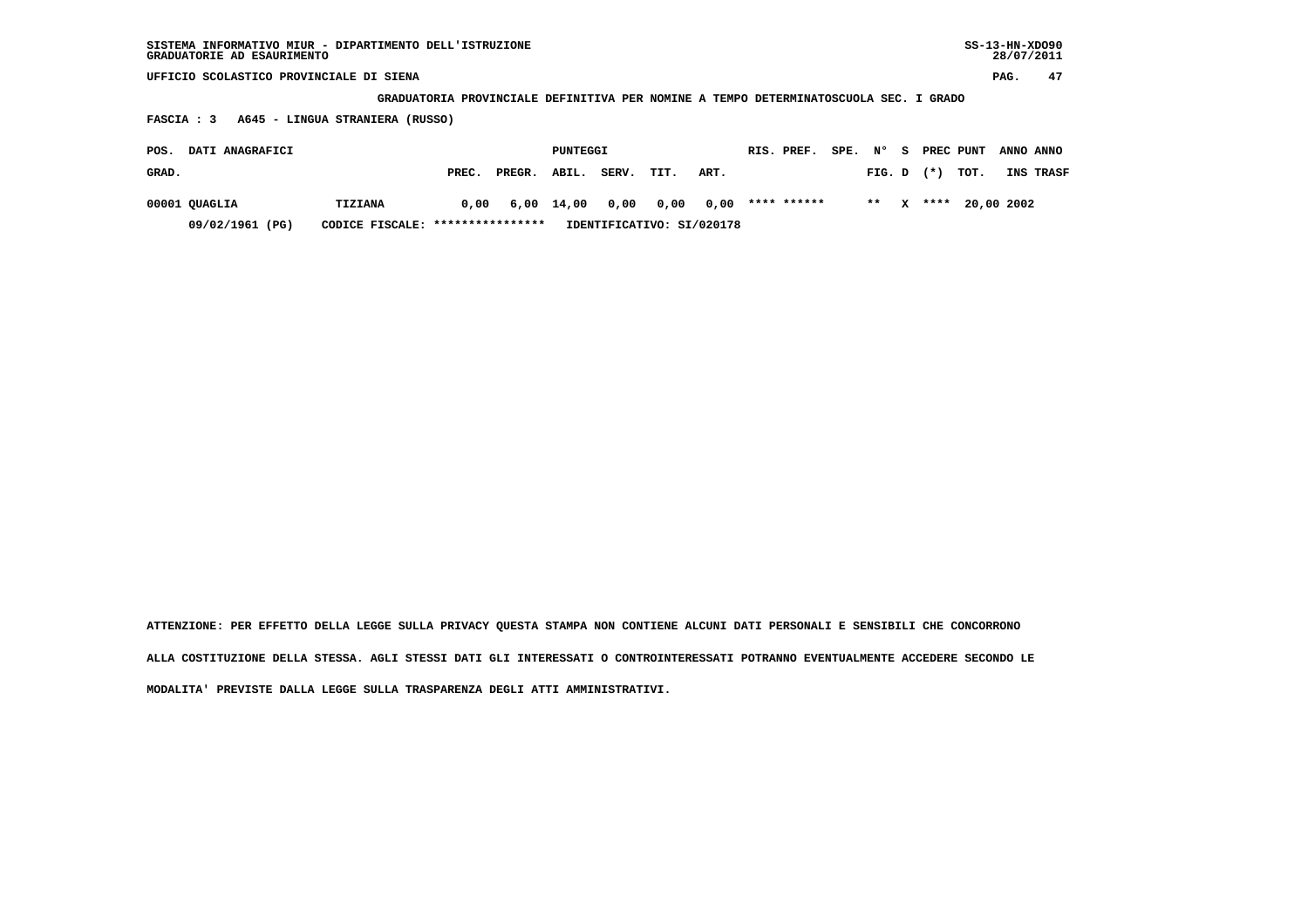| SISTEMA INFORMATIVO MIUR - DIPARTIMENTO DELL'ISTRUZIONE | $SS-13-HN-XDO90$ |
|---------------------------------------------------------|------------------|
| GRADUATORIE AD ESAURIMENTO                              | 28/07/2011       |

 **GRADUATORIA PROVINCIALE DEFINITIVA PER NOMINE A TEMPO DETERMINATOSCUOLA SEC. I GRADO**

 **FASCIA : 3 A645 - LINGUA STRANIERA (RUSSO)**

| POS.  | <b>DATI ANAGRAFICI</b> |                                  |       |        | PUNTEGGI   |                           |      |           | RIS. PREF.  | SPE. | N°             | - S | PREC PUNT            | ANNO ANNO |
|-------|------------------------|----------------------------------|-------|--------|------------|---------------------------|------|-----------|-------------|------|----------------|-----|----------------------|-----------|
| GRAD. |                        |                                  | PREC. | PREGR. | ABIL.      | SERV.                     | TIT. | ART.      |             |      | $FIG. D$ $(*)$ |     | тот.                 | INS TRASF |
|       | 00001 QUAGLIA          | <b>TIZIANA</b>                   | 0,00  |        | 6,00 14,00 | 0.00                      |      | 0,00 0,00 | **** ****** |      |                |     | ** x **** 20,00 2002 |           |
|       | 09/02/1961 (PG)        | CODICE FISCALE: **************** |       |        |            | IDENTIFICATIVO: SI/020178 |      |           |             |      |                |     |                      |           |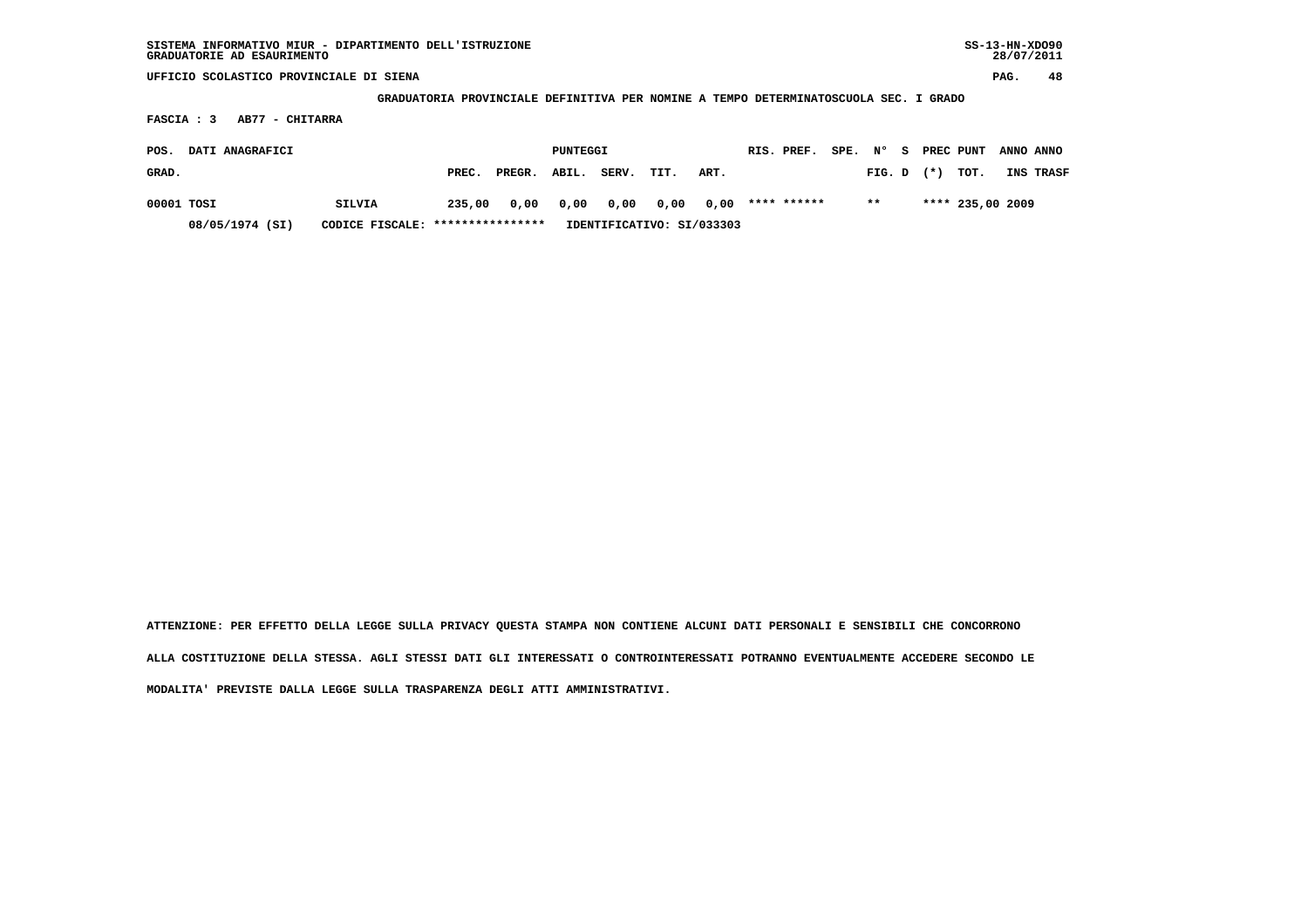**GRADUATORIA PROVINCIALE DEFINITIVA PER NOMINE A TEMPO DETERMINATOSCUOLA SEC. I GRADO**

 **FASCIA : 3 AB77 - CHITARRA**

| POS.<br>DATI ANAGRAFICI |                 |                                  |        | PUNTEGGI |       |       |                           | RIS. PREF. | SPE, N°     |  |        | <b>S</b> PREC PUNT | ANNO ANNO        |           |
|-------------------------|-----------------|----------------------------------|--------|----------|-------|-------|---------------------------|------------|-------------|--|--------|--------------------|------------------|-----------|
| GRAD.                   |                 |                                  | PREC.  | PREGR.   | ABIL. | SERV. | TIT.                      | ART.       |             |  | FIG. D | $(\star)$          | тот.             | INS TRASF |
| 00001 TOSI              |                 | SILVIA                           | 235,00 | 0.00     | 0,00  | 0.00  | 0,00 0,00                 |            | **** ****** |  | $* *$  |                    | **** 235,00 2009 |           |
|                         | 08/05/1974 (SI) | CODICE FISCALE: **************** |        |          |       |       | IDENTIFICATIVO: SI/033303 |            |             |  |        |                    |                  |           |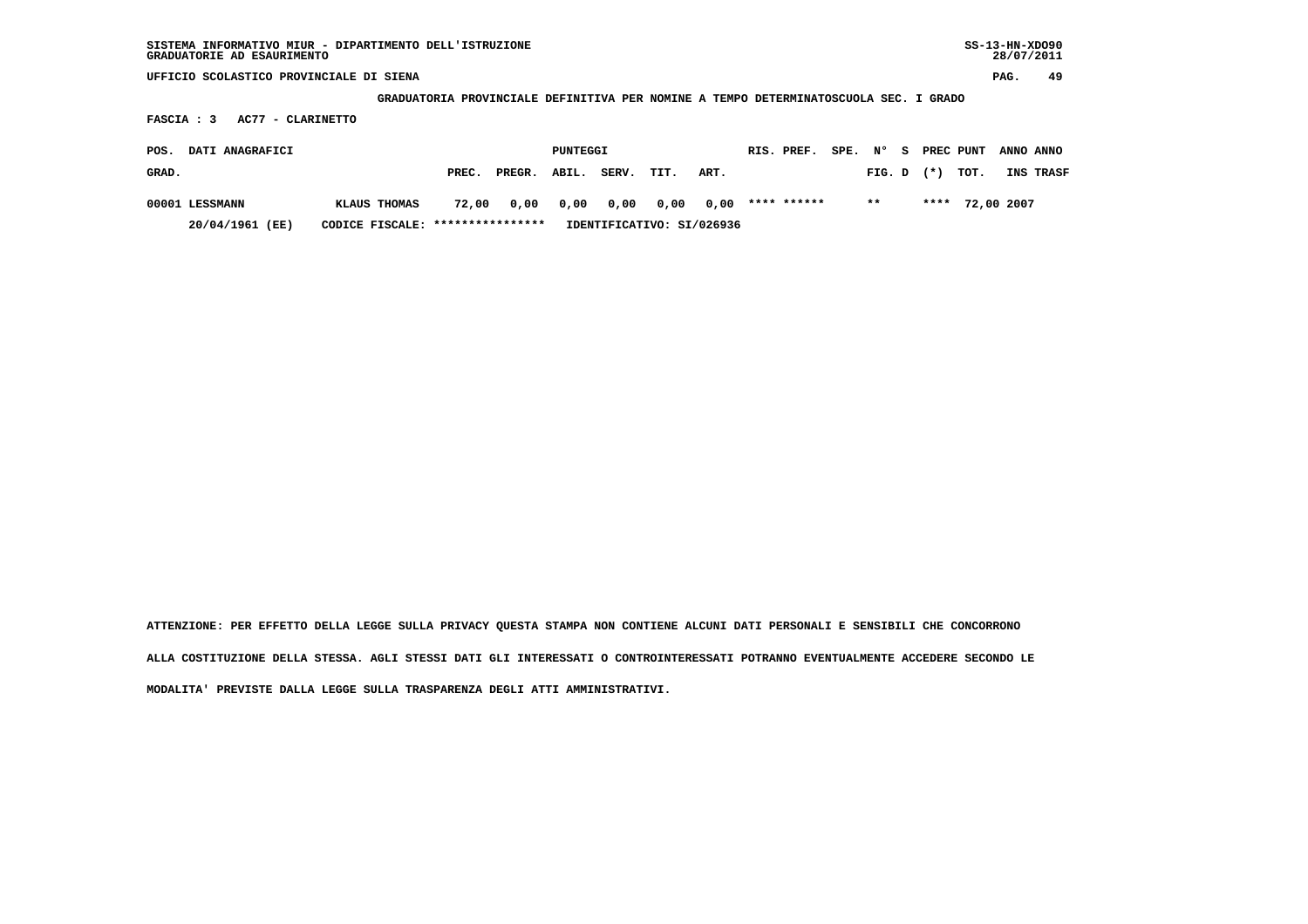**GRADUATORIA PROVINCIALE DEFINITIVA PER NOMINE A TEMPO DETERMINATOSCUOLA SEC. I GRADO**

 **FASCIA : 3 AC77 - CLARINETTO**

| DATI ANAGRAFICI<br>POS.                             |              |       | PUNTEGGI |           |       |      |                           |  | RIS. PREF.  | SPE. N° |        | - S |          | PREC PUNT       | ANNO ANNO |
|-----------------------------------------------------|--------------|-------|----------|-----------|-------|------|---------------------------|--|-------------|---------|--------|-----|----------|-----------------|-----------|
| GRAD.                                               |              | PREC. | PREGR.   | ABIL.     | SERV. | TIT. | ART.                      |  |             |         | FIG. D |     | $^{(*)}$ | TOT.            | INS TRASF |
| 00001 LESSMANN                                      | KLAUS THOMAS | 72,00 |          | 0,00 0,00 | 0.00  |      | 0,00 0,00                 |  | **** ****** |         | $***$  |     |          | **** 72,00 2007 |           |
| CODICE FISCALE: ****************<br>20/04/1961 (EE) |              |       |          |           |       |      | IDENTIFICATIVO: SI/026936 |  |             |         |        |     |          |                 |           |